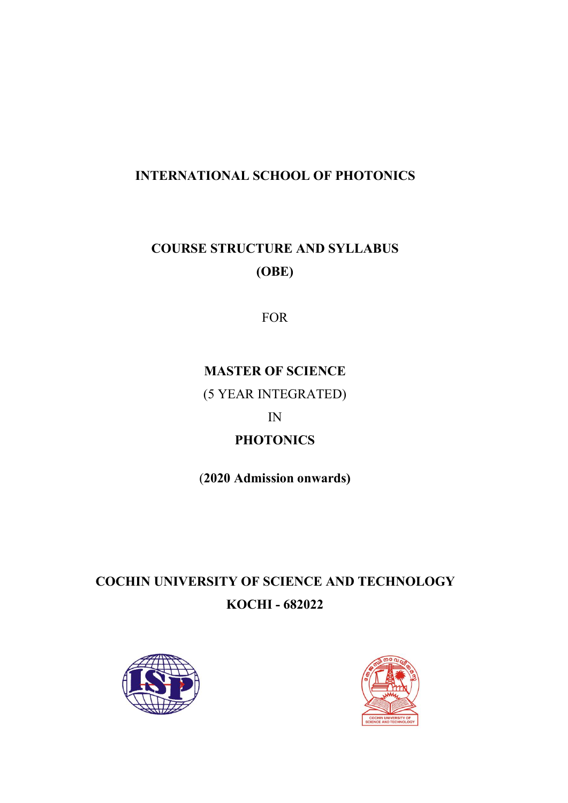# **INTERNATIONAL SCHOOL OF PHOTONICS**

# **COURSE STRUCTURE AND SYLLABUS (OBE)**

FOR

# **MASTER OF SCIENCE**

(5 YEAR INTEGRATED)

# IN

# **PHOTONICS**

(**2020 Admission onwards)**

# **COCHIN UNIVERSITY OF SCIENCE AND TECHNOLOGY KOCHI - 682022**



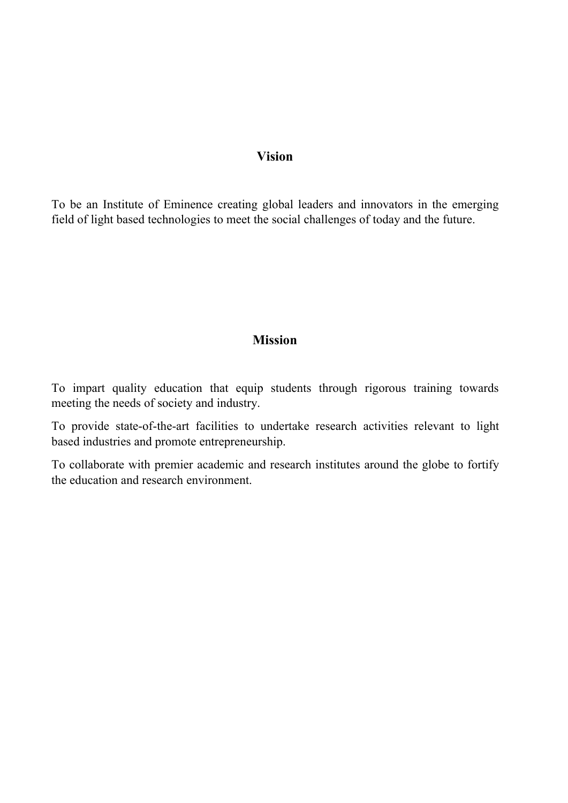# **Vision**

To be an Institute of Eminence creating global leaders and innovators in the emerging field of light based technologies to meet the social challenges of today and the future.

# **Mission**

To impart quality education that equip students through rigorous training towards meeting the needs of society and industry.

To provide state-of-the-art facilities to undertake research activities relevant to light based industries and promote entrepreneurship.

To collaborate with premier academic and research institutes around the globe to fortify the education and research environment.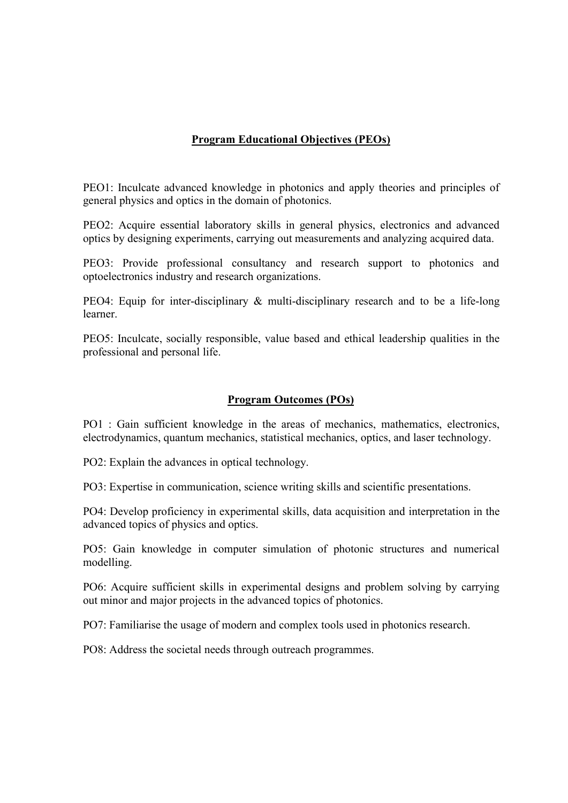# **Program Educational Objectives (PEOs)**

PEO1: Inculcate advanced knowledge in photonics and apply theories and principles of general physics and optics in the domain of photonics.

PEO2: Acquire essential laboratory skills in general physics, electronics and advanced optics by designing experiments, carrying out measurements and analyzing acquired data.

PEO3: Provide professional consultancy and research support to photonics and optoelectronics industry and research organizations.

PEO4: Equip for inter-disciplinary & multi-disciplinary research and to be a life-long learner.

PEO5: Inculcate, socially responsible, value based and ethical leadership qualities in the professional and personal life.

# **Program Outcomes (POs)**

PO1 : Gain sufficient knowledge in the areas of mechanics, mathematics, electronics, electrodynamics, quantum mechanics, statistical mechanics, optics, and laser technology.

PO2: Explain the advances in optical technology.

PO3: Expertise in communication, science writing skills and scientific presentations.

PO4: Develop proficiency in experimental skills, data acquisition and interpretation in the advanced topics of physics and optics.

PO5: Gain knowledge in computer simulation of photonic structures and numerical modelling.

PO6: Acquire sufficient skills in experimental designs and problem solving by carrying out minor and major projects in the advanced topics of photonics.

PO7: Familiarise the usage of modern and complex tools used in photonics research.

PO8: Address the societal needs through outreach programmes.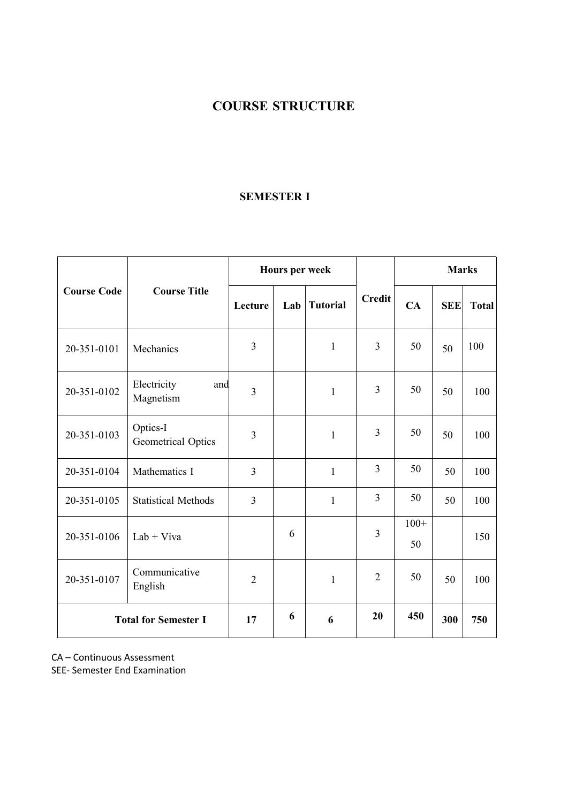# **COURSE STRUCTURE**

# **SEMESTER I**

|                    |                                 |                                   | Hours per week |              |                |              | <b>Marks</b> |     |
|--------------------|---------------------------------|-----------------------------------|----------------|--------------|----------------|--------------|--------------|-----|
| <b>Course Code</b> | <b>Course Title</b>             | <b>Tutorial</b><br>Lecture<br>Lab | <b>Credit</b>  | CA           | <b>SEE</b>     | <b>Total</b> |              |     |
| 20-351-0101        | Mechanics                       | $\overline{3}$                    |                | $\mathbf{1}$ | 3              | 50           | 50           | 100 |
| 20-351-0102        | Electricity<br>and<br>Magnetism | $\overline{3}$                    |                | $\mathbf{1}$ | 3              | 50           | 50           | 100 |
| 20-351-0103        | Optics-I<br>Geometrical Optics  | 3                                 |                | $\mathbf{1}$ | 3              | 50           | 50           | 100 |
| 20-351-0104        | Mathematics I                   | $\overline{3}$                    |                | $\mathbf{1}$ | $\overline{3}$ | 50           | 50           | 100 |
| 20-351-0105        | <b>Statistical Methods</b>      | $\overline{3}$                    |                | $\mathbf{1}$ | 3              | 50           | 50           | 100 |
| 20-351-0106        | $Lab + Viva$                    |                                   | 6              |              | 3              | $100+$<br>50 |              | 150 |
| 20-351-0107        | Communicative<br>English        | $\overline{2}$                    |                | $\mathbf{1}$ | $\overline{2}$ | 50           | 50           | 100 |
|                    | <b>Total for Semester I</b>     | 17                                | 6              | 6            | 20             | 450          | 300          | 750 |

CA – Continuous Assessment

SEE- Semester End Examination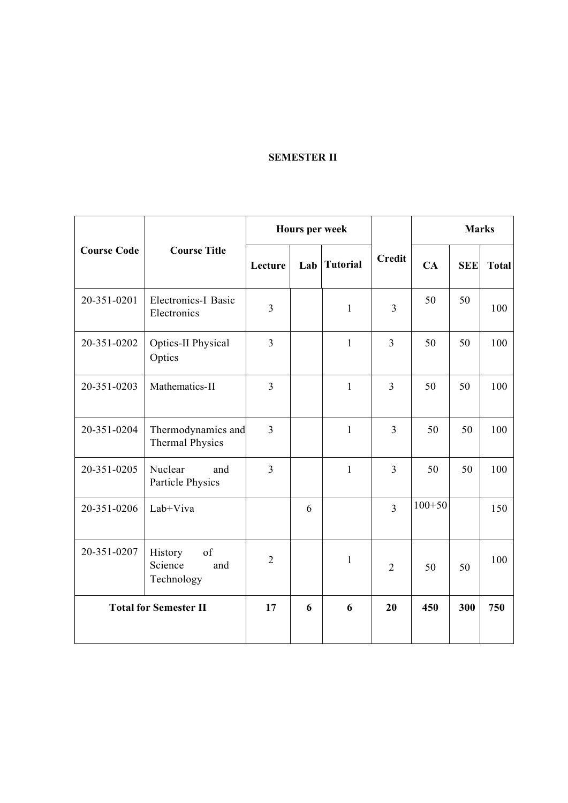# **SEMESTER II**

|                    |                                               |                | Hours per week |                 |                |            | <b>Marks</b> |              |  |
|--------------------|-----------------------------------------------|----------------|----------------|-----------------|----------------|------------|--------------|--------------|--|
| <b>Course Code</b> | <b>Course Title</b>                           | Lecture        | Lab            | <b>Tutorial</b> | <b>Credit</b>  | CA         | <b>SEE</b>   | <b>Total</b> |  |
| 20-351-0201        | Electronics-I Basic<br>Electronics            | $\overline{3}$ |                | $\mathbf{1}$    | $\overline{3}$ | 50         | 50           | 100          |  |
| 20-351-0202        | Optics-II Physical<br>Optics                  | $\overline{3}$ |                | $\mathbf{1}$    | $\overline{3}$ | 50         | 50           | 100          |  |
| 20-351-0203        | Mathematics-II                                | $\overline{3}$ |                | $\mathbf{1}$    | $\overline{3}$ | 50         | 50           | 100          |  |
| 20-351-0204        | Thermodynamics and<br><b>Thermal Physics</b>  | $\overline{3}$ |                | $\mathbf{1}$    | $\overline{3}$ | 50         | 50           | 100          |  |
| 20-351-0205        | Nuclear<br>and<br>Particle Physics            | $\overline{3}$ |                | $\mathbf{1}$    | $\overline{3}$ | 50         | 50           | 100          |  |
| 20-351-0206        | Lab+Viva                                      |                | 6              |                 | $\overline{3}$ | $100 + 50$ |              | 150          |  |
| 20-351-0207        | of<br>History<br>Science<br>and<br>Technology | $\overline{2}$ |                | $\mathbf{1}$    | $\overline{2}$ | 50         | 50           | 100          |  |
|                    | <b>Total for Semester II</b>                  | 17             | 6              | 6               | 20             | 450        | 300          | 750          |  |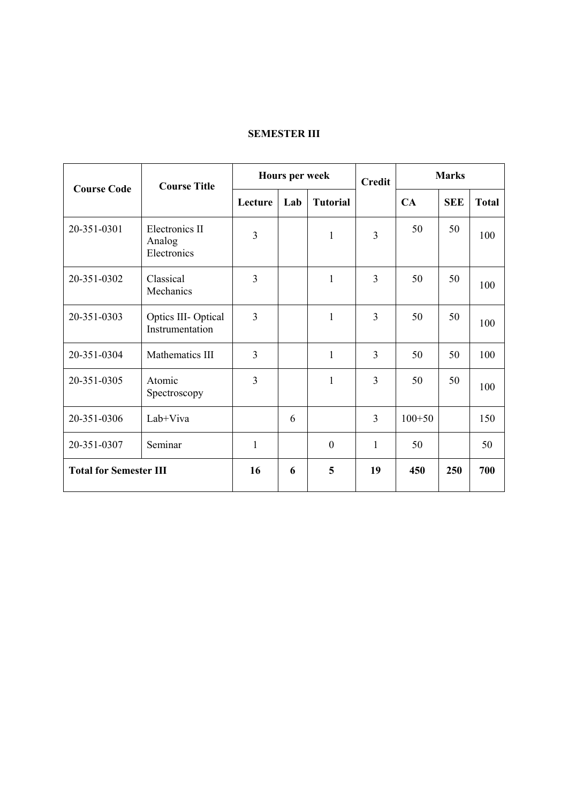# **SEMESTER III**

| <b>Course Code</b>            | <b>Course Title</b>                     |                | <b>Hours per week</b> |                  |                |            | <b>Marks</b> |              |
|-------------------------------|-----------------------------------------|----------------|-----------------------|------------------|----------------|------------|--------------|--------------|
|                               |                                         | Lecture        | Lab                   | <b>Tutorial</b>  |                | CA         | <b>SEE</b>   | <b>Total</b> |
| 20-351-0301                   | Electronics II<br>Analog<br>Electronics | 3              |                       | $\mathbf{1}$     | $\overline{3}$ | 50         | 50           | 100          |
| 20-351-0302                   | Classical<br>Mechanics                  | $\overline{3}$ |                       | $\mathbf{1}$     | $\overline{3}$ | 50         | 50           | 100          |
| 20-351-0303                   | Optics III-Optical<br>Instrumentation   | $\overline{3}$ |                       | $\mathbf{1}$     | $\overline{3}$ | 50         | 50           | 100          |
| 20-351-0304                   | Mathematics III                         | 3              |                       | $\mathbf{1}$     | $\overline{3}$ | 50         | 50           | 100          |
| 20-351-0305                   | Atomic<br>Spectroscopy                  | $\overline{3}$ |                       | $\mathbf{1}$     | 3              | 50         | 50           | 100          |
| 20-351-0306                   | Lab+Viva                                |                | 6                     |                  | $\overline{3}$ | $100 + 50$ |              | 150          |
| 20-351-0307                   | Seminar                                 | $\mathbf{1}$   |                       | $\boldsymbol{0}$ | $\mathbf{1}$   | 50         |              | 50           |
| <b>Total for Semester III</b> |                                         | 16             | 6                     | 5                | 19             | 450        | 250          | 700          |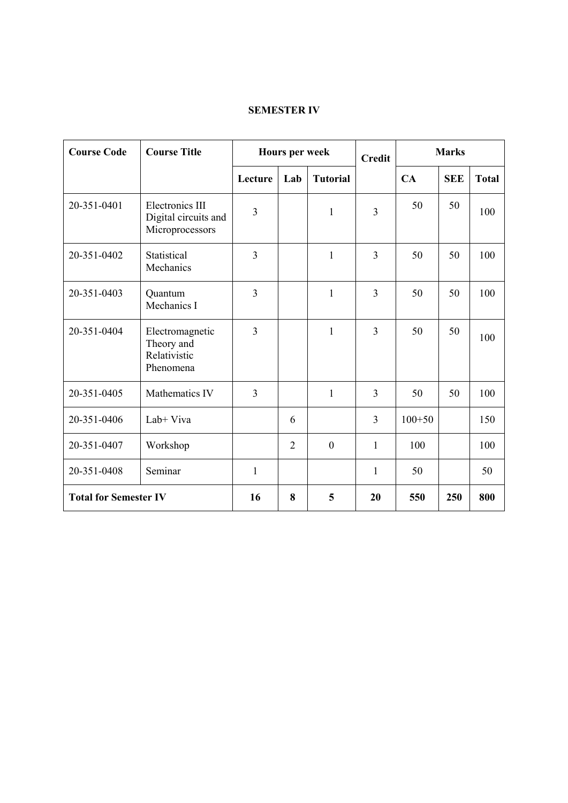# **SEMESTER IV**

| <b>Course Code</b>           | <b>Course Title</b>                                        |                | Hours per week |                  | <b>Credit</b>  | <b>Marks</b> |            |              |  |
|------------------------------|------------------------------------------------------------|----------------|----------------|------------------|----------------|--------------|------------|--------------|--|
|                              |                                                            | Lecture        | Lab            | <b>Tutorial</b>  |                | CA           | <b>SEE</b> | <b>Total</b> |  |
| 20-351-0401                  | Electronics III<br>Digital circuits and<br>Microprocessors | 3              |                | $\mathbf{1}$     | $\overline{3}$ | 50           | 50         | 100          |  |
| 20-351-0402                  | Statistical<br>Mechanics                                   | 3              |                | $\mathbf{1}$     | $\overline{3}$ | 50           | 50         | 100          |  |
| 20-351-0403                  | Quantum<br>Mechanics I                                     | $\overline{3}$ |                | $\mathbf{1}$     | $\overline{3}$ | 50           | 50         | 100          |  |
| 20-351-0404                  | Electromagnetic<br>Theory and<br>Relativistic<br>Phenomena | $\overline{3}$ |                | $\mathbf{1}$     | $\overline{3}$ | 50           | 50         | 100          |  |
| 20-351-0405                  | Mathematics IV                                             | $\overline{3}$ |                | $\mathbf{1}$     | $\overline{3}$ | 50           | 50         | 100          |  |
| 20-351-0406                  | Lab+ Viva                                                  |                | 6              |                  | $\overline{3}$ | $100 + 50$   |            | 150          |  |
| 20-351-0407                  | Workshop                                                   |                | $\overline{2}$ | $\boldsymbol{0}$ | $\mathbf{1}$   | 100          |            | 100          |  |
| 20-351-0408                  | Seminar                                                    | $\mathbf{1}$   |                |                  | $\mathbf{1}$   | 50           |            | 50           |  |
| <b>Total for Semester IV</b> |                                                            | 16             | 8              | 5                | 20             | 550          | 250        | 800          |  |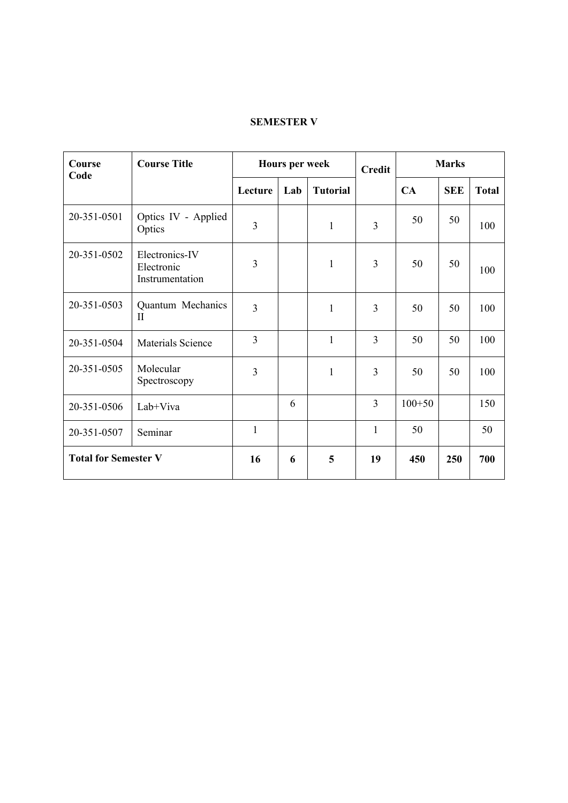# **SEMESTER V**

| Course<br>Code              | <b>Course Title</b>                             |                | <b>Hours per week</b> |                 | <b>Credit</b>  | <b>Marks</b> |            |              |  |
|-----------------------------|-------------------------------------------------|----------------|-----------------------|-----------------|----------------|--------------|------------|--------------|--|
|                             |                                                 | Lecture        | Lab                   | <b>Tutorial</b> |                | CA           | <b>SEE</b> | <b>Total</b> |  |
| 20-351-0501                 | Optics IV - Applied<br>Optics                   | $\overline{3}$ |                       | $\mathbf{1}$    | $\overline{3}$ | 50           | 50         | 100          |  |
| 20-351-0502                 | Electronics-IV<br>Electronic<br>Instrumentation | $\overline{3}$ |                       | $\mathbf{1}$    | $\mathfrak{Z}$ | 50           | 50         | 100          |  |
| 20-351-0503                 | Quantum Mechanics<br>$\mathbf{I}$               | $\overline{3}$ |                       | $\mathbf{1}$    | 3              | 50           | 50         | 100          |  |
| 20-351-0504                 | Materials Science                               | $\overline{3}$ |                       | $\mathbf{1}$    | $\overline{3}$ | 50           | 50         | 100          |  |
| 20-351-0505                 | Molecular<br>Spectroscopy                       | 3              |                       | $\mathbf{1}$    | 3              | 50           | 50         | 100          |  |
| 20-351-0506                 | Lab+Viva                                        |                | 6                     |                 | $\overline{3}$ | $100 + 50$   |            | 150          |  |
| 20-351-0507                 | Seminar                                         | $\mathbf{1}$   |                       |                 | $\mathbf{1}$   | 50           |            | 50           |  |
| <b>Total for Semester V</b> |                                                 | 16             | 6                     | 5               | 19             | 450          | 250        | 700          |  |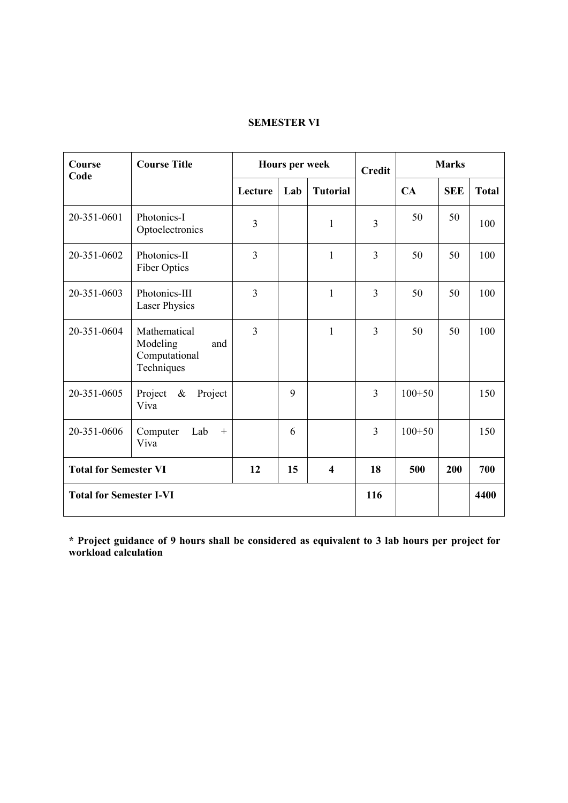# **SEMESTER VI**

| Course<br>Code                 | <b>Course Title</b>                                            |                | Hours per week |                         | <b>Credit</b>  |            | <b>Marks</b> |              |  |  |
|--------------------------------|----------------------------------------------------------------|----------------|----------------|-------------------------|----------------|------------|--------------|--------------|--|--|
|                                |                                                                | Lecture        | Lab            | <b>Tutorial</b>         |                | CA         | <b>SEE</b>   | <b>Total</b> |  |  |
| 20-351-0601                    | Photonics-I<br>Optoelectronics                                 | $\overline{3}$ |                | $\mathbf{1}$            | $\overline{3}$ | 50         | 50           | 100          |  |  |
| 20-351-0602                    | Photonics-II<br>Fiber Optics                                   | $\overline{3}$ |                | $\mathbf{1}$            | $\overline{3}$ | 50         | 50           | 100          |  |  |
| 20-351-0603                    | Photonics-III<br><b>Laser Physics</b>                          | $\overline{3}$ |                | 1                       | $\overline{3}$ | 50         | 50           | 100          |  |  |
| 20-351-0604                    | Mathematical<br>Modeling<br>and<br>Computational<br>Techniques | 3              |                | $\mathbf{1}$            | $\overline{3}$ | 50         | 50           | 100          |  |  |
| 20-351-0605                    | Project<br>$\&$<br>Project<br>Viva                             |                | 9              |                         | $\overline{3}$ | $100+50$   |              | 150          |  |  |
| 20-351-0606                    | Computer<br>Lab<br>$\boldsymbol{+}$<br>Viva                    |                | 6              |                         | 3              | $100 + 50$ |              | 150          |  |  |
| <b>Total for Semester VI</b>   |                                                                | 12             | 15             | $\overline{\mathbf{4}}$ | 18             | 500        | 200          | 700          |  |  |
| <b>Total for Semester I-VI</b> |                                                                |                |                |                         | 116            |            |              | 4400         |  |  |

**\* Project guidance of 9 hours shall be considered as equivalent to 3 lab hours per project for workload calculation**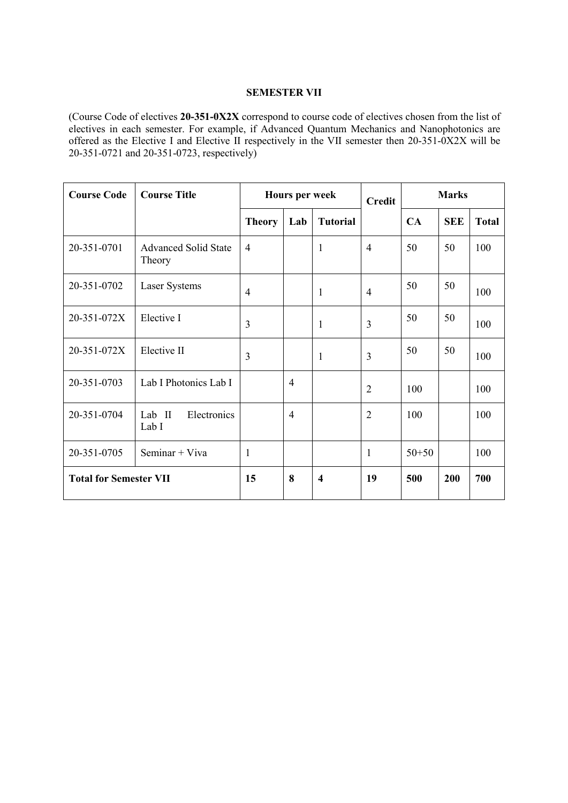## **SEMESTER VII**

(Course Code of electives **20-351-0X2X** correspond to course code of electives chosen from the list of electives in each semester. For example, if Advanced Quantum Mechanics and Nanophotonics are offered as the Elective I and Elective II respectively in the VII semester then 20-351-0X2X will be 20-351-0721 and 20-351-0723, respectively)

| <b>Course Code</b>            | <b>Course Title</b>                   |                | Hours per week |                         | <b>Credit</b>  | <b>Marks</b> |            |              |
|-------------------------------|---------------------------------------|----------------|----------------|-------------------------|----------------|--------------|------------|--------------|
|                               |                                       | <b>Theory</b>  | Lab            | <b>Tutorial</b>         |                | CA           | <b>SEE</b> | <b>Total</b> |
| 20-351-0701                   | <b>Advanced Solid State</b><br>Theory | $\overline{4}$ |                | $\mathbf{1}$            | $\overline{4}$ | 50           | 50         | 100          |
| 20-351-0702                   | Laser Systems                         | $\overline{4}$ |                | $\mathbf{1}$            | $\overline{4}$ | 50           | 50         | 100          |
| 20-351-072X                   | Elective I                            | 3              |                | $\mathbf{1}$            | $\overline{3}$ | 50           | 50         | 100          |
| 20-351-072X                   | Elective II                           | 3              |                | $\mathbf{1}$            | $\overline{3}$ | 50           | 50         | 100          |
| 20-351-0703                   | Lab I Photonics Lab I                 |                | $\overline{4}$ |                         | $\overline{2}$ | 100          |            | 100          |
| 20-351-0704                   | Lab II<br>Electronics<br>Lab I        |                | $\overline{4}$ |                         | $\overline{2}$ | 100          |            | 100          |
| 20-351-0705                   | Seminar + Viva                        | $\mathbf{1}$   |                |                         | $\mathbf{1}$   | $50 + 50$    |            | 100          |
| <b>Total for Semester VII</b> |                                       | 15             | 8              | $\overline{\mathbf{4}}$ | 19             | 500          | 200        | 700          |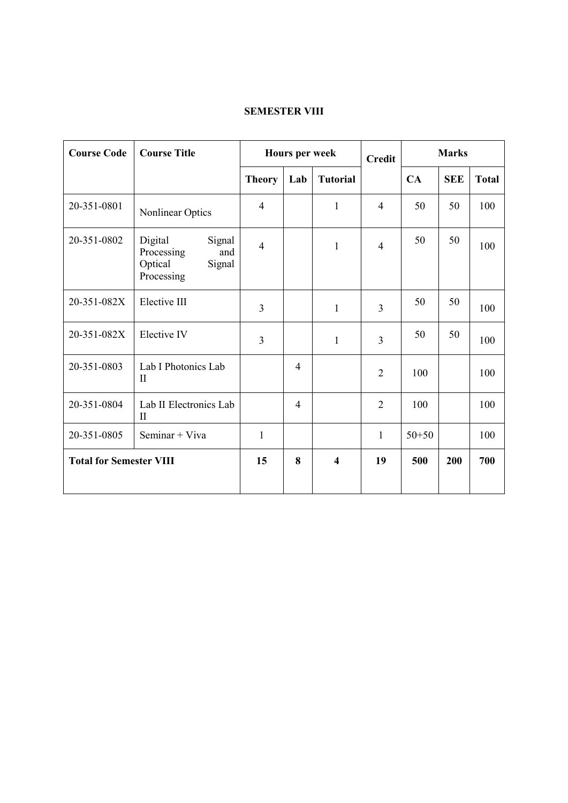# **SEMESTER VIII**

| <b>Course Code</b>             | <b>Course Title</b>                                                       |                | Hours per week |                         | <b>Credit</b>  | <b>Marks</b> |            |              |
|--------------------------------|---------------------------------------------------------------------------|----------------|----------------|-------------------------|----------------|--------------|------------|--------------|
|                                |                                                                           | <b>Theory</b>  | Lab            | <b>Tutorial</b>         |                | CA           | <b>SEE</b> | <b>Total</b> |
| 20-351-0801                    | Nonlinear Optics                                                          | $\overline{4}$ |                | $\mathbf{1}$            | $\overline{4}$ | 50           | 50         | 100          |
| 20-351-0802                    | Digital<br>Signal<br>Processing<br>and<br>Optical<br>Signal<br>Processing | $\overline{4}$ |                | $\mathbf{1}$            | $\overline{4}$ | 50           | 50         | 100          |
| 20-351-082X                    | Elective III                                                              | $\overline{3}$ |                | $\mathbf{1}$            | $\overline{3}$ | 50           | 50         | 100          |
| 20-351-082X                    | Elective IV                                                               | $\overline{3}$ |                | $\mathbf{1}$            | $\overline{3}$ | 50           | 50         | 100          |
| 20-351-0803                    | Lab I Photonics Lab<br>$\rm{II}$                                          |                | 4              |                         | $\overline{2}$ | 100          |            | 100          |
| 20-351-0804                    | Lab II Electronics Lab<br>$\rm{II}$                                       |                | 4              |                         | $\overline{2}$ | 100          |            | 100          |
| 20-351-0805                    | Seminar + Viva                                                            | $\mathbf{1}$   |                |                         | $\mathbf{1}$   | $50 + 50$    |            | 100          |
| <b>Total for Semester VIII</b> |                                                                           | 15             | 8              | $\overline{\mathbf{4}}$ | 19             | 500          | 200        | 700          |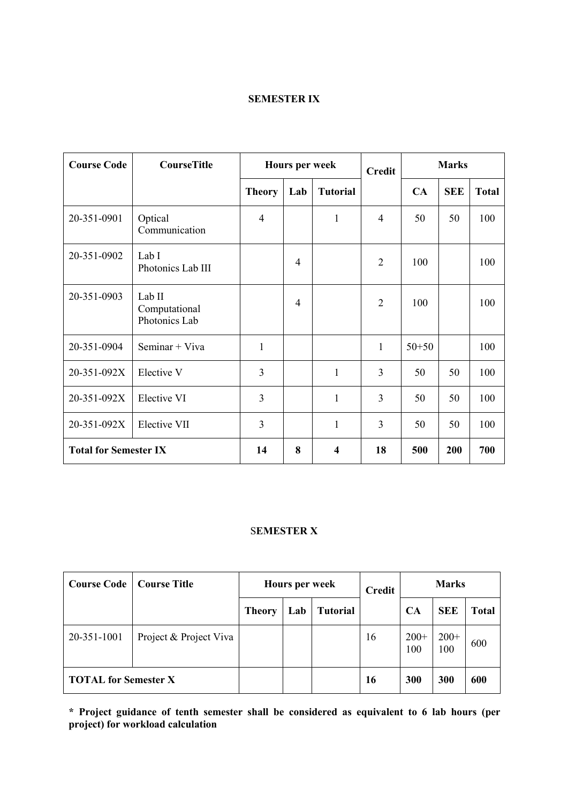# **SEMESTER IX**

| <b>Course Code</b>           | <b>CourseTitle</b>                       |                | <b>Hours per week</b> |                 | <b>Credit</b>  | <b>Marks</b> |            |              |  |  |
|------------------------------|------------------------------------------|----------------|-----------------------|-----------------|----------------|--------------|------------|--------------|--|--|
|                              |                                          | <b>Theory</b>  | Lab                   | <b>Tutorial</b> |                | CA           | <b>SEE</b> | <b>Total</b> |  |  |
| 20-351-0901                  | Optical<br>Communication                 | $\overline{4}$ |                       | $\mathbf{1}$    | $\overline{4}$ | 50           | 50         | 100          |  |  |
| 20-351-0902                  | Lab I<br>Photonics Lab III               |                | 4                     |                 | $\overline{2}$ | 100          |            | 100          |  |  |
| 20-351-0903                  | Lab II<br>Computational<br>Photonics Lab |                | 4                     |                 | $\overline{2}$ | 100          |            | 100          |  |  |
| 20-351-0904                  | Seminar + Viva                           | $\mathbf{1}$   |                       |                 | $\mathbf{1}$   | $50 + 50$    |            | 100          |  |  |
| 20-351-092X                  | Elective V                               | 3              |                       | $\mathbf{1}$    | 3              | 50           | 50         | 100          |  |  |
| 20-351-092X                  | Elective VI                              | $\overline{3}$ |                       | $\mathbf{1}$    | $\overline{3}$ | 50           | 50         | 100          |  |  |
| 20-351-092X                  | Elective VII                             | 3              |                       | $\mathbf{1}$    | $\overline{3}$ | 50           | 50         | 100          |  |  |
| <b>Total for Semester IX</b> |                                          | 14             | 8                     | 4               | 18             | 500          | 200        | 700          |  |  |

# S**EMESTER X**

| <b>Course Code</b>          | <b>Course Title</b>    | <b>Hours per week</b> |     | <b>Marks</b><br><b>Credit</b> |    |               |               |              |
|-----------------------------|------------------------|-----------------------|-----|-------------------------------|----|---------------|---------------|--------------|
|                             |                        | Theory                | Lab | <b>Tutorial</b>               |    | CA            | <b>SEE</b>    | <b>Total</b> |
| 20-351-1001                 | Project & Project Viva |                       |     |                               | 16 | $200+$<br>100 | $200+$<br>100 | 600          |
| <b>TOTAL for Semester X</b> |                        |                       |     |                               | 16 | 300           | 300           | 600          |

**\* Project guidance of tenth semester shall be considered as equivalent to 6 lab hours (per project) for workload calculation**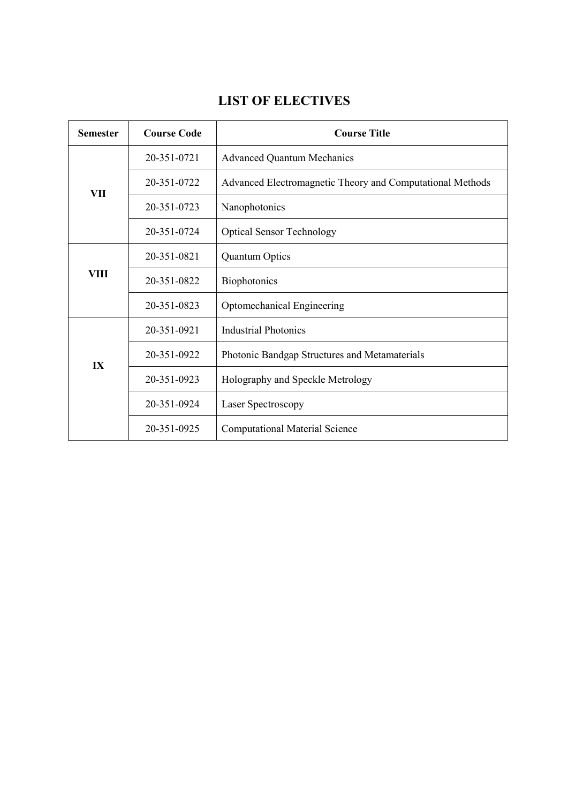# **LIST OF ELECTIVES**

| <b>Semester</b> | <b>Course Code</b> | <b>Course Title</b>                                       |
|-----------------|--------------------|-----------------------------------------------------------|
|                 | 20-351-0721        | <b>Advanced Quantum Mechanics</b>                         |
| <b>VII</b>      | 20-351-0722        | Advanced Electromagnetic Theory and Computational Methods |
|                 | 20-351-0723        | Nanophotonics                                             |
|                 | 20-351-0724        | <b>Optical Sensor Technology</b>                          |
|                 | 20-351-0821        | <b>Quantum Optics</b>                                     |
| <b>VIII</b>     | 20-351-0822        | Biophotonics                                              |
|                 | 20-351-0823        | Optomechanical Engineering                                |
|                 | 20-351-0921        | <b>Industrial Photonics</b>                               |
| IX              | 20-351-0922        | Photonic Bandgap Structures and Metamaterials             |
|                 | 20-351-0923        | Holography and Speckle Metrology                          |
|                 | 20-351-0924        | Laser Spectroscopy                                        |
|                 | 20-351-0925        | <b>Computational Material Science</b>                     |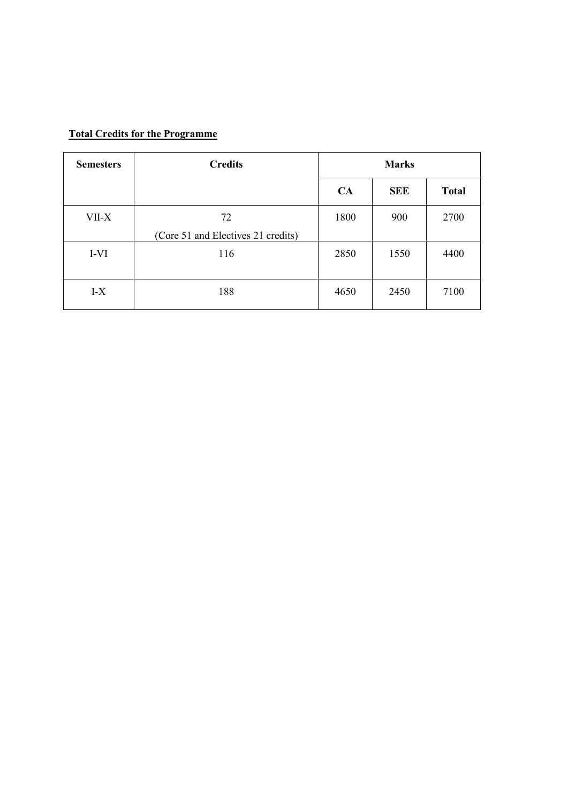# **Total Credits for the Programme**

| <b>Semesters</b> | <b>Credits</b>                           |      | <b>Marks</b> |              |
|------------------|------------------------------------------|------|--------------|--------------|
|                  |                                          | CA   | <b>SEE</b>   | <b>Total</b> |
| VII-X            | 72<br>(Core 51 and Electives 21 credits) | 1800 | 900          | 2700         |
| I-VI             | 116                                      | 2850 | 1550         | 4400         |
| $I-X$            | 188                                      | 4650 | 2450         | 7100         |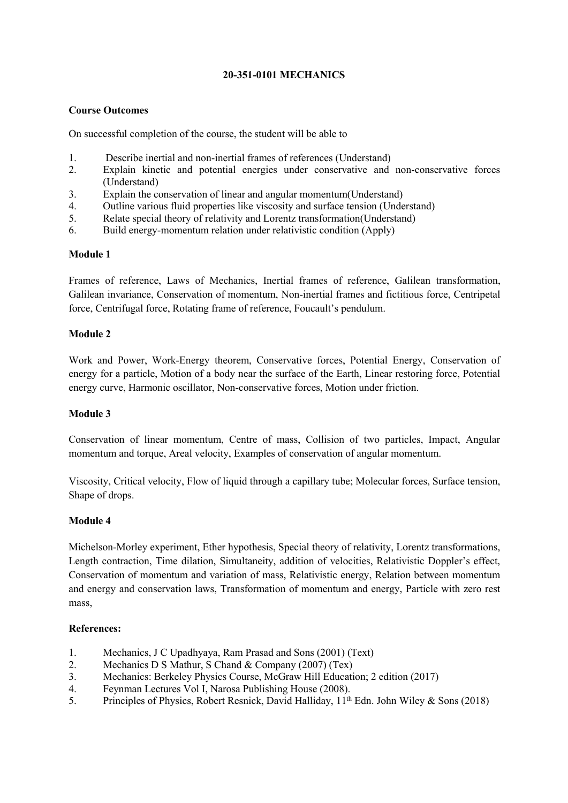# **20-351-0101 MECHANICS**

# **Course Outcomes**

On successful completion of the course, the studentwill be able to

- 1. Describe inertial and non-inertial frames of references (Understand)
- 2. Explain kinetic and potential energies under conservative and non-conservative forces (Understand)
- 3. Explain the conservation of linear and angular momentum (Understand)
- 4. Outline various fluid properties like viscosity and surface tension (Understand)
- 5. Relate special theory of relativity and Lorentz transformation(Understand)
- 6. Build energy-momentum relation under relativistic condition (Apply)

# **Module 1**

Frames of reference, Laws of Mechanics, Inertial frames of reference, Galilean transformation, Galilean invariance,Conservation of momentum, Non-inertial frames and fictitious force,Centripetal force, Centrifugal force, Rotating frame of reference, Foucault's pendulum.

# **Module 2**

Work and Power, Work-Energy theorem, Conservative forces, Potential Energy, Conservation of energy for a particle, Motion of a body near the surface of the Earth, Linear restoring force, Potential energy curve, Harmonic oscillator, Non-conservative forces, Motion under friction.

#### **Module 3**

Conservation of linear momentum, Centre of mass, Collision of two particles, Impact, Angular momentum and torque, Areal velocity, Examples of conservation of angular momentum.

Viscosity, Critical velocity, Flow of liquid through a capillary tube; Molecular forces, Surface tension, Shape of drops.

# **Module 4**

Michelson-Morley experiment, Ether hypothesis, Special theory of relativity, Lorentz transformations, Length contraction, Time dilation, Simultaneity, addition of velocities, Relativistic Doppler's effect, Conservation of momentum and variation of mass, Relativistic energy, Relation between momentum and energy and conservation laws, Transformation of momentum and energy, Particle with zero rest mass,

#### **References:**

- 1. Mechanics, J C Upadhyaya, Ram Prasad and Sons (2001) (Text)
- 2. Mechanics D S Mathur, S Chand & Company (2007) (Tex)
- 3. Mechanics: Berkeley Physics Course, McGraw Hill Education; 2 edition (2017)
- 4. Feynman Lectures Vol I, Narosa Publishing House (2008).
- 5. Principles of Physics, Robert Resnick, David Halliday, 11<sup>th</sup> Edn. John Wiley & Sons (2018)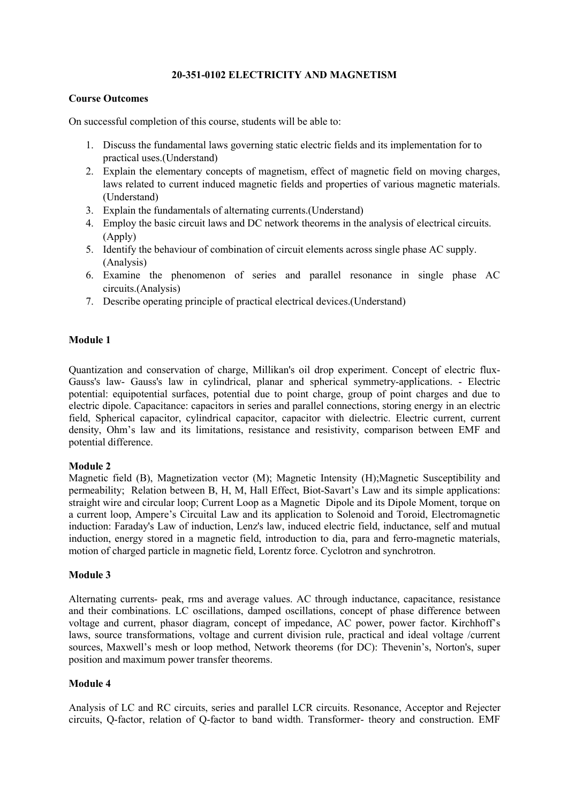## **20-351-0102 ELECTRICITY AND MAGNETISM**

## **Course Outcomes**

On successful completion of this course, students will be able to:

- 1. Discuss the fundamental laws governing static electric fields and its implementation for to practical uses.(Understand)
- 2. Explain the elementary concepts of magnetism, effect of magnetic field on moving charges, laws related to current induced magnetic fields and properties of various magnetic materials. (Understand)
- 3. Explain the fundamentals of alternating currents. (Understand)
- 4. Employ the basic circuit laws and DC network theorems in the analysis of electrical circuits. (Apply)
- 5. Identify the behaviour of combination of circuit elements across single phase AC supply. (Analysis)
- 6. Examine the phenomenon of series and parallel resonance in single phase AC circuits.(Analysis)
- 7. Describe operating principle of practical electrical devices.(Understand)

# **Module 1**

Quantization and conservation of charge, Millikan's oil drop experiment. Concept of electric flux- Gauss's law- Gauss's law in cylindrical, planar and spherical symmetry-applications. - Electric potential: equipotential surfaces, potential due to point charge, group of point charges and due to electric dipole. Capacitance: capacitors in series and parallel connections, storing energy in an electric field, Spherical capacitor, cylindrical capacitor, capacitor with dielectric. Electric current, current density, Ohm's law and its limitations, resistance and resistivity, comparison between EMF and potential difference.

# **Module 2**

Magnetic field (B), Magnetization vector (M); Magnetic Intensity (H);Magnetic Susceptibility and permeability; Relation between B, H, M, Hall Effect, Biot-Savart's Law and its simple applications: straight wire and circular loop; Current Loop as a Magnetic Dipole and its Dipole Moment, torque on a current loop, Ampere's Circuital Law and its application to Solenoid and Toroid, Electromagnetic induction: Faraday's Law of induction, Lenz's law, induced electric field, inductance, self and mutual induction, energy stored in a magnetic field, introduction to dia, para and ferro-magnetic materials, motion of charged particle in magnetic field, Lorentz force. Cyclotron and synchrotron.

#### **Module 3**

Alternating currents- peak, rms and average values. AC through inductance, capacitance, resistance and their combinations. LC oscillations, damped oscillations, concept of phase difference between voltage and current, phasor diagram, concept of impedance, AC power, power factor. Kirchhoff's laws, source transformations, voltage and current division rule, practical and ideal voltage /current sources, Maxwell's mesh or loop method, Network theorems (for DC): Thevenin's, Norton's, super position and maximum power transfer theorems.

# **Module 4**

Analysis of LC and RC circuits, series and parallel LCR circuits. Resonance, Acceptor and Rejecter circuits, Q-factor, relation of Q-factor to band width. Transformer- theory and construction. EMF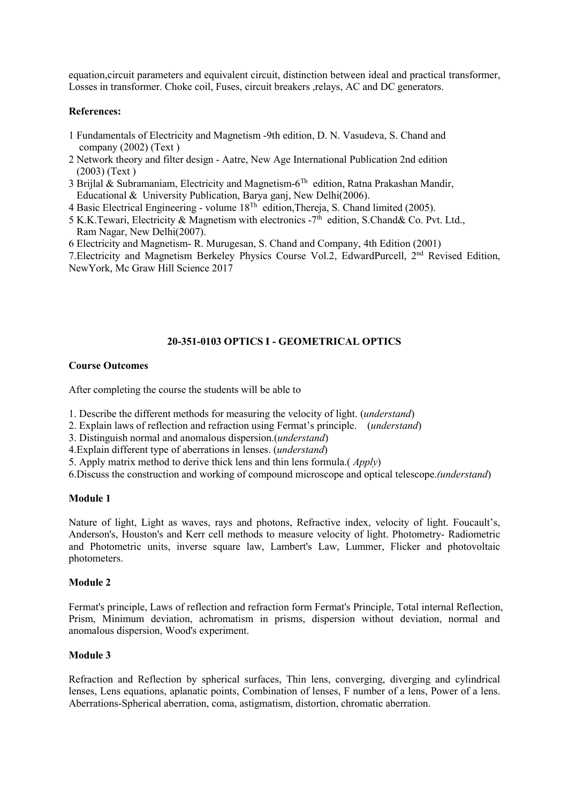equation,circuit parameters and equivalent circuit, distinction between ideal and practical transformer, Losses in transformer. Choke coil, Fuses, circuit breakers ,relays, AC and DC generators.

#### **References:**

- 1 Fundamentals ofElectricity and Magnetism -9th edition, D. N. Vasudeva, S. Chand and company (2002) (Text )
- 2 Network theory and filter design Aatre, New Age International Publication 2nd edition (2003) (Text )
- 3 Brijlal & Subramaniam, Electricity and Magnetism-6 Th edition, Ratna Prakashan Mandir, Educational & University Publication, Barya ganj, New Delhi(2006).
- 4 Basic Electrical Engineering volume 18 Th edition,Thereja, S. Chand limited (2005).
- 5 K.K.Tewari, Electricity & Magnetism with electronics  $-7<sup>th</sup>$  edition, S.Chand& Co. Pvt. Ltd., Ram Nagar, New Delhi(2007).
- 6 Electricity and Magnetism- R. Murugesan, S. Chand and Company, 4th Edition (2001)

7. Electricity and Magnetism Berkeley Physics Course Vol.2, EdwardPurcell, 2<sup>nd</sup> Revised Edition, NewYork, Mc Graw Hill Science 2017

# **20-351-0103 OPTICS I - GEOMETRICAL OPTICS**

#### **Course Outcomes**

After completing the course the students will be able to

1. Describe the different methods for measuring the velocity of light. (*understand*)

- 2. Explain lawsofreflection and refraction using Fermat's principle. (*understand*)
- 3. Distinguish normal and anomalous dispersion.(*understand*)
- 4.Explain different type of aberrations in lenses. (*understand*)
- 5. Apply matrix method to derive thick lens and thin lens formula.( *Apply*)

6.Discuss the construction and working of compound microscope and optical telescope.*(understand*)

#### **Module 1**

Nature of light, Light as waves, rays and photons, Refractive index, velocity of light. Foucault's, Anderson's, Houston's and Kerr cell methods to measure velocity of light. Photometry- Radiometric and Photometric units, inverse square law, Lambert's Law, Lummer, Flicker and photovoltaic photometers.

#### **Module 2**

Fermat's principle, Laws of reflection and refraction form Fermat's Principle, Total internal Reflection, Prism, Minimum deviation, achromatism in prisms, dispersion without deviation, normal and anomalous dispersion, Wood's experiment.

#### **Module 3**

Refraction and Reflection by spherical surfaces, Thin lens, converging, diverging and cylindrical lenses, Lens equations, aplanatic points, Combination of lenses, F number of a lens, Power of a lens. Aberrations-Spherical aberration, coma, astigmatism, distortion, chromatic aberration.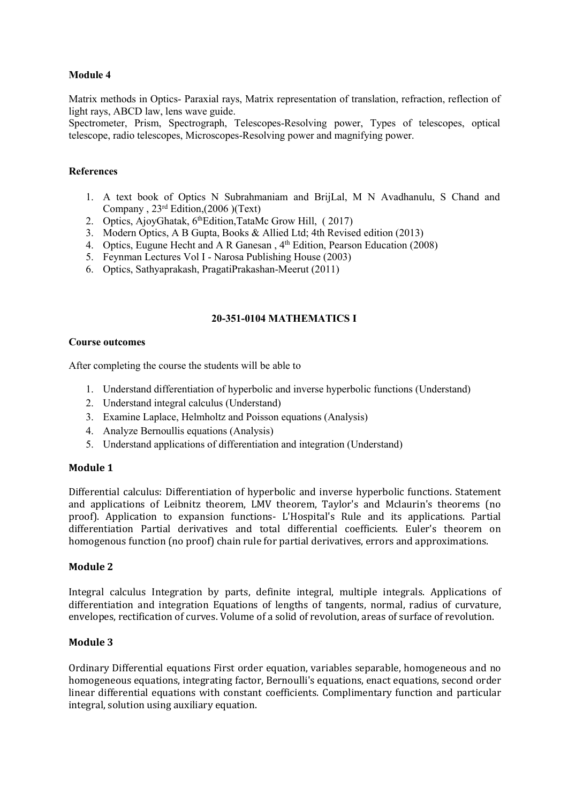Matrix methods in Optics- Paraxial rays, Matrix representation of translation, refraction, reflection of light rays, ABCD law, lens wave guide.

Spectrometer, Prism, Spectrograph, Telescopes-Resolving power, Types of telescopes, optical telescope, radio telescopes, Microscopes-Resolving power and magnifying power.

# **References**

- 1. A text book of Optics N Subrahmaniam and BrijLal, M N Avadhanulu, S Chand and Company , 23 rd Edition,(2006 )(Text)
- 2. Optics, AjoyGhatak, 6<sup>th</sup>Edition,TataMc Grow Hill, (2017)
- 3. Modern Optics, A B Gupta, Books & Allied Ltd; 4th Revised edition (2013)
- 4. Optics, Eugune Hecht and A R Ganesan, 4<sup>th</sup> Edition, Pearson Education (2008)
- 5. Feynman Lectures Vol I Narosa Publishing House (2003)
- 6. Optics, Sathyaprakash, PragatiPrakashan-Meerut (2011)

# **20-351-0104 MATHEMATICS I**

#### **Course outcomes**

After completing the course the students will be able to

- 1. Understand differentiation of hyperbolic and inverse hyperbolic functions (Understand)
- 2. Understand integral calculus (Understand)
- 3. Examine Laplace, Helmholtz and Poisson equations (Analysis)
- 4. Analyze Bernoullis equations (Analysis)
- 5. Understand applications of differentiation and integration (Understand)

#### **Module 1**

Differential calculus: Differentiation of hyperbolic and inverse hyperbolic functions. Statement and applications of Leibnitz theorem, LMV theorem, Taylor's and Mclaurin's theorems (no proof). Application to expansion functions- L'Hospital's Rule and its applications. Partial differentiation Partial derivatives and total differential coefficients. Euler's theorem on homogenous function (no proof) chain rule for partial derivatives, errors and approximations.

#### **Module 2**

Integral calculus Integration by parts, definite integral, multiple integrals. Applications of differentiation and integration Equations of lengths of tangents, normal, radius of curvature, envelopes, rectification of curves. Volume of a solid of revolution, areas of surface of revolution.

#### **Module 3**

Ordinary Differential equations First order equation, variables separable, homogeneous and no homogeneous equations, integrating factor, Bernoulli's equations, enact equations, second order linear differential equations with constant coefficients. Complimentary function and particular integral, solution using auxiliary equation.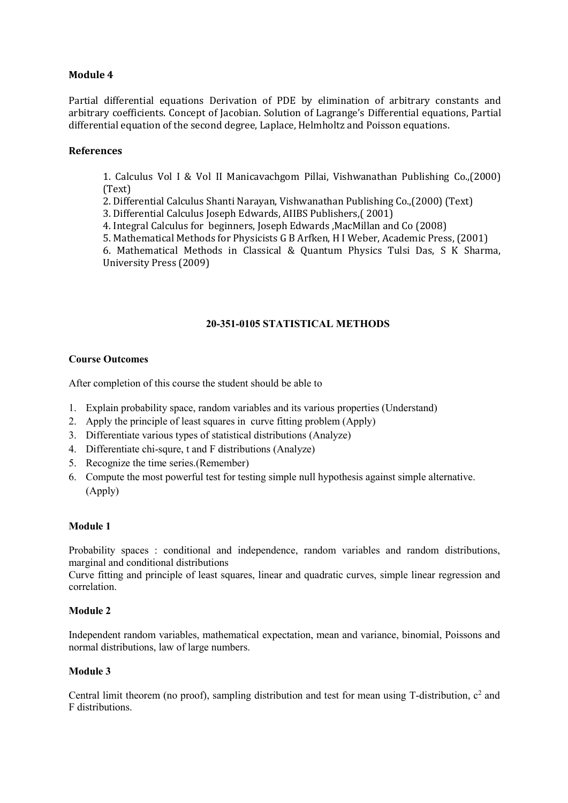Partial differential equations Derivation of PDE by elimination of arbitrary constants and arbitrary coefficients. Concept of Jacobian. Solution of Lagrange's Differential equations, Partial differential equation of the second degree, Laplace, Helmholtz and Poisson equations.

## **References**

1. Calculus Vol I & Vol II Manicavachgom Pillai, Vishwanathan Publishing Co.,(2000) (Text)

2. Differential Calculus Shanti Narayan, Vishwanathan Publishing Co.,(2000) (Text)

3. Differential Calculus Joseph Edwards, AIIBS Publishers,( 2001)

4. Integral Calculus for beginners, Joseph Edwards ,MacMillan and Co (2008)

5. Mathematical Methods for Physicists G B Arfken, H I Weber, Academic Press, (2001)

6. Mathematical Methods in Classical & Quantum Physics Tulsi Das, S K Sharma, University Press (2009)

# **20-351-0105 STATISTICAL METHODS**

#### **Course Outcomes**

After completion of this course the student should be able to

- 1. Explain probability space, random variables and its various properties (Understand)
- 2. Apply the principle of least squares in curve fitting problem (Apply)
- 3. Differentiate various types of statistical distributions (Analyze)
- 4. Differentiate chi-squre, t and F distributions (Analyze)
- 5. Recognize the time series.(Remember)
- 6. Compute the most powerful test for testing simple null hypothesis against simple alternative. (Apply)

#### **Module 1**

Probability spaces : conditional and independence, random variables and random distributions, marginal and conditional distributions

Curve fitting and principle of least squares, linear and quadratic curves, simple linear regression and correlation.

#### **Module 2**

Independent random variables, mathematical expectation, mean and variance, binomial, Poissons and normal distributions, law of large numbers.

# **Module 3**

Central limit theorem (no proof), sampling distribution and test for mean using T-distribution,  $c^2$  and F distributions.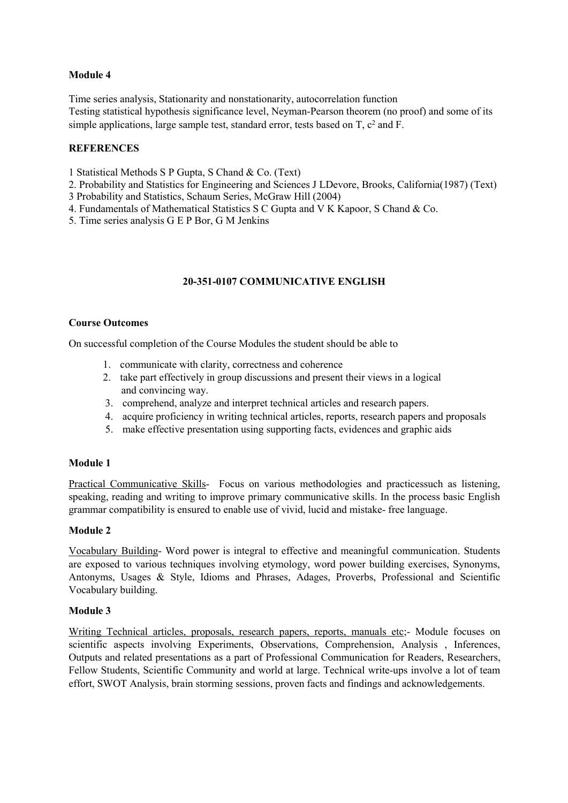Time series analysis, Stationarity and nonstationarity, autocorrelation function Testing statistical hypothesis significance level, Neyman-Pearson theorem (no proof) and some of its simple applications, large sample test, standard error, tests based on T, c <sup>2</sup> and F.

# **REFERENCES**

1 Statistical Methods S P Gupta, S Chand & Co. (Text)

- 2. Probability and Statistics for Engineering and Sciences J LDevore, Brooks, California(1987) (Text)
- 3 Probability and Statistics, Schaum Series, McGraw Hill (2004)
- 4. Fundamentals of Mathematical Statistics S C Gupta and V K Kapoor, S Chand & Co.
- 5. Time series analysis G E P Bor, G M Jenkins

# **20-351-0107 COMMUNICATIVE ENGLISH**

# **Course Outcomes**

On successful completion of the Course Modules the student should be able to

- 1. communicate with clarity, correctness and coherence
- 2. take part effectively in group discussions and present their views in a logical and convincing way.
- 3. comprehend, analyze and interpret technical articles and research papers.
- 4. acquire proficiency in writing technical articles, reports, research papers and proposals
- 5. make effective presentation using supporting facts, evidences and graphic aids

# **Module 1**

Practical Communicative Skills- Focus on various methodologies and practicessuch as listening, speaking, reading and writing to improve primary communicative skills. In the process basic English grammar compatibility is ensured to enable use of vivid,lucid and mistake- free language.

# **Module 2**

Vocabulary Building- Word power is integral to effective and meaningful communication. Students are exposed to various techniques involving etymology, word power building exercises, Synonyms, Antonyms, Usages & Style, Idioms and Phrases, Adages, Proverbs, Professional and Scientific Vocabulary building.

# **Module 3**

Writing Technical articles, proposals, research papers, reports, manuals etc;- Module focuses on scientific aspects involving Experiments, Observations, Comprehension, Analysis , Inferences, Outputs and related presentations as a part of Professional Communication for Readers, Researchers, Fellow Students, Scientific Community and world at large. Technical write-ups involve a lot of team effort, SWOT Analysis, brain storming sessions, proven factsand findings and acknowledgements.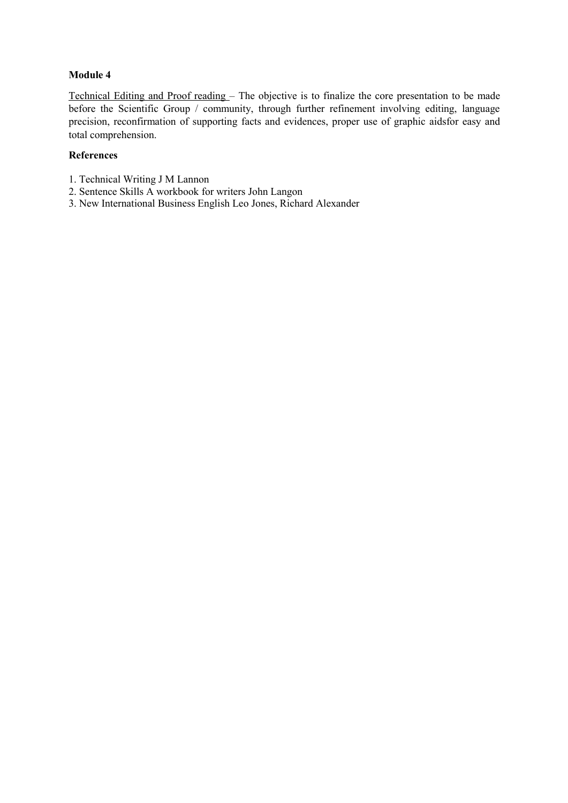Technical Editing and Proof reading - The objective is to finalize the core presentation to be made before the Scientific Group / community, through further refinement involving editing, language precision, reconfirmation of supporting facts and evidences, proper use of graphic aidsfor easy and total comprehension.

# **References**

- 1. Technical Writing J M Lannon
- 2. Sentence Skills A workbook for writers John Langon
- 3. New International Business English Leo Jones, Richard Alexander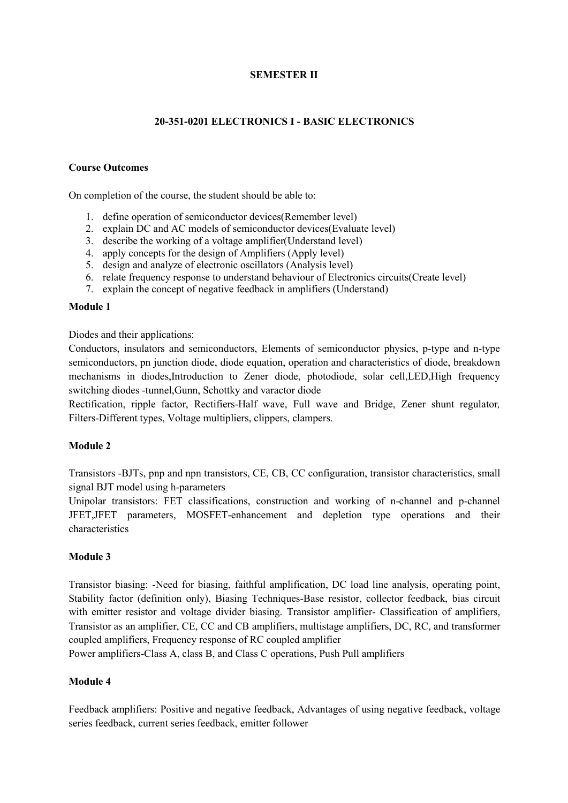# **SEMESTER II**

# **20-351-0201 ELECTRONICS I - BASIC ELECTRONICS**

#### **Course Outcomes**

On completion of the course, the student should be able to:

- 1. define operation of semiconductor devices(Remember level)
- 2. explain DC and AC models of semiconductor devices(Evaluate level)
- 3. describe the working of a voltage amplifier(Understand level)
- 4. apply concepts for the design of Amplifiers (Apply level)
- 5. design and analyze of electronic oscillators (Analysis level)
- 6. relate frequency response to understand behaviour of Electronics circuits(Create level)
- 7. explain the concept of negative feedback in amplifiers (Understand)

#### **Module 1**

Diodes and their applications:

Conductors, insulators and semiconductors, Elements of semiconductor physics, p-type and n-type semiconductors, pn junction diode, diode equation, operation and characteristics of diode, breakdown mechanisms in diodes,Introduction to Zener diode, photodiode, solar cell,LED,High frequency switching diodes -tunnel,Gunn, Schottky and varactor diode

Rectification, ripple factor, Rectifiers-Half wave, Full wave and Bridge, Zener shunt regulator*,* Filters-Different types, Voltage multipliers, clippers, clampers.

#### **Module 2**

Transistors -BJTs, pnp and npn transistors, CE, CB, CC configuration, transistor characteristics, small signal BJT model using h-parameters

Unipolar transistors: FET classifications, construction and working of n-channel and p-channel JFET,JFET parameters, MOSFET-enhancement and depletion type operations and their characteristics

#### **Module 3**

Transistor biasing: -Need for biasing, faithful amplification, DC load line analysis, operating point, Stability factor (definition only), Biasing Techniques-Base resistor, collector feedback, bias circuit with emitter resistor and voltage divider biasing. Transistor amplifier- Classification of amplifiers, Transistor as an amplifier, CE, CC and CB amplifiers, multistage amplifiers, DC, RC, and transformer coupled amplifiers, Frequency response of RC coupled amplifier

Power amplifiers-Class A, class B, and Class C operations, Push Pull amplifiers

#### **Module 4**

Feedback amplifiers: Positive and negative feedback, Advantages of using negative feedback, voltage series feedback, current series feedback, emitter follower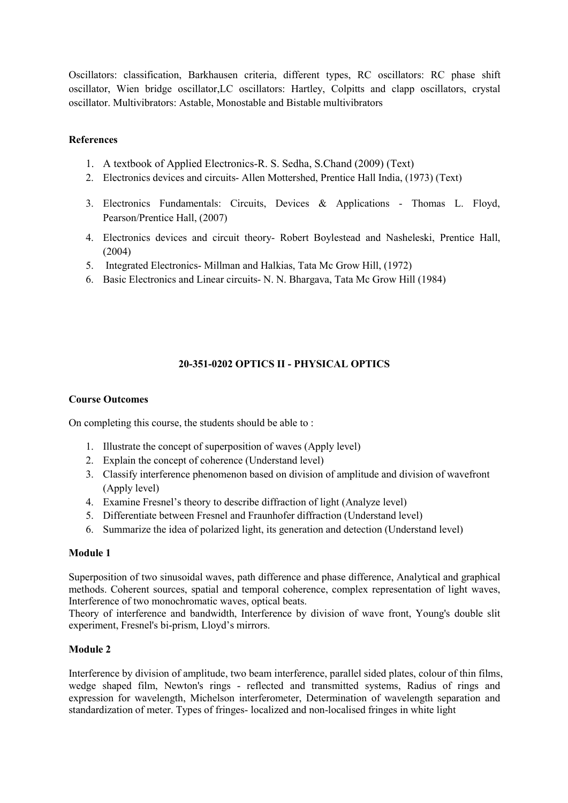Oscillators: classification, Barkhausen criteria, different types, RC oscillators: RC phase shift oscillator, Wien bridge oscillator,LC oscillators: Hartley, Colpitts and clapp oscillators, crystal oscillator. Multivibrators: Astable, Monostable and Bistable multivibrators

# **References**

- 1. A textbook of Applied Electronics-R. S. Sedha, S.Chand (2009) (Text)
- 2. Electronics devices and circuits- Allen Mottershed, Prentice Hall India, (1973) (Text)
- 3. Electronics Fundamentals: Circuits, Devices & Applications [Thomas](https://www.google.co.in/search?tbo=p&tbm=bks&q=inauthor:%22Thomas+L.+Floyd%22&source=gbs_metadata_r&cad=7) L. Floyd, Pearson/Prentice Hall, (2007)
- 4. Electronics devices and circuit theory- Robert Boylestead and Nasheleski, Prentice Hall, (2004)
- 5. Integrated Electronics- Millman and Halkias, Tata Mc Grow Hill, (1972)
- 6. Basic Electronics and Linear circuits- N. N. Bhargava, Tata Mc Grow Hill (1984)

# **20-351-0202 OPTICS II - PHYSICAL OPTICS**

#### **Course Outcomes**

On completing this course, the students should be able to :

- 1. Illustrate the concept of superposition of waves (Apply level)
- 2. Explain the concept of coherence (Understand level)
- 3. Classify interference phenomenon based on division of amplitude and division of wavefront (Apply level)
- 4. Examine Fresnel's theory to describe diffraction of light (Analyze level)
- 5. Differentiate between Fresnel and Fraunhofer diffraction (Understand level)
- 6. Summarize the idea of polarized light, its generation and detection (Understand level)

#### **Module 1**

Superposition of two sinusoidal waves, path difference and phase difference, Analytical and graphical methods. Coherent sources, spatial and temporal coherence, complex representation of light waves, Interference of two monochromatic waves, optical beats.

Theory of interference and bandwidth, Interference by division of wave front, Young's double slit experiment, Fresnel's bi-prism, Lloyd's mirrors.

#### **Module 2**

Interference by division of amplitude, two beam interference, parallel sided plates, colour of thin films, wedge shaped film, Newton's rings - reflected and transmitted systems, Radius of rings and expression for wavelength, Michelson interferometer, Determination of wavelength separation and standardization of meter. Types of fringes- localized and non-localised fringes in white light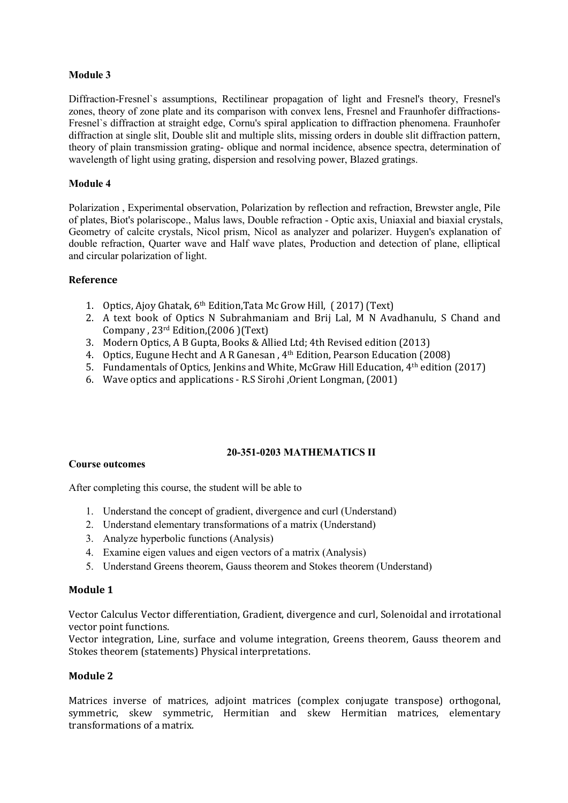Diffraction-Fresnel`s assumptions, Rectilinear propagation of light and Fresnel's theory, Fresnel's zones, theory of zone plate and its comparison with convex lens, Fresnel and Fraunhofer diffractions- Fresnel`s diffraction at straight edge, Cornu's spiral application to diffraction phenomena. Fraunhofer diffraction at single slit, Double slit and multiple slits, missing orders in double slit diffraction pattern, theory of plain transmission grating- oblique and normal incidence, absence spectra, determination of wavelength of light using grating, dispersion and resolving power, Blazed gratings.

# **Module 4**

Polarization , Experimental observation, Polarization by reflection and refraction, Brewster angle, Pile of plates, Biot's polariscope., Malus laws, Double refraction - Optic axis, Uniaxial and biaxial crystals, Geometry of calcite crystals, Nicol prism, Nicol as analyzer and polarizer. Huygen's explanation of double refraction, Quarter wave and Half wave plates, Production and detection of plane, elliptical and circular polarization of light.

# **Reference**

- 1. Optics, Ajoy Ghatak, 6 th Edition,Tata Mc Grow Hill,( 2017) (Text)
- 2. A text book of Optics N Subrahmaniam and Brij Lal, M N Avadhanulu, S Chand and Company , 23 rd Edition,(2006 )(Text)
- 3. Modern Optics, A B Gupta, Books & Allied Ltd; 4th Revised edition (2013)
- 4. Optics, Eugune Hecht and A R Ganesan , 4 th Edition, Pearson Education (2008)
- 5. Fundamentals of Optics, Jenkins and White, McGraw Hill Education, 4 th edition (2017)
- 6. Wave optics and applications R.S Sirohi ,Orient Longman, (2001)

# **20-351-0203 MATHEMATICS II**

# **Course outcomes**

After completing this course, the student will be able to

- 1. Understand the concept of gradient, divergence and curl (Understand)
- 2. Understand elementary transformations of a matrix (Understand)
- 3. Analyze hyperbolic functions (Analysis)
- 4. Examine eigen values and eigen vectors of a matrix (Analysis)
- 5. Understand Greens theorem, Gauss theorem and Stokes theorem (Understand)

#### **Module 1**

Vector Calculus Vector differentiation, Gradient, divergence and curl, Solenoidal and irrotational vector point functions.

Vector integration, Line, surface and volume integration, Greens theorem, Gauss theorem and Stokes theorem (statements) Physical interpretations.

# **Module 2**

Matrices inverse of matrices, adjoint matrices (complex conjugate transpose) orthogonal, symmetric, skew symmetric, Hermitian and skew Hermitian matrices, elementary transformations of a matrix.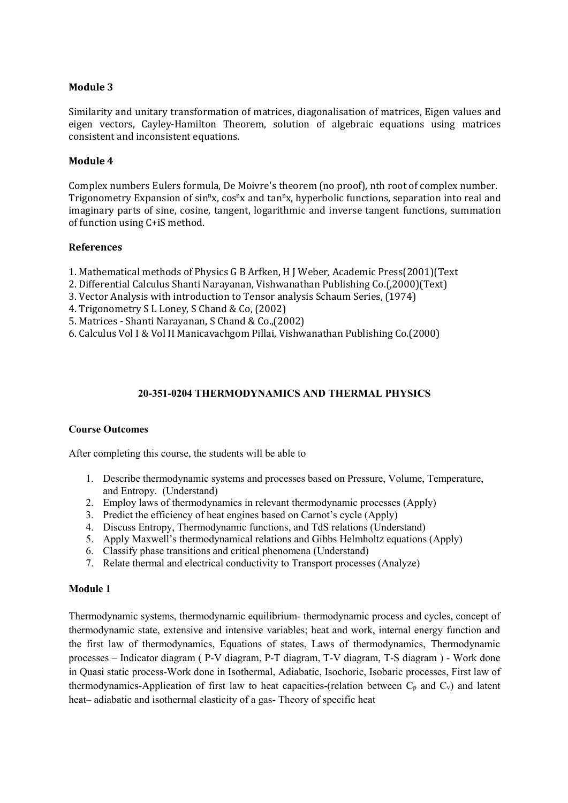Similarity and unitary transformation of matrices, diagonalisation of matrices, Eigen values and eigen vectors, Cayley-Hamilton Theorem, solution of algebraic equations using matrices consistent and inconsistent equations.

## **Module 4**

Complex numbers Eulers formula, De Moivre's theorem (no proof), nth root of complex number. Trigonometry Expansion of sin<sup>n</sup>x, cos<sup>n</sup>x and tan<sup>n</sup>x, hyperbolic functions, separation into real and imaginary parts of sine, cosine, tangent, logarithmic and inverse tangent functions, summation of function using C+iS method.

#### **References**

- 1. Mathematical methods of Physics G B Arfken, H J Weber, Academic Press(2001)(Text
- 2. Differential Calculus Shanti Narayanan, Vishwanathan Publishing Co.(,2000)(Text)
- 3. Vector Analysis with introduction to Tensor analysis Schaum Series, (1974)
- 4. Trigonometry S L Loney, S Chand & Co, (2002)
- 5. Matrices Shanti Narayanan, S Chand & Co.,(2002)
- 6. Calculus Vol I & Vol II Manicavachgom Pillai, Vishwanathan Publishing Co.(2000)

# **20-351-0204 THERMODYNAMICS AND THERMAL PHYSICS**

#### **Course Outcomes**

After completing this course, the students will be able to

- 1. Describe thermodynamic systems and processes based on Pressure, Volume, Temperature, and Entropy. (Understand)
- 2. Employ laws of thermodynamics in relevant thermodynamic processes (Apply)
- 3. Predict the efficiency of heat engines based on Carnot's cycle (Apply)
- 4. Discuss Entropy, Thermodynamic functions, and TdS relations (Understand)
- 5. Apply Maxwell's thermodynamical relations and Gibbs Helmholtz equations (Apply)
- 6. Classify phase transitions and critical phenomena (Understand)
- 7. Relate thermal and electrical conductivity to Transport processes (Analyze)

#### **Module 1**

Thermodynamic systems, thermodynamic equilibrium- thermodynamic process and cycles, concept of thermodynamic state, extensive and intensive variables; heat and work, internal energy function and the first law of thermodynamics, Equations of states, Laws of thermodynamics, Thermodynamic processes – Indicator diagram ( P-V diagram, P-T diagram, T-V diagram, T-S diagram ) - Work done in Quasi static process-Work done in Isothermal,Adiabatic, Isochoric, Isobaric processes, First law of thermodynamics-Application of first law to heat capacities-(relation between  $C_p$  and  $C_v$ ) and latent heat– adiabatic and isothermal elasticity of a gas- Theory of specific heat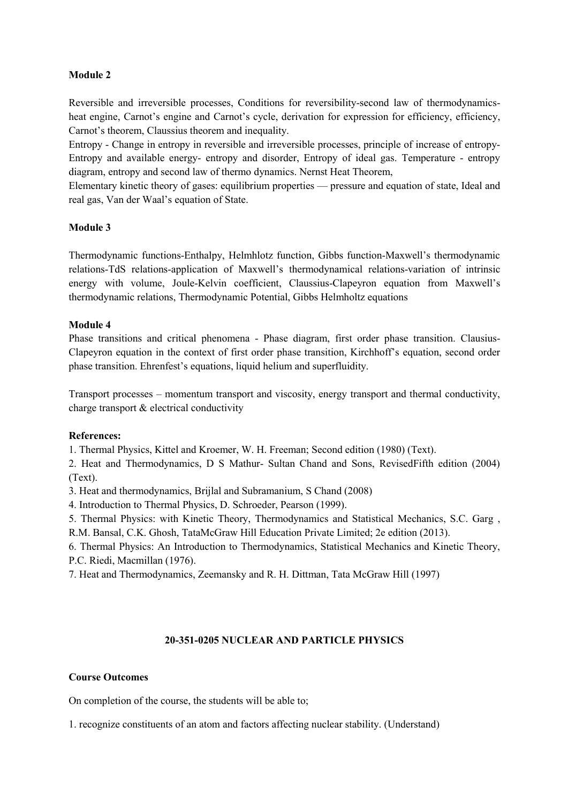Reversible and irreversible processes, Conditions for reversibility-second law of thermodynamicsheat engine, Carnot's engine and Carnot's cycle, derivation for expression for efficiency, efficiency, Carnot's theorem, Claussius theorem and inequality.

Entropy - Change in entropy in reversible and irreversible processes, principle of increase of entropy- Entropy and available energy- entropy and disorder, Entropy of ideal gas. Temperature - entropy diagram, entropy and second law of thermo dynamics. Nernst Heat Theorem,

Elementary kinetic theory of gases: equilibrium properties — pressure and equation of state, Ideal and real gas, Van der Waal's equation of State.

#### **Module 3**

Thermodynamic functions-Enthalpy, Helmhlotz function, Gibbs function-Maxwell's thermodynamic relations-TdS relations-application of Maxwell's thermodynamical relations-variation of intrinsic energy with volume, Joule-Kelvin coefficient, Claussius-Clapeyron equation from Maxwell's thermodynamic relations, Thermodynamic Potential, Gibbs Helmholtz equations

#### **Module 4**

Phase transitions and critical phenomena - Phase diagram, first order phase transition. Clausius- Clapeyron equation in the context of first order phase transition, Kirchhoff's equation, second order phase transition. Ehrenfest's equations, liquid helium and superfluidity.

Transport processes – momentum transport and viscosity, energy transport and thermal conductivity, charge transport & electrical conductivity

#### **References:**

1. Thermal Physics, Kittel and Kroemer, W. H. Freeman; Second edition (1980) (Text).

2. Heat and Thermodynamics, D S Mathur- Sultan Chand and Sons, RevisedFifth edition (2004) (Text).

3. Heat and thermodynamics, Brijlal and Subramanium, S Chand (2008)

4. Introduction to Thermal Physics, D. Schroeder, Pearson (1999).

5. Thermal Physics: with Kinetic Theory, Thermodynamics and Statistical Mechanics, S.C. Garg ,

R.M. Bansal, C.K. Ghosh, TataMcGraw Hill Education Private Limited; 2e edition (2013).

6. Thermal Physics: An Introduction to Thermodynamics, Statistical Mechanics and Kinetic Theory, P.C. Riedi, Macmillan (1976).

7. Heat and Thermodynamics, Zeemansky and R. H. Dittman, Tata McGraw Hill (1997)

# **20-351-0205 NUCLEAR AND PARTICLE PHYSICS**

#### **Course Outcomes**

On completion of the course, the students will be able to;

1. recognize constituents of an atom and factors affecting nuclear stability. (Understand)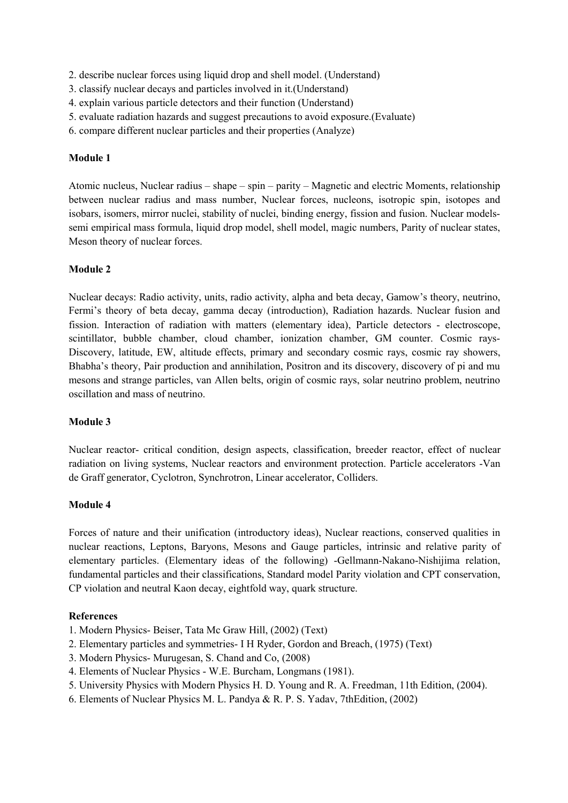- 2. describe nuclear forces using liquid drop and shell model. (Understand)
- 3. classify nuclear decays and particles involved in it.(Understand)
- 4. explain various particle detectors and their function (Understand)
- 5. evaluate radiation hazards and suggest precautions to avoid exposure.(Evaluate)
- 6. compare different nuclear particles and their properties (Analyze)

Atomic nucleus, Nuclear radius – shape – spin – parity – Magnetic and electric Moments, relationship between nuclear radius and mass number, Nuclear forces, nucleons, isotropic spin, isotopes and isobars, isomers, mirror nuclei, stability of nuclei, binding energy, fission and fusion. Nuclear modelssemi empirical mass formula, liquid drop model, shell model, magic numbers, Parity of nuclear states, Meson theory of nuclear forces.

# **Module 2**

Nuclear decays: Radio activity, units, radio activity, alpha and beta decay,Gamow's theory, neutrino, Fermi's theory of beta decay, gamma decay (introduction), Radiation hazards. Nuclear fusion and fission. Interaction of radiation with matters (elementary idea), Particle detectors - electroscope, scintillator, bubble chamber, cloud chamber, ionization chamber, GM counter. Cosmic rays- Discovery, latitude, EW, altitude effects, primary and secondary cosmic rays, cosmic ray showers, Bhabha's theory, Pair production and annihilation, Positron and its discovery, discovery of piand mu mesons and strange particles, van Allen belts, origin of cosmic rays, solar neutrino problem, neutrino oscillation and mass of neutrino.

#### **Module 3**

Nuclear reactor- critical condition, design aspects, classification, breeder reactor, effect of nuclear radiation on living systems, Nuclear reactors and environment protection. Particle accelerators -Van de Graff generator, Cyclotron, Synchrotron, Linear accelerator, Colliders.

#### **Module 4**

Forces of nature and their unification (introductory ideas), Nuclear reactions, conserved qualities in nuclear reactions, Leptons, Baryons, Mesons and Gauge particles, intrinsic and relative parity of elementary particles. (Elementary ideas of the following) -Gellmann-Nakano-Nishijima relation, fundamental particles and their classifications, Standard model Parity violation and CPT conservation, CP violation and neutral Kaon decay, eightfold way, quark structure.

#### **References**

- 1. Modern Physics- Beiser, Tata Mc Graw Hill, (2002) (Text)
- 2. Elementary particles and symmetries- I H Ryder, Gordon and Breach, (1975) (Text)
- 3. Modern Physics- Murugesan, S. Chand and Co, (2008)
- 4. Elements of Nuclear Physics W.E. Burcham, Longmans (1981).
- 5. University Physics with Modern Physics H. D. Young and R. A. Freedman, 11th Edition, (2004).
- 6. Elements of Nuclear Physics M. L. Pandya & R. P. S. Yadav, 7thEdition, (2002)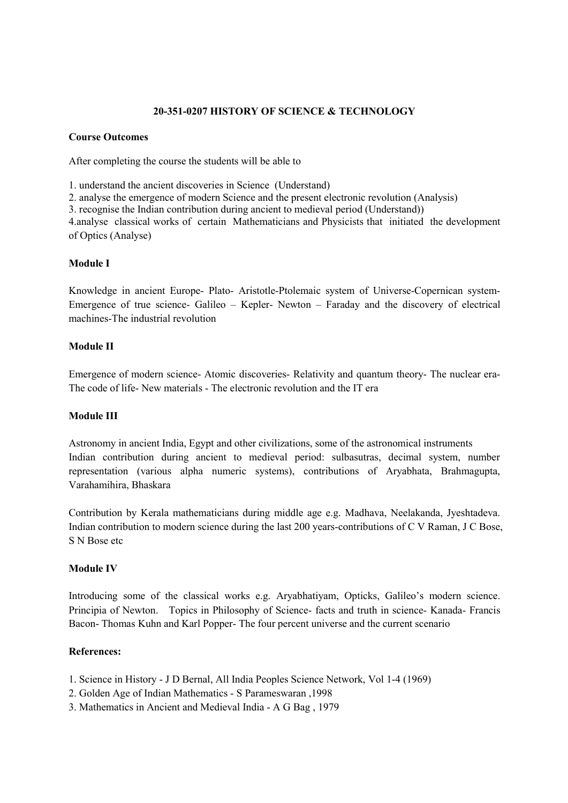# **20-351-0207 HISTORY OF SCIENCE & TECHNOLOGY**

#### **Course Outcomes**

After completing the course the students will be able to

1. understand the ancient discoveries in Science (Understand)

2. analyse the emergence of modern Science and the present electronic revolution (Analysis)

3. recognise the Indian contribution during ancient to medieval period (Understand))

4.analyse classical works of certain Mathematicians and Physicists that initiated the development of Optics (Analyse)

# **Module I**

Knowledge in ancient Europe- Plato- Aristotle-Ptolemaic system of Universe-Copernican system- Emergence of true science- Galileo – Kepler- Newton – Faraday and the discovery of electrical machines-The industrial revolution

# **Module II**

Emergence of modern science- Atomic discoveries- Relativity and quantum theory- The nuclear era- The code of life- New materials - The electronic revolution and the IT era

#### **Module III**

Astronomy in ancient India, Egypt and other civilizations, some of the astronomical instruments Indian contribution during ancient to medieval period: sulbasutras, decimal system, number representation (various alpha numeric systems), contributions of Aryabhata, Brahmagupta, Varahamihira, Bhaskara

Contribution by Kerala mathematicians during middle age e.g. Madhava, Neelakanda, Jyeshtadeva. Indian contribution to modern science during the last 200 years-contributions of C V Raman, J C Bose, S N Bose etc

# **Module IV**

Introducing some of the classical works e.g. Aryabhatiyam, Opticks, Galileo's modern science. Principia of Newton. Topics in Philosophy of Science- facts and truth in science- Kanada- Francis Bacon- Thomas Kuhn and Karl Popper- The four percent universe and the current scenario

# **References:**

- 1. Science in History J D Bernal, All India Peoples Science Network, Vol 1-4 (1969)
- 2. Golden Age of Indian Mathematics S Parameswaran ,1998
- 3. Mathematics in Ancient and Medieval India A G Bag , 1979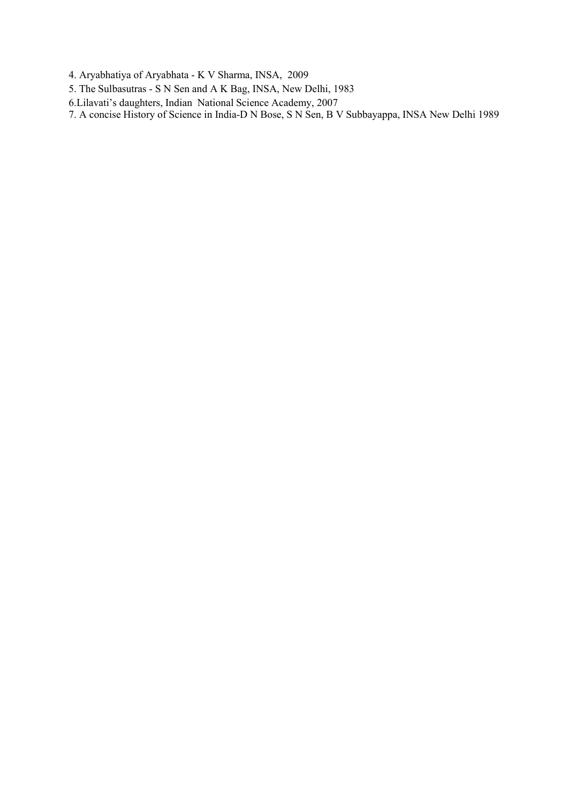- 4. Aryabhatiya of Aryabhata K V Sharma, INSA, 2009
- 5. The Sulbasutras S N Sen and A K Bag, INSA, New Delhi, 1983
- 6.Lilavati's daughters, Indian National Science Academy, 2007

7. A concise History of Science in India-D N Bose, S N Sen, B V Subbayappa, INSA New Delhi 1989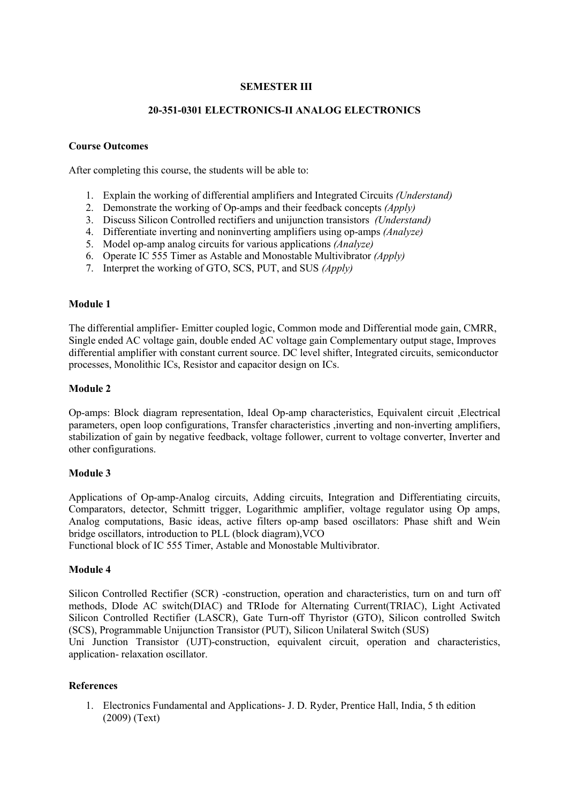# **SEMESTER III**

## **20-351-0301 ELECTRONICS-II ANALOG ELECTRONICS**

#### **Course Outcomes**

After completing this course, the students will be able to:

- 1. Explain the working of differential amplifiers and Integrated Circuits *(Understand)*
- 2. Demonstrate the working of Op-amps and their feedback concepts *(Apply)*
- 3. Discuss Silicon Controlled rectifiers and unijunction transistors *(Understand)*
- 4. Differentiate inverting and noninverting amplifiers using op-amps *(Analyze)*
- 5. Model op-amp analog circuits for various applications *(Analyze)*
- 6. Operate IC 555 Timer as Astable and Monostable Multivibrator *(Apply)*
- 7. Interpret the working of GTO, SCS, PUT, and SUS *(Apply)*

#### **Module 1**

The differential amplifier- Emitter coupled logic, Common mode and Differential mode gain, CMRR, Single ended AC voltage gain, double ended AC voltage gain Complementary output stage, Improves differential amplifier with constant current source. DC level shifter, Integrated circuits, semiconductor processes, Monolithic ICs, Resistor and capacitor design on ICs.

#### **Module 2**

Op-amps: Block diagram representation, Ideal Op-amp characteristics, Equivalent circuit ,Electrical parameters, open loop configurations, Transfer characteristics ,inverting and non-inverting amplifiers, stabilization of gain by negative feedback, voltage follower, current to voltage converter, Inverter and other configurations.

#### **Module 3**

Applications of Op-amp-Analog circuits, Adding circuits, Integration and Differentiating circuits, Comparators, detector, Schmitt trigger, Logarithmic amplifier, voltage regulator using Op amps, Analog computations, Basic ideas, active filters op-amp based oscillators: Phase shift and Wein bridge oscillators, introduction to PLL (block diagram),VCO

Functional block of IC 555 Timer, Astable and Monostable Multivibrator.

#### **Module 4**

Silicon Controlled Rectifier (SCR) -construction, operation and characteristics, turn on and turn off methods, DIode AC switch(DIAC) and TRIode for Alternating Current(TRIAC), Light Activated Silicon Controlled Rectifier (LASCR), Gate Turn-off Thyristor (GTO), Silicon controlled Switch (SCS), Programmable Unijunction Transistor (PUT), Silicon Unilateral Switch (SUS)

Uni Junction Transistor (UJT)-construction, equivalent circuit, operation and characteristics, application- relaxation oscillator.

#### **References**

1. Electronics Fundamental and Applications- J. D. Ryder, Prentice Hall, India, 5 th edition (2009) (Text)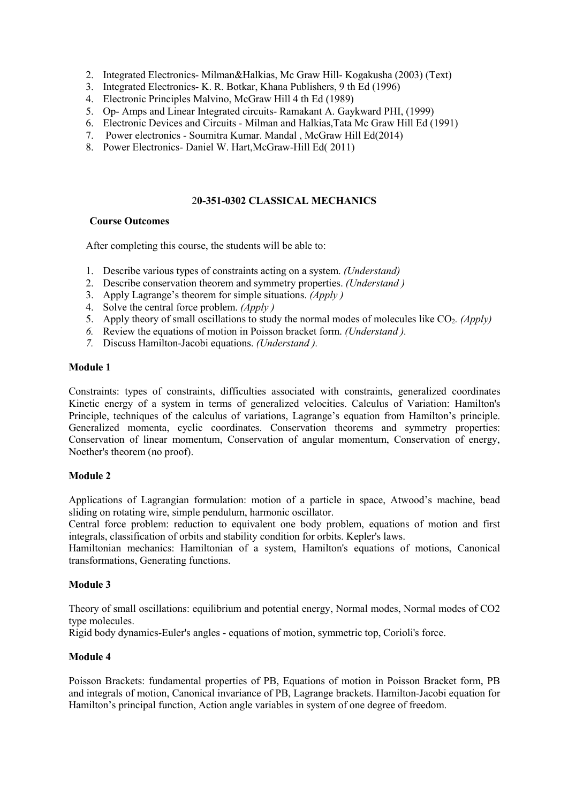- 2. Integrated Electronics- Milman&Halkias, Mc Graw Hill- Kogakusha (2003) (Text)
- 3. Integrated Electronics- K. R. Botkar, Khana Publishers, 9 th Ed (1996)
- 4. Electronic Principles Malvino, McGraw Hill 4 th Ed (1989)
- 5. Op- Amps and Linear Integrated circuits- Ramakant A. Gaykward PHI, (1999)
- 6. Electronic Devices and Circuits Milman and Halkias,Tata Mc Graw Hill Ed (1991)
- 7. Power electronics Soumitra Kumar. Mandal, McGraw Hill Ed(2014)
- 8. Power Electronics- Daniel W. Hart,McGraw-Hill Ed( 2011)

## 2**0-351-0302 CLASSICAL MECHANICS**

#### **Course Outcomes**

After completing this course, the students will be able to:

- 1. Describe various types of constraints acting on a system. *(Understand)*
- 2. Describe conservation theorem and symmetry properties. *(Understand )*
- 3. Apply Lagrange's theorem for simple situations. *(Apply )*
- 4. Solve the central force problem. *(Apply )*
- 5. Apply theory of small oscillations to study the normal modes of molecules like CO<sub>2</sub>. *(Apply)*
- *6.* Review the equations of motion in Poisson bracket form. *(Understand ).*
- *7.* Discuss Hamilton-Jacobi equations. *(Understand ).*

#### **Module 1**

Constraints: types of constraints, difficulties associated with constraints, generalized coordinates Kinetic energy of a system in terms of generalized velocities. Calculus of Variation: Hamilton's Principle, techniques of the calculus of variations, Lagrange's equation from Hamilton's principle. Generalized momenta, cyclic coordinates. Conservation theorems and symmetry properties: Conservation of linear momentum, Conservation of angular momentum, Conservation of energy, Noether's theorem (no proof).

#### **Module 2**

Applications of Lagrangian formulation: motion of a particle in space, Atwood's machine, bead sliding on rotating wire, simple pendulum, harmonic oscillator.

Central force problem: reduction to equivalent one body problem, equations of motion and first integrals, classification of orbits and stability condition for orbits. Kepler's laws.

Hamiltonian mechanics: Hamiltonian of a system, Hamilton's equations of motions, Canonical transformations, Generating functions.

#### **Module 3**

Theory of small oscillations: equilibrium and potential energy, Normal modes, Normal modes of CO2 type molecules.

Rigid body dynamics-Euler's angles - equations ofmotion, symmetric top, Corioli's force.

#### **Module 4**

Poisson Brackets: fundamental properties of PB, Equations of motion in Poisson Bracket form, PB and integrals of motion, Canonical invariance of PB, Lagrange brackets. Hamilton-Jacobi equation for Hamilton's principal function, Action angle variables in system of one degree of freedom.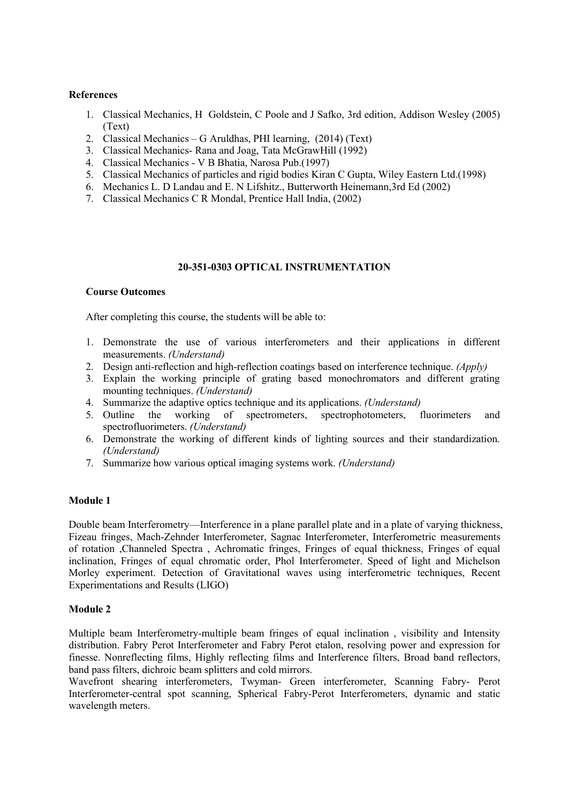## **References**

- 1. Classical Mechanics, H Goldstein, C Poole and J Safko, 3rd edition, Addison Wesley (2005) (Text)
- 2. Classical Mechanics G Aruldhas, PHI learning, (2014) (Text)
- 3. Classical Mechanics- Rana and Joag, Tata McGrawHill (1992)
- 4. Classical Mechanics V B Bhatia, Narosa Pub.(1997)
- 5. Classical Mechanics of particles and rigid bodies Kiran C Gupta, Wiley Eastern Ltd.(1998)
- 6. Mechanics L. D Landau and E. N Lifshitz., Butterworth Heinemann,3rd Ed (2002)
- 7. Classical Mechanics C R Mondal, Prentice Hall India, (2002)

#### **20-351-0303 OPTICAL INSTRUMENTATION**

#### **Course Outcomes**

After completing this course, the students will be able to:

- 1. Demonstrate the use of various interferometers and their applications in different measurements. *(Understand)*
- 2. Design anti-reflection and high-reflection coatings based on interference technique. *(Apply)*
- 3. Explain the working principle of grating based monochromators and different grating mounting techniques.*(Understand)*
- 4. Summarize the adaptive optics technique and its applications. *(Understand)*
- 5. Outline the working of spectrometers, spectrophotometers, fluorimeters and spectrofluorimeters. *(Understand)*
- 6. Demonstrate the working of different kinds of lighting sources and their standardization. *(Understand)*
- 7. Summarize how various optical imaging systems work. *(Understand)*

# **Module 1**

Double beam Interferometry—Interference in a plane parallel plate and in a plate of varying thickness, Fizeau fringes, Mach-Zehnder Interferometer, Sagnac Interferometer, Interferometric measurements of rotation ,Channeled Spectra , Achromatic fringes, Fringes of equal thickness, Fringes of equal inclination, Fringes of equal chromatic order, Phol Interferometer. Speed of light and Michelson Morley experiment. Detection of Gravitational waves using interferometric techniques, Recent Experimentations and Results (LIGO)

#### **Module 2**

Multiple beam Interferometry-multiple beam fringes of equal inclination , visibility and Intensity distribution. Fabry Perot Interferometer and Fabry Perot etalon, resolving power and expression for finesse. Nonreflecting films, Highly reflecting films and Interference filters, Broad band reflectors, band pass filters, dichroic beam splitters and cold mirrors.

Wavefront shearing interferometers, Twyman- Green interferometer, Scanning Fabry- Perot Interferometer-central spot scanning, Spherical Fabry-Perot Interferometers, dynamic and static wavelength meters.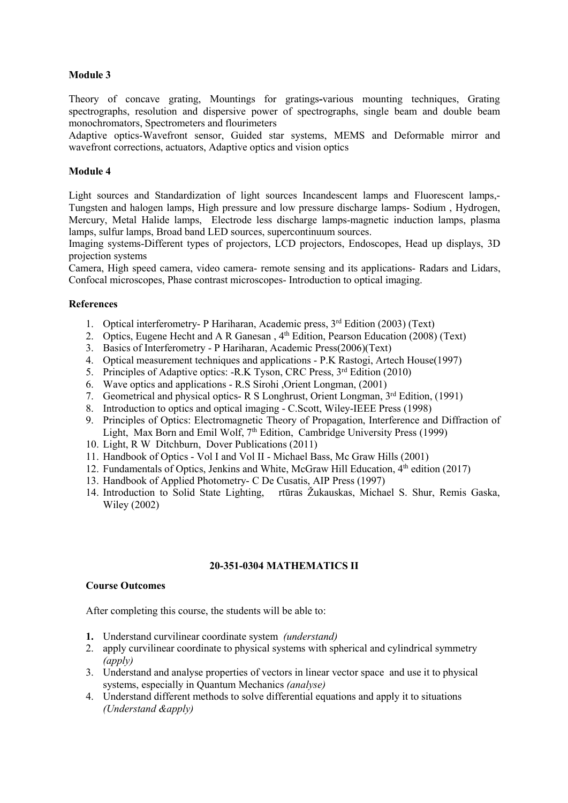Theory of concave grating, Mountings for gratings**-**various mounting techniques, Grating spectrographs, resolution and dispersive power of spectrographs, single beam and double beam monochromators, Spectrometers and flourimeters

Adaptive optics-Wavefront sensor, Guided star systems, MEMS and Deformable mirror and wavefront corrections, actuators, Adaptive optics and vision optics

#### **Module 4**

Light sources and Standardization of light sources Incandescent lamps and Fluorescent lamps,- Tungsten and halogen lamps, High pressure and low pressure discharge lamps- Sodium , Hydrogen, Mercury, Metal Halide lamps, Electrode less discharge lamps-magnetic induction lamps, plasma lamps, sulfur lamps, Broad band LED sources, supercontinuum sources.

Imaging systems-Different types of projectors, LCD projectors, Endoscopes, Head up displays, 3D projection systems

Camera, High speed camera, video camera- remote sensing and its applications- Radars and Lidars, Confocal microscopes, Phase contrast microscopes- Introduction to optical imaging.

#### **References**

- 1. Optical interferometry- P Hariharan, Academic press, 3 rd Edition (2003) (Text)
- 2. Optics, Eugene Hecht and A R Ganesan, 4<sup>th</sup> Edition, Pearson Education (2008) (Text)
- 3. Basics of Interferometry P Hariharan, Academic Press(2006)(Text)
- 4. Optical measurement techniques and applications P.K Rastogi, Artech House(1997)
- 5. Principles of Adaptive optics: -R.K Tyson, CRC Press, 3<sup>rd</sup> Edition (2010)
- 6. Wave optics and applications R.S Sirohi ,Orient Longman, (2001)
- 7. Geometrical and physical optics- R S Longhrust, Orient Longman, 3<sup>rd</sup> Edition, (1991)
- 8. Introduction to optics and optical imaging C.Scott, Wiley-IEEE Press (1998)
- 9. Principles of Optics: Electromagnetic Theory of Propagation, Interference and Diffraction of Light, Max Born and Emil Wolf, 7<sup>th</sup> Edition, Cambridge University Press (1999)
- 10. Light, R W Ditchburn, Dover Publications (2011)
- 11. Handbook of Optics Vol I and Vol II Michael Bass, Mc Graw Hills (2001)
- 12. Fundamentals of Optics, Jenkins and White, McGraw Hill Education, 4<sup>th</sup> edition (2017)
- 13. Handbook of Applied Photometry- C De Cusatis, AIP Press (1997)
- 14. Introduction to Solid State Lighting, rtūras Žukauskas, Michael S. Shur, Remis Gaska, Wiley (2002)

#### **20-351-0304 MATHEMATICS II**

#### **Course Outcomes**

After completing this course, the students will be able to:

- **1.** Understand curvilinear coordinate system *(understand)*
- 2. apply curvilinear coordinate to physical systems with spherical and cylindrical symmetry *(apply)*
- 3. Understand and analyse properties of vectors in linear vector space and use it to physical systems, especially in Quantum Mechanics *(analyse)*
- 4. Understand different methods to solve differential equations and apply it to situations *(Understand &apply)*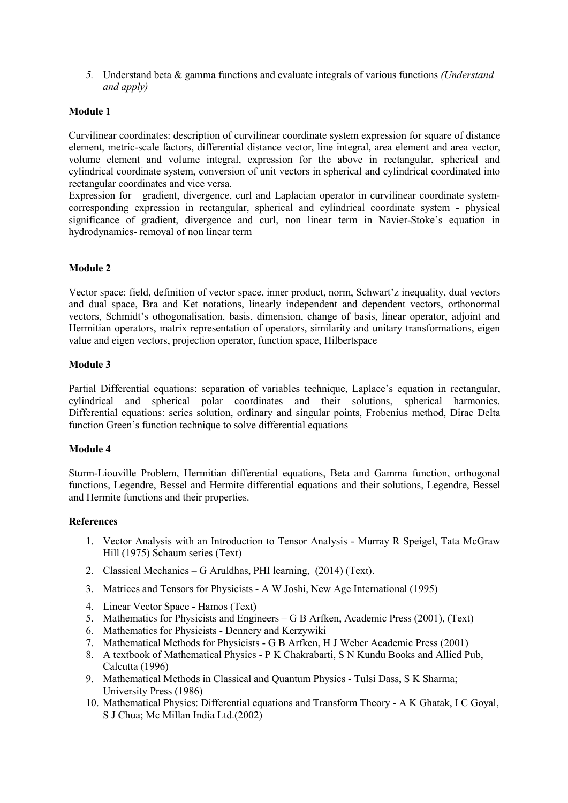*5.* Understand beta & gamma functions and evaluate integrals ofvarious functions *(Understand and apply)*

## **Module 1**

Curvilinear coordinates: description of curvilinear coordinate system expression for square of distance element, metric-scale factors, differential distance vector, line integral, area element and area vector, volume element and volume integral, expression for the above in rectangular, spherical and cylindrical coordinate system, conversion of unit vectors in spherical and cylindrical coordinated into rectangular coordinates and vice versa.

Expression for gradient, divergence, curl and Laplacian operator in curvilinear coordinate system corresponding expression in rectangular, spherical and cylindrical coordinate system - physical significance of gradient, divergence and curl, non linear term in Navier-Stoke's equation in hydrodynamics- removal of non linear term

# **Module 2**

Vector space: field, definition of vector space, inner product, norm, Schwart'z inequality, dual vectors and dual space, Bra and Ket notations, linearly independent and dependent vectors, orthonormal vectors, Schmidt's othogonalisation, basis, dimension, change of basis, linear operator, adjoint and Hermitian operators, matrix representation of operators, similarity and unitary transformations, eigen value and eigen vectors, projection operator, function space, Hilbertspace

#### **Module 3**

Partial Differential equations: separation of variables technique, Laplace's equation in rectangular, cylindrical and spherical polar coordinates and their solutions, spherical harmonics. Differential equations: series solution, ordinary and singular points, Frobenius method, Dirac Delta function Green's function technique to solve differential equations

#### **Module 4**

Sturm-Liouville Problem, Hermitian differential equations, Beta and Gamma function, orthogonal functions, Legendre, Bessel and Hermite differential equations and their solutions, Legendre, Bessel and Hermite functions and their properties.

#### **References**

- 1. Vector Analysis with an Introduction to Tensor Analysis Murray R Speigel, Tata McGraw Hill (1975) Schaum series (Text)
- 2. Classical Mechanics G Aruldhas, PHI learning, (2014) (Text).
- 3. Matrices and Tensors for Physicists A W Joshi, New Age International (1995)
- 4. Linear Vector Space Hamos (Text)
- 5. Mathematics for Physicists and Engineers G B Arfken, Academic Press (2001), (Text)
- 6. Mathematics for Physicists Dennery and Kerzywiki
- 7. Mathematical Methods for Physicists G B Arfken, H J Weber Academic Press (2001)
- 8. A textbook of Mathematical Physics P K Chakrabarti, S N Kundu Books and Allied Pub,<br>Calcutta (1996)
- 9. Mathematical Methods in Classical and Quantum Physics Tulsi Dass, S K Sharma; University Press (1986)
- 10. Mathematical Physics: Differential equations and Transform Theory A K Ghatak, I C Goyal, S J Chua; Mc Millan India Ltd.(2002)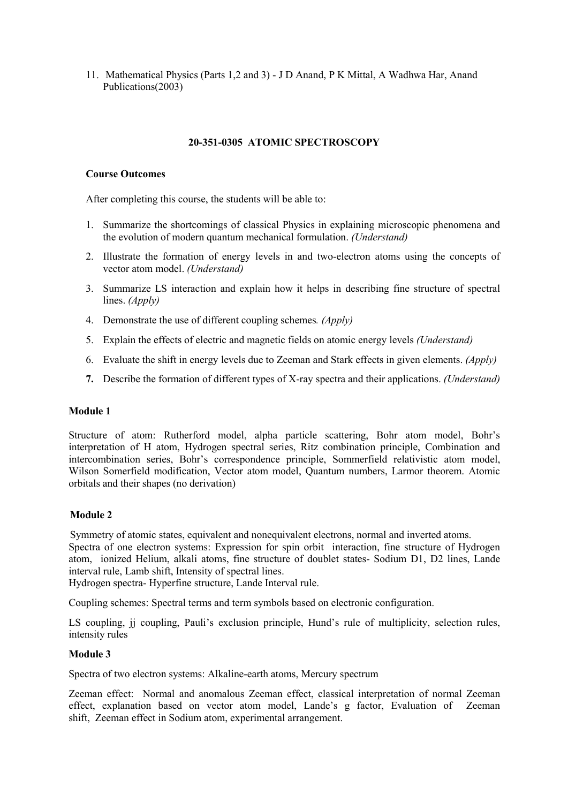11. Mathematical Physics (Parts 1,2 and 3) - J D Anand, P K Mittal, A Wadhwa Har, Anand Publications(2003)

## **20-351-0305 ATOMIC SPECTROSCOPY**

## **Course Outcomes**

After completing this course, the students will be able to:

- 1. Summarize the shortcomings of classical Physics in explaining microscopic phenomena and the evolution of modern quantum mechanical formulation.*(Understand)*
- 2. Illustrate the formation of energy levels in and two-electron atoms using the concepts of vector atom model. *(Understand)*
- 3. Summarize LS interaction and explain how it helps in describing fine structure of spectral lines. *(Apply)*
- 4. Demonstrate the use of different coupling schemes*. (Apply)*
- 5. Explain the effects of electric and magnetic fields on atomic energy levels *(Understand)*
- 6. Evaluate the shift in energy levels due to Zeeman and Stark effects in given elements. *(Apply)*
- **7.** Describe the formation of different types ofX-ray spectra and their applications. *(Understand)*

#### **Module 1**

Structure of atom: Rutherford model, alpha particle scattering, Bohr atom model, Bohr's interpretation of H atom, Hydrogen spectral series, Ritz combination principle, Combination and intercombination series, Bohr's correspondence principle, Sommerfield relativistic atom model, Wilson Somerfield modification, Vector atom model, Quantum numbers, Larmor theorem. Atomic orbitals and their shapes (no derivation)

# **Module 2**

Symmetry of atomic states, equivalent and nonequivalent electrons, normal and inverted atoms. Spectra of one electron systems: Expression for spin orbit interaction, fine structure of Hydrogen atom, ionized Helium, alkali atoms, fine structure of doublet states- Sodium D1, D2 lines, Lande interval rule, Lamb shift, Intensity of spectral lines.

Hydrogen spectra- Hyperfine structure, Lande Interval rule.

Coupling schemes: Spectral terms and term symbols based on electronic configuration.

LS coupling, ji coupling, Pauli's exclusion principle, Hund's rule of multiplicity, selection rules, intensity rules

#### **Module 3**

Spectra of two electron systems: Alkaline-earth atoms, Mercury spectrum

Zeeman effect: Normal and anomalous Zeeman effect, classical interpretation of normal Zeeman effect, explanation based on vector atom model, Lande's g factor, Evaluation of Zeeman shift, Zeeman effect in Sodium atom, experimental arrangement.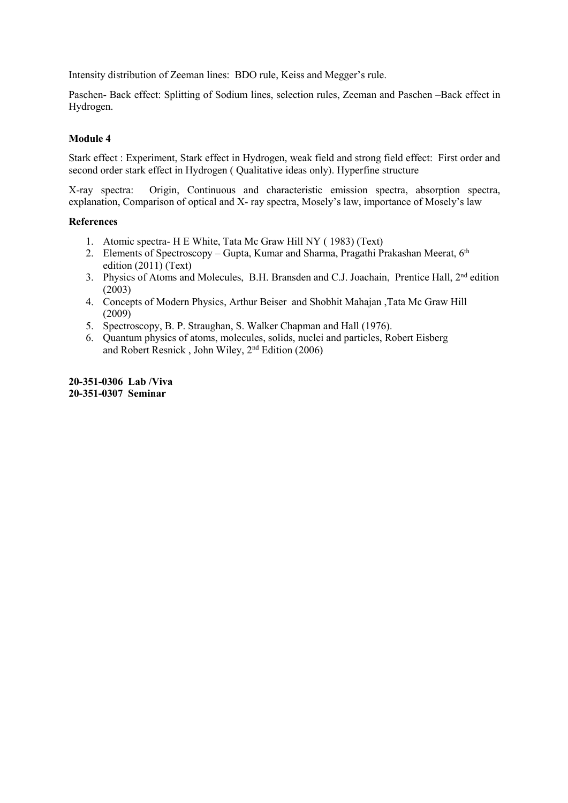Intensity distribution of Zeeman lines: BDO rule, Keiss and Megger's rule.

Paschen- Back effect: Splitting of Sodium lines, selection rules, Zeeman and Paschen –Back effect in Hydrogen.

# **Module 4**

Stark effect : Experiment, Stark effect in Hydrogen, weak field and strong field effect: First order and second order stark effect in Hydrogen ( Qualitative ideas only). Hyperfine structure

X-ray spectra: Origin, Continuous and characteristic emission spectra, absorption spectra, explanation, Comparison of optical and X- ray spectra, Mosely's law, importance of Mosely's law

## **References**

- 1. Atomic spectra- H E White, Tata Mc Graw Hill NY ( 1983) (Text)
- 2. Elements of Spectroscopy Gupta, Kumar and Sharma, Pragathi Prakashan Meerat, 6<sup>th</sup> edition (2011) (Text)
- 3. Physics of Atoms and Molecules, B.H. Bransden and C.J. Joachain, Prentice Hall, 2<sup>nd</sup> edition (2003)
- 4. Concepts of Modern Physics, Arthur Beiser and Shobhit Mahajan ,Tata Mc Graw Hill (2009)
- 5. Spectroscopy, B. P. Straughan, S. Walker Chapman and Hall (1976).
- 6. Quantum physics of atoms, molecules, solids, nuclei and particles, Robert Eisberg and Robert Resnick , John Wiley, 2 nd Edition (2006)

**20-351-0306 Lab /Viva 20-351-0307 Seminar**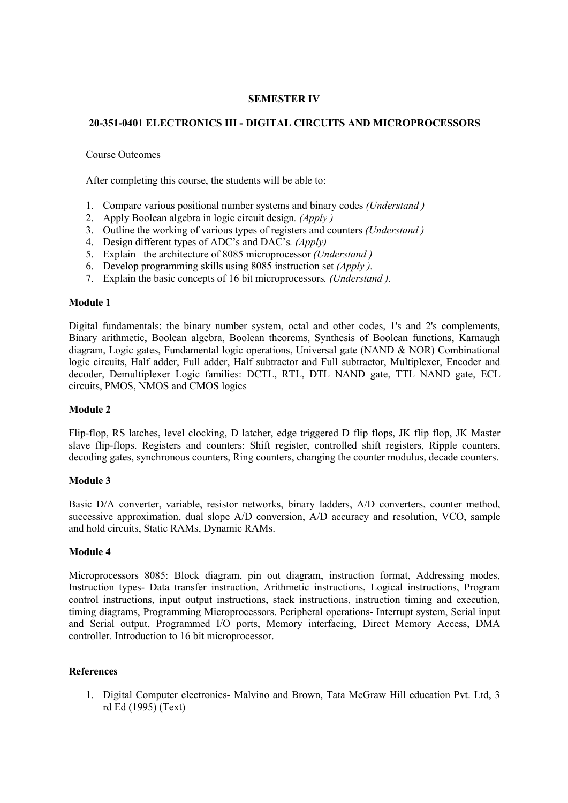## **SEMESTER IV**

# **20-351-0401 ELECTRONICS III - DIGITAL CIRCUITS AND MICROPROCESSORS**

### Course Outcomes

After completing this course, the students will be able to:

- 1. Compare various positional number systems and binary codes *(Understand )*
- 2. Apply Boolean algebra in logic circuit design*. (Apply )*
- 3. Outline the working of various types of registers and counters *(Understand )*
- 4. Design different types of ADC's and DAC's*. (Apply)*
- 5. Explain the architecture of 8085 microprocessor *(Understand )*
- 6. Develop programming skills using 8085 instruction set *(Apply ).*
- 7. Explain the basic concepts of16 bit microprocessors*. (Understand ).*

## **Module 1**

Digital fundamentals: the binary number system, octal and other codes, 1's and 2's complements, Binary arithmetic, Boolean algebra, Boolean theorems, Synthesis of Boolean functions, Karnaugh diagram, Logic gates, Fundamental logic operations, Universal gate (NAND & NOR) Combinational logic circuits, Half adder, Full adder, Half subtractor and Full subtractor, Multiplexer, Encoder and decoder, Demultiplexer Logic families: DCTL, RTL, DTL NAND gate, TTL NAND gate, ECL circuits, PMOS, NMOS and CMOS logics

## **Module 2**

Flip-flop, RS latches, level clocking, D latcher, edge triggered D flip flops, JK flip flop, JK Master slave flip-flops. Registers and counters: Shift register, controlled shift registers, Ripple counters, decoding gates, synchronous counters, Ring counters, changing the counter modulus, decade counters.

## **Module 3**

Basic D/A converter, variable, resistor networks, binary ladders, A/D converters, counter method, successive approximation, dual slope A/D conversion, A/D accuracy and resolution, VCO, sample and hold circuits, Static RAMs, Dynamic RAMs.

## **Module 4**

Microprocessors 8085: Block diagram, pin out diagram, instruction format, Addressing modes, Instruction types- Data transfer instruction, Arithmetic instructions, Logical instructions, Program control instructions, input output instructions, stack instructions, instruction timing and execution, timing diagrams, Programming Microprocessors. Peripheral operations- Interrupt system, Serial input and Serial output, Programmed I/O ports, Memory interfacing, Direct Memory Access, DMA controller. Introduction to 16 bit microprocessor.

## **References**

1. Digital Computer electronics- Malvino and Brown, Tata McGraw Hill education Pvt. Ltd, 3 rd Ed (1995) (Text)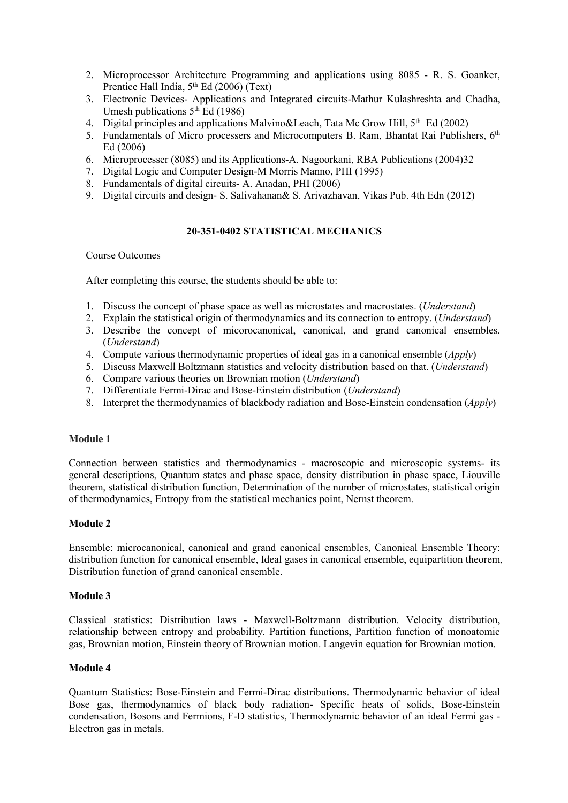- 2. Microprocessor Architecture Programming and applications using 8085 R.S. Goanker, Prentice Hall India, 5<sup>th</sup> Ed (2006) (Text)
- 3. Electronic Devices- Applications and Integrated circuits-Mathur Kulashreshta and Chadha, Umesh publications  $5<sup>th</sup>$  Ed (1986)
- 4. Digital principles and applications Malvino&Leach, Tata Mc Grow Hill, 5<sup>th</sup> Ed (2002)
- 5. Fundamentals of Micro processers and Microcomputers B. Ram, Bhantat Rai Publishers, 6<sup>th</sup> Ed (2006)
- 6. Microprocesser (8085) and its Applications-A. Nagoorkani, RBA Publications (2004)32
- 7. Digital Logic and Computer Design-M Morris Manno, PHI (1995)
- 8. Fundamentals of digital circuits- A. Anadan, PHI (2006)
- 9. Digital circuits and design-S. Salivahanan& S. Arivazhavan, Vikas Pub. 4th Edn (2012)

### **20-351-0402 STATISTICAL MECHANICS**

### Course Outcomes

After completing this course, the students should be able to:

- 1. Discuss the concept of phase space as well as microstates and macrostates. (*Understand*)
- 2. Explain the statistical origin of thermodynamics and its connection to entropy. (*Understand*)
- 3. Describe the concept of micorocanonical, canonical, and grand canonical ensembles. (*Understand*)
- 4. Compute various thermodynamic properties ofideal gas in a canonical ensemble (*Apply*)
- 5. Discuss Maxwell Boltzmann statistics and velocity distribution based on that. (*Understand*)
- 6. Compare various theories on Brownian motion (*Understand*)
- 7. Differentiate Fermi-Dirac and Bose-Einstein distribution (*Understand*)
- 8. Interpret the thermodynamics of blackbody radiation and Bose-Einstein condensation (*Apply*)

#### **Module 1**

Connection between statistics and thermodynamics - macroscopic and microscopic systems- its general descriptions, Quantum states and phase space, density distribution in phase space, Liouville theorem, statistical distribution function, Determination of the number of microstates, statistical origin of thermodynamics, Entropy from the statistical mechanics point, Nernst theorem.

## **Module 2**

Ensemble: microcanonical, canonical and grand canonical ensembles, Canonical Ensemble Theory: distribution function for canonical ensemble, Ideal gases in canonical ensemble, equipartition theorem, Distribution function of grand canonical ensemble.

#### **Module 3**

Classical statistics: Distribution laws - Maxwell-Boltzmann distribution. Velocity distribution, relationship between entropy and probability. Partition functions, Partition function of monoatomic gas, Brownian motion, Einstein theory of Brownian motion. Langevin equation for Brownian motion.

## **Module 4**

Quantum Statistics: Bose-Einstein and Fermi-Dirac distributions. Thermodynamic behavior of ideal Bose gas, thermodynamics of black body radiation- Specific heats of solids, Bose-Einstein condensation, Bosons and Fermions, F-D statistics, Thermodynamic behavior of an ideal Fermi gas - Electron gas in metals.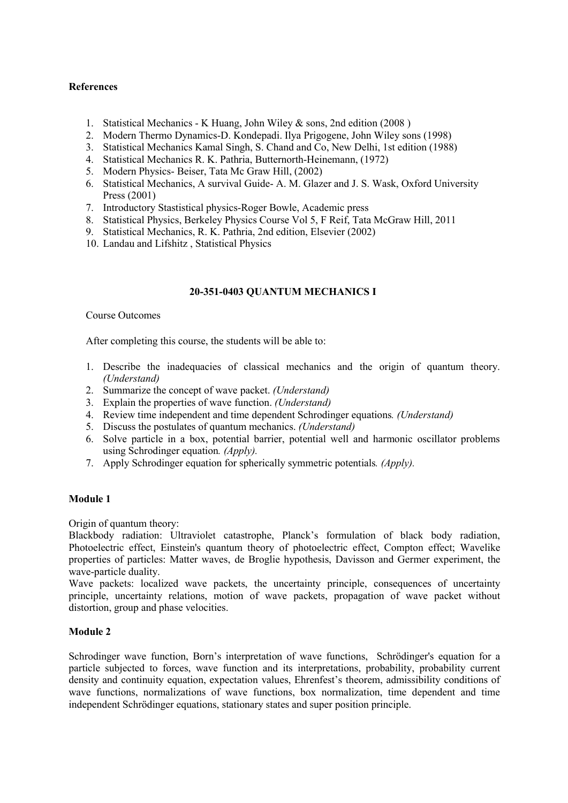# **References**

- 1. Statistical Mechanics K Huang, John Wiley & sons, 2nd edition (2008 )
- 2. Modern Thermo Dynamics-D. Kondepadi. Ilya Prigogene, John Wiley sons (1998)
- 3. Statistical Mechanics Kamal Singh, S. Chand and Co, New Delhi, 1st edition (1988)
- 4. Statistical Mechanics R. K. Pathria, Butternorth-Heinemann, (1972)
- 5. Modern Physics- Beiser, Tata Mc Graw Hill, (2002)
- 6. Statistical Mechanics, A survival Guide- A. M. Glazer and J. S. Wask, Oxford University Press (2001)
- 7. Introductory Stastistical physics-Roger Bowle, Academic press
- 8. Statistical Physics, Berkeley Physics Course Vol 5, F Reif, Tata McGraw Hill, 2011
- 9. Statistical Mechanics, R. K. Pathria, 2nd edition, Elsevier (2002)
- 10. Landau and Lifshitz , Statistical Physics

## **20-351-0403 QUANTUM MECHANICS I**

## Course Outcomes

After completing this course, the students will be able to:

- 1. Describe the inadequacies of classical mechanics and the origin of quantum theory. *(Understand)*
- 2. Summarize the concept of wave packet. *(Understand)*
- 3. Explain the properties ofwave function. *(Understand)*
- 4. Review time independent and time dependent Schrodinger equations*. (Understand)*
- 5. Discuss the postulates of quantum mechanics. *(Understand)*
- 6. Solve particle in a box, potential barrier, potential well and harmonic oscillator problems using Schrodinger equation*. (Apply).*
- 7. Apply Schrodinger equation for spherically symmetric potentials*. (Apply).*

## **Module 1**

Origin of quantum theory:

Blackbody radiation: Ultraviolet catastrophe, Planck's formulation of black body radiation, Photoelectric effect, Einstein's quantum theory of photoelectric effect, Compton effect; Wavelike properties of particles: Matter waves, de Broglie hypothesis, Davisson and Germer experiment, the wave-particle duality.

Wave packets: localized wave packets, the uncertainty principle, consequences of uncertainty principle, uncertainty relations, motion of wave packets, propagation of wave packet without distortion, group and phase velocities.

## **Module 2**

Schrodinger wave function, Born's interpretation of wave functions, Schrödinger's equation for a particle subjected to forces, wave function and its interpretations, probability, probability current density and continuity equation, expectation values, Ehrenfest's theorem, admissibility conditions of wave functions, normalizations of wave functions, box normalization, time dependent and time independent Schrödinger equations, stationary states and super position principle.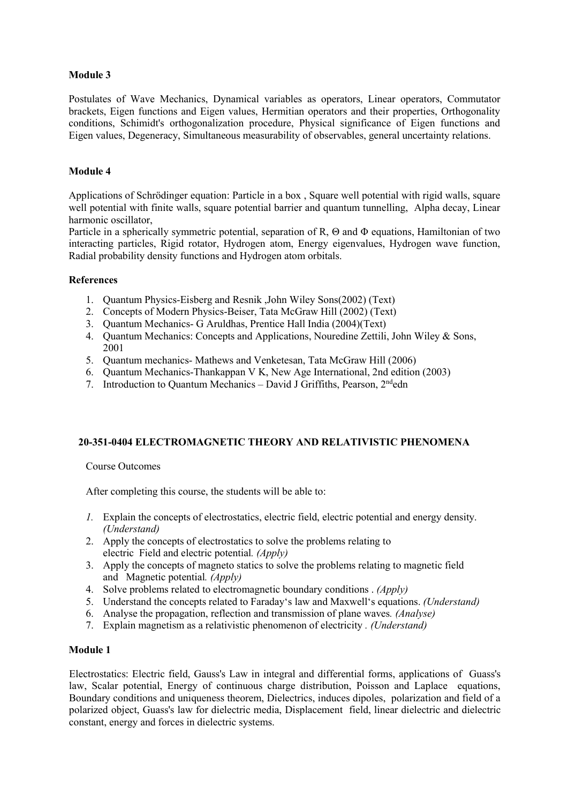Postulates of Wave Mechanics, Dynamical variables as operators, Linear operators, Commutator brackets, Eigen functions and Eigen values, Hermitian operators and their properties, Orthogonality conditions, Schimidt's orthogonalization procedure, Physical significance of Eigen functions and Eigen values, Degeneracy, Simultaneous measurability of observables, general uncertainty relations.

## **Module 4**

Applications of Schrödinger equation: Particle in a box, Square well potential with rigid walls, square well potential with finite walls, square potential barrier and quantum tunnelling, Alpha decay, Linear harmonic oscillator,

Particle in a spherically symmetric potential, separation of R, Θ and Φ equations, Hamiltonian of two interacting particles, Rigid rotator, Hydrogen atom, Energy eigenvalues, Hydrogen wave function, Radial probability density functions and Hydrogen atom orbitals.

## **References**

- 1. Quantum Physics-Eisberg and Resnik ,John Wiley Sons(2002) (Text)
- 2. Concepts of Modern Physics-Beiser, Tata McGraw Hill (2002) (Text)
- 3. Quantum Mechanics- G Aruldhas, Prentice Hall India (2004)(Text)
- 4. Quantum Mechanics: Concepts and Applications, Nouredine Zettili, John Wiley & Sons, 2001
- 5. Quantum mechanics- Mathews and Venketesan, Tata McGraw Hill (2006)
- 6. Quantum Mechanics-Thankappan V K, New Age International, 2nd edition (2003)
- 7. Introduction to Quantum Mechanics David J Griffiths, Pearson, 2<sup>nd</sup>edn

# **20-351-0404 ELECTROMAGNETIC THEORY AND RELATIVISTIC PHENOMENA**

Course Outcomes

After completing this course, the students will be able to:

- *1.* Explain the concepts of electrostatics, electric field, electric potential and energy density. *(Understand)*
- 2. Apply the concepts of electrostatics to solve the problems relating to electric Field and electric potential*. (Apply)*
- 3. Apply the concepts of magneto statics to solve the problems relating to magnetic field and Magnetic potential*. (Apply)*
- 4. Solve problems related to electromagnetic boundary conditions . *(Apply)*
- 5. Understand the concepts related to Faraday's law and Maxwell's equations. *(Understand)*
- 6. Analyse the propagation, reflection and transmission of plane waves*. (Analyse)*
- 7. Explain magnetism as a relativistic phenomenon of electricity *. (Understand)*

## **Module 1**

Electrostatics: Electric field, Gauss's Law in integral and differential forms, applications of Guass's law, Scalar potential, Energy of continuous charge distribution, Poisson and Laplace equations, Boundary conditions and uniqueness theorem, Dielectrics, induces dipoles, polarization and field of a polarized object, Guass's law for dielectric media, Displacement field, linear dielectric and dielectric constant, energy and forces in dielectric systems.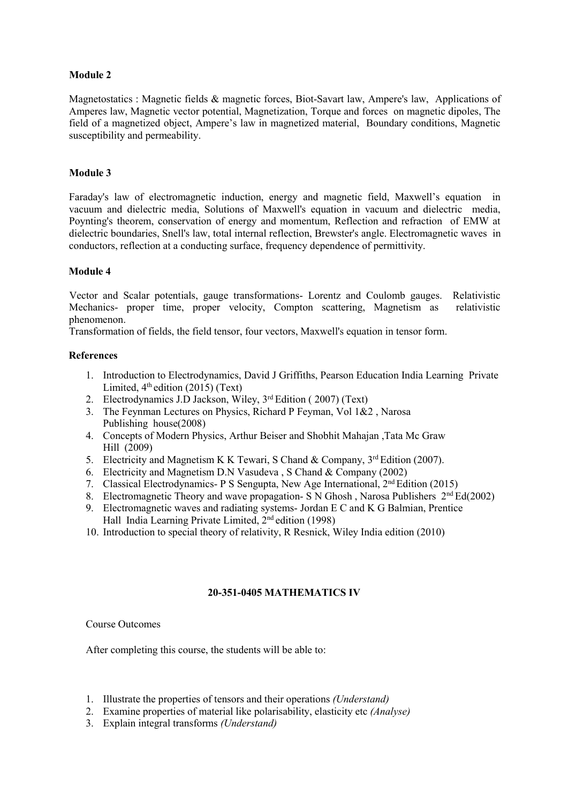Magnetostatics : Magnetic fields & magnetic forces, Biot-Savart law, Ampere's law, Applications of Amperes law, Magnetic vector potential, Magnetization, Torque and forces on magnetic dipoles, The field of a magnetized object, Ampere's law in magnetized material, Boundary conditions. Magnetic susceptibility and permeability.

## **Module 3**

Faraday's law of electromagnetic induction, energy and magnetic field, Maxwell's equation in vacuum and dielectric media, Solutions of Maxwell's equation in vacuum and dielectric media, Poynting's theorem, conservation of energy and momentum, Reflection and refraction of EMW at dielectric boundaries, Snell's law, total internal reflection, Brewster's angle. Electromagnetic waves in conductors, reflection at a conducting surface, frequency dependence of permittivity.

## **Module 4**

Vector and Scalar potentials, gauge transformations- Lorentz and Coulomb gauges. Relativistic Mechanics- proper time, proper velocity, Compton scattering, Magnetism as relativistic phenomenon.

Transformation of fields, the field tensor, four vectors, Maxwell's equation in tensor form.

## **References**

- 1. Introduction to Electrodynamics, David J Griffiths, Pearson Education India Learning Private Limited, 4<sup>th</sup> edition (2015) (Text)
- 2. Electrodynamics J.D Jackson, Wiley, 3<sup>rd</sup> Edition (2007) (Text)
- 3. The Feynman Lectures on Physics, Richard P Feyman, Vol 1&2 , Narosa Publishing house(2008)
- 4. Concepts of Modern Physics, Arthur Beiser and Shobhit Mahajan ,Tata Mc Graw Hill (2009)
- 5. Electricity and Magnetism K K Tewari, S Chand & Company, 3<sup>rd</sup> Edition (2007).
- 6. Electricity and Magnetism D.N Vasudeva , S Chand & Company (2002)
- 7. Classical Electrodynamics- P S Sengupta, New Age International, 2<sup>nd</sup> Edition (2015)
- 8. Electromagnetic Theory and wave propagation- S N Ghosh, Narosa Publishers  $2<sup>nd</sup> Ed(2002)$
- 9. Electromagnetic waves and radiating systems- Jordan E C and K G Balmian, Prentice Hall India Learning Private Limited, 2<sup>nd</sup> edition (1998)
- 10. Introduction to special theory of relativity, R Resnick, Wiley India edition (2010)

# **20-351-0405 MATHEMATICS IV**

## Course Outcomes

After completing this course, the students will be able to:

- 1. Illustrate the properties of tensors and their operations *(Understand)*
- 2. Examine properties of material like polarisability, elasticity etc *(Analyse)*
- 3. Explain integral transforms *(Understand)*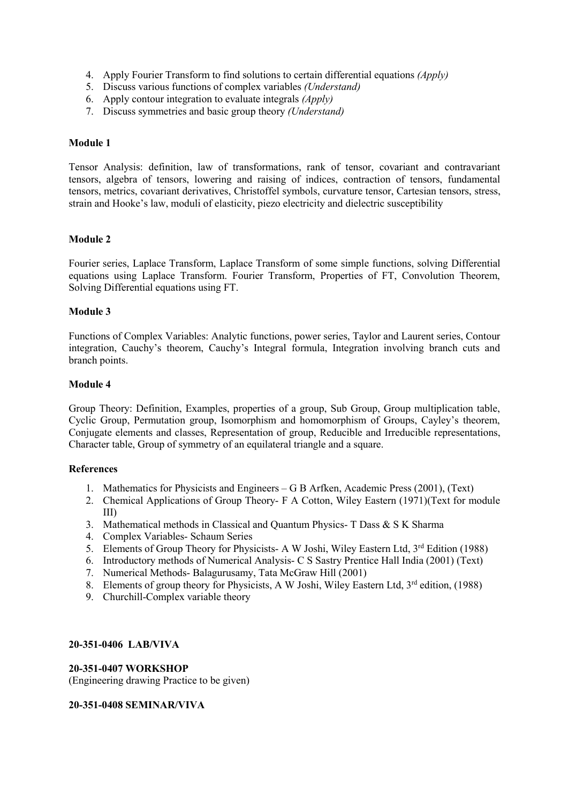- 4. Apply FourierTransform to find solutions to certain differential equations *(Apply)*
- 5. Discuss various functions of complex variables *(Understand)*
- 6. Apply contour integration to evaluate integrals *(Apply)*
- 7. Discuss symmetries and basic group theory *(Understand)*

Tensor Analysis: definition, law of transformations, rank of tensor, covariant and contravariant tensors, algebra of tensors, lowering and raising of indices, contraction of tensors, fundamental tensors, metrics, covariant derivatives, Christoffel symbols, curvature tensor, Cartesian tensors, stress, strain and Hooke's law, moduli of elasticity, piezo electricity and dielectric susceptibility

## **Module 2**

Fourier series, Laplace Transform, Laplace Transform of some simple functions, solving Differential equations using Laplace Transform. Fourier Transform, Properties of FT, Convolution Theorem, Solving Differential equations using FT.

## **Module 3**

Functions of Complex Variables: Analytic functions, power series, Taylor and Laurent series, Contour integration, Cauchy's theorem, Cauchy's Integral formula, Integration involving branch cuts and branch points.

## **Module 4**

Group Theory: Definition, Examples, properties of a group, Sub Group, Group multiplication table, Cyclic Group, Permutation group, Isomorphism and homomorphism of Groups, Cayley's theorem, Conjugate elements and classes, Representation of group, Reducible and Irreducible representations, Character table, Group of symmetry of an equilateral triangle and a square.

## **References**

- 1. Mathematics for Physicists and Engineers G B Arfken, Academic Press (2001), (Text)
- 2. Chemical Applications of Group Theory- F A Cotton, Wiley Eastern (1971)(Text for module III)
- 3. Mathematical methods in Classical and Quantum Physics- T Dass & S K Sharma
- 4. Complex Variables- Schaum Series
- 5. Elements of Group Theory for Physicists- A W Joshi, Wiley Eastern Ltd, 3<sup>rd</sup> Edition (1988)
- 6. Introductory methods of Numerical Analysis- C S Sastry Prentice Hall India (2001) (Text)
- 7. Numerical Methods- Balagurusamy, Tata McGraw Hill (2001)
- 8. Elements of group theory for Physicists, A W Joshi, Wiley Eastern Ltd, 3<sup>rd</sup> edition, (1988)
- 9. Churchill-Complex variable theory

## **20-351-0406 LAB/VIVA**

## **20-351-0407 WORKSHOP**

(Engineering drawing Practice to be given)

## **20-351-0408 SEMINAR/VIVA**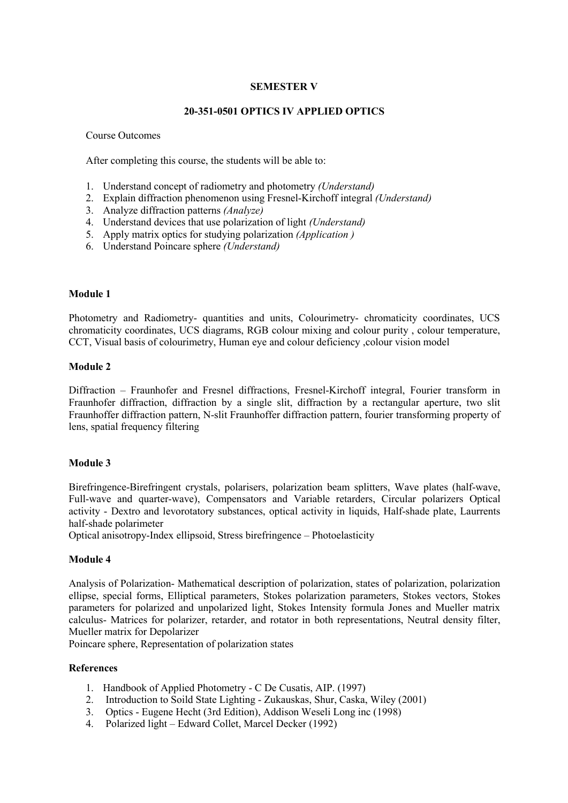# **SEMESTER V**

## **20-351-0501 OPTICS IV APPLIED OPTICS**

### Course Outcomes

After completing this course, the students will be able to:

- 1. Understand concept of radiometry and photometry *(Understand)*
- 2. Explain diffraction phenomenon using Fresnel-Kirchoff integral *(Understand)*
- 3. Analyze diffraction patterns *(Analyze)*
- 4. Understand devices that use polarization of light *(Understand)*
- 5. Apply matrix optics for studying polarization *(Application )*
- 6. Understand Poincare sphere *(Understand)*

### **Module 1**

Photometry and Radiometry- quantities and units, Colourimetry- chromaticity coordinates, UCS chromaticity coordinates, UCS diagrams, RGB colour mixing and colour purity , colour temperature, CCT, Visual basis of colourimetry, Human eye and colour deficiency, colour vision model

### **Module 2**

Diffraction – Fraunhofer and Fresnel diffractions, Fresnel-Kirchoff integral, Fourier transform in Fraunhofer diffraction, diffraction by a single slit, diffraction by a rectangular aperture, two slit Fraunhoffer diffraction pattern, N-slit Fraunhoffer diffraction pattern, fourier transforming property of lens, spatial frequency filtering

## **Module 3**

Birefringence-Birefringent crystals, polarisers, polarization beam splitters, Wave plates (half-wave, Full-wave and quarter-wave), Compensators and Variable retarders, Circular polarizers Optical activity - Dextro and levorotatory substances, optical activity in liquids, Half-shade plate, Laurrents half-shade polarimeter

Optical anisotropy-Index ellipsoid, Stress birefringence – Photoelasticity

## **Module 4**

Analysis of Polarization- Mathematical description of polarization, states of polarization, polarization ellipse, special forms, Elliptical parameters, Stokes polarization parameters, Stokes vectors, Stokes parameters for polarized and unpolarized light, Stokes Intensity formula Jones and Mueller matrix calculus- Matrices for polarizer, retarder, and rotator in both representations, Neutral density filter, Mueller matrix for Depolarizer

Poincare sphere, Representation of polarization states

#### **References**

- 1. Handbook of Applied Photometry C De Cusatis, AIP. (1997)
- 2. Introduction to Soild State Lighting Zukauskas, Shur, Caska, Wiley (2001)
- 3. Optics Eugene Hecht (3rd Edition), Addison Weseli Long inc (1998)
- 4. Polarized light Edward Collet, Marcel Decker (1992)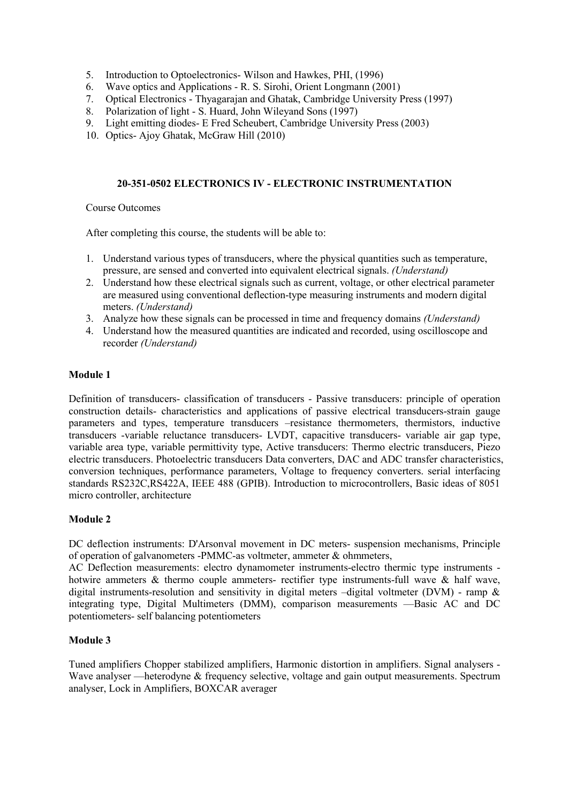- 5. Introduction to Optoelectronics- Wilson and Hawkes, PHI, (1996)
- 6. Wave optics and Applications R. S. Sirohi, Orient Longmann (2001)
- 7. Optical Electronics Thyagarajan and Ghatak, Cambridge University Press (1997)
- 8. Polarization of light S. Huard, John Wileyand Sons (1997)
- 9. Light emitting diodes- E Fred Scheubert, Cambridge University Press (2003)
- 10. Optics- Ajoy Ghatak, McGraw Hill (2010)

# **20-351-0502 ELECTRONICS IV - ELECTRONIC INSTRUMENTATION**

Course Outcomes

After completing this course, the students will be able to:

- 1. Understand various types of transducers, where the physical quantities such as temperature, pressure, are sensed and converted into equivalent electrical signals. *(Understand)*
- 2. Understand how these electrical signals such as current, voltage, or other electrical parameter are measured using conventional deflection-type measuring instruments and modern digital meters. *(Understand)*
- 3. Analyze how these signals can be processed in time and frequency domains *(Understand)*
- 4. Understand how the measured quantities are indicated and recorded, using oscilloscope and recorder *(Understand)*

## **Module 1**

Definition of transducers- classification of transducers - Passive transducers: principle of operation construction details- characteristics and applications of passive electrical transducers-strain gauge parameters and types, temperature transducers –resistance thermometers, thermistors, inductive transducers -variable reluctance transducers- LVDT, capacitive transducers- variable air gap type, variable area type, variable permittivity type, Active transducers: Thermo electric transducers, Piezo electric transducers. Photoelectric transducers Data converters, DAC and ADC transfer characteristics, conversion techniques, performance parameters, Voltage to frequency converters. serial interfacing standards RS232C,RS422A, IEEE 488 (GPIB). Introduction to microcontrollers, Basic ideas of 8051 micro controller, architecture

# **Module 2**

DC deflection instruments: D'Arsonval movement in DC meters- suspension mechanisms, Principle of operation of galvanometers -PMMC-as voltmeter, ammeter & ohmmeters,

AC Deflection measurements: electro dynamometer instruments-electro thermic type instruments hotwire ammeters & thermo couple ammeters- rectifier type instruments-full wave & half wave, digital instruments-resolution and sensitivity in digital meters –digital voltmeter (DVM) - ramp & integrating type, Digital Multimeters (DMM), comparison measurements —Basic AC and DC potentiometers- self balancing potentiometers

## **Module 3**

Tuned amplifiers Chopper stabilized amplifiers, Harmonic distortion in amplifiers. Signal analysers - Wave analyser —heterodyne & frequency selective, voltage and gain output measurements. Spectrum analyser, Lock in Amplifiers, BOXCAR averager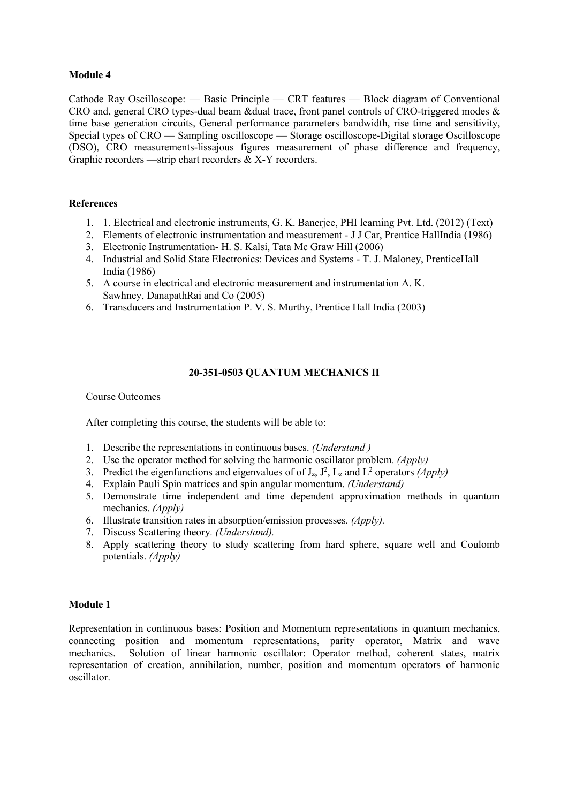Cathode Ray Oscilloscope: — Basic Principle — CRT features — Block diagram of Conventional CRO and, general CRO types-dual beam &dual trace, front panel controls of CRO-triggered modes & time base generation circuits, General performance parameters bandwidth, rise time and sensitivity, Special types of CRO — Sampling oscilloscope — Storage oscilloscope-Digital storage Oscilloscope (DSO), CRO measurements-lissajous figures measurement of phase difference and frequency, Graphic recorders —strip chart recorders & X-Y recorders.

## **References**

- 1. 1. Electrical and electronic instruments, G. K. Banerjee, PHI learning Pvt. Ltd. (2012) (Text)
- 2. Elements of electronic instrumentation and measurement J J Car, Prentice HallIndia (1986)
- 3. Electronic Instrumentation- H. S. Kalsi, Tata Mc Graw Hill (2006)
- 4. Industrial and Solid State Electronics: Devices and Systems T. J. Maloney, PrenticeHall India (1986)
- 5. A course in electrical and electronic measurement and instrumentation A. K. Sawhney, DanapathRai and Co (2005)
- 6. Transducers and Instrumentation P. V. S. Murthy, Prentice Hall India (2003)

## **20-351-0503 QUANTUM MECHANICS II**

Course Outcomes

After completing this course, the students will be able to:

- 1. Describe the representations in continuous bases.*(Understand )*
- 2. Use the operator method for solving the harmonic oscillator problem*. (Apply)*
- 3. Predict the eigenfunctions and eigenvalues of of  $J_z$ ,  $J^2$ ,  $L_z$  and  $L^2$  operators *(Apply)*
- 4. Explain Pauli Spin matrices and spin angular momentum. *(Understand)*
- 5. Demonstrate time independent and time dependent approximation methods in quantum mechanics. *(Apply)*
- 6. Illustrate transition rates in absorption/emission processes*. (Apply).*
- 7. Discuss Scattering theory*. (Understand).*
- 8. Apply scattering theory to study scattering from hard sphere, square well and Coulomb potentials. *(Apply)*

# **Module 1**

Representation in continuous bases: Position and Momentum representations in quantum mechanics, connecting position and momentum representations, parity operator, Matrix and wave mechanics. Solution of linear harmonic oscillator: Operator method, coherent states, matrix representation of creation, annihilation, number, position and momentum operators of harmonic oscillator.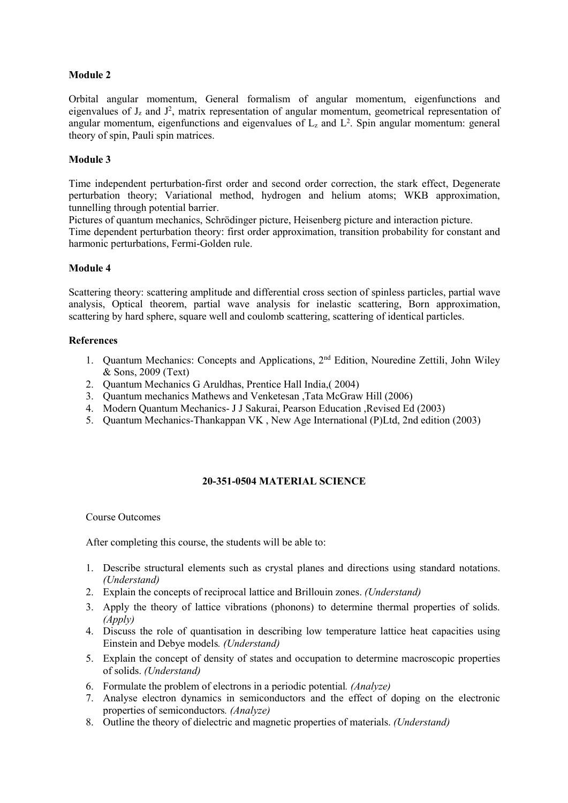Orbital angular momentum, General formalism of angular momentum, eigenfunctions and eigenvalues of  $J_z$  and  $J^2$ , matrix representation of angular momentum, geometrical representation of angular momentum, eigenfunctions and eigenvalues of  $L_z$  and  $L^2$ . Spin angular momentum: general theory of spin, Pauli spin matrices.

# **Module 3**

Time independent perturbation-first order and second order correction, the stark effect, Degenerate perturbation theory; Variational method, hydrogen and helium atoms; WKB approximation, tunnelling through potential barrier.

Pictures of quantum mechanics, Schrödinger picture, Heisenberg picture and interaction picture.

Time dependent perturbation theory: first order approximation, transition probability for constant and harmonic perturbations, Fermi-Golden rule.

## **Module 4**

Scattering theory: scattering amplitude and differential cross section of spinless particles, partial wave analysis, Optical theorem, partial wave analysis for inelastic scattering, Born approximation, scattering by hard sphere, square well and coulomb scattering, scattering of identical particles.

## **References**

- 1. Quantum Mechanics: Concepts and Applications, 2<sup>nd</sup> Edition, Nouredine Zettili, John Wiley & Sons, 2009 (Text)
- 2. Quantum Mechanics G Aruldhas, Prentice Hall India,( 2004)
- 3. Quantum mechanics Mathews and Venketesan ,Tata McGraw Hill (2006)
- 4. Modern Quantum Mechanics- J J Sakurai, Pearson Education ,Revised Ed (2003)
- 5. Quantum Mechanics-Thankappan VK , New Age International (P)Ltd, 2nd edition (2003)

# **20-351-0504 MATERIAL SCIENCE**

## Course Outcomes

After completing this course, the students will be able to:

- 1. Describe structural elements such as crystal planes and directions using standard notations. *(Understand)*
- 2. Explain the concepts of reciprocal lattice and Brillouin zones. *(Understand)*
- 3. Apply the theory of lattice vibrations (phonons) to determine thermal properties of solids. *(Apply)*
- 4. Discuss the role of quantisation in describing low temperature lattice heat capacities using Einstein and Debye models*. (Understand)*
- 5. Explain the concept of density of states and occupation to determine macroscopic properties of solids. *(Understand)*
- 6. Formulate the problem of electrons in a periodic potential*. (Analyze)*
- 7. Analyse electron dynamics in semiconductors and the effect of doping on the electronic properties of semiconductors. *(Analyze)*
- 8. Outline the theory of dielectric and magnetic properties ofmaterials. *(Understand)*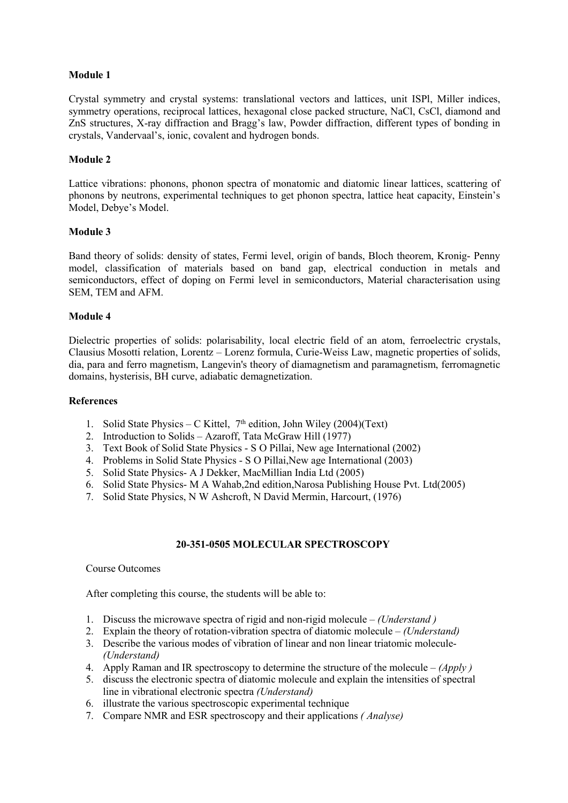Crystal symmetry and crystal systems: translational vectors and lattices, unit ISPl, Miller indices, symmetry operations, reciprocal lattices, hexagonal close packed structure, NaCl, CsCl, diamond and ZnS structures, X-ray diffraction and Bragg's law, Powder diffraction, different types of bonding in crystals, Vandervaal's, ionic, covalent and hydrogen bonds.

## **Module 2**

Lattice vibrations: phonons, phonon spectra of monatomic and diatomic linear lattices, scattering of phonons by neutrons, experimental techniques to get phonon spectra, lattice heat capacity, Einstein's Model, Debye's Model.

## **Module 3**

Band theory of solids: density of states, Fermi level, origin of bands, Bloch theorem, Kronig- Penny model, classification of materials based on band gap, electrical conduction in metals and semiconductors, effect of doping on Fermi level in semiconductors, Material characterisation using SEM, TEM and AFM.

## **Module 4**

Dielectric properties of solids: polarisability, local electric field of an atom, ferroelectric crystals, Clausius Mosotti relation, Lorentz – Lorenz formula, Curie-Weiss Law, magnetic properties of solids, dia, para and ferro magnetism, Langevin's theory of diamagnetism and paramagnetism, ferromagnetic domains, hysterisis, BH curve, adiabatic demagnetization.

## **References**

- 1. Solid State Physics C Kittel,  $7<sup>th</sup>$  edition, John Wiley (2004)(Text)
- 2. Introduction to Solids Azaroff, Tata McGraw Hill (1977)
- 3. Text Book of Solid State Physics S O Pillai, New age International (2002)
- 4. Problems in Solid State Physics S O Pillai,New age International (2003)
- 5. Solid State Physics- A J Dekker, MacMillian India Ltd (2005)
- 6. Solid State Physics- M A Wahab,2nd edition,Narosa Publishing House Pvt. Ltd(2005)
- 7. Solid State Physics, N W Ashcroft, N David Mermin, Harcourt, (1976)

## **20-351-0505 MOLECULAR SPECTROSCOPY**

## Course Outcomes

After completing this course, the students will be able to:

- 1. Discuss the microwave spectra of rigid and non-rigid molecule *(Understand )*
- 2. Explain the theory of rotation-vibration spectra of diatomic molecule *(Understand)*
- 3. Describe the various modes of vibration of linear and non linear triatomic molecule-*(Understand)*
- 4. Apply Raman and IR spectroscopy to determine the structure of the molecule *(Apply )*
- 5. discuss the electronic spectra of diatomic molecule and explain the intensities of spectral line in vibrational electronic spectra *(Understand)*
- 6. illustrate the various spectroscopic experimental technique
- 7. Compare NMR and ESR spectroscopy and their applications *( Analyse)*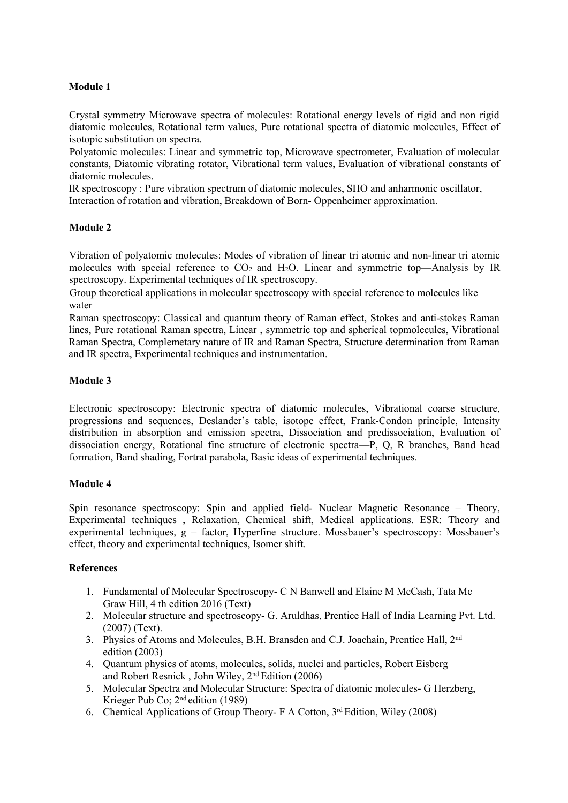Crystal symmetry Microwave spectra of molecules: Rotational energy levels of rigid and non rigid diatomic molecules, Rotational term values, Pure rotational spectra of diatomic molecules, Effect of isotopic substitution on spectra.

Polyatomic molecules: Linear and symmetric top, Microwave spectrometer, Evaluation of molecular constants, Diatomic vibrating rotator, Vibrational term values, Evaluation of vibrational constants of diatomic molecules.

IR spectroscopy : Pure vibration spectrum of diatomic molecules, SHO and anharmonic oscillator, Interaction of rotation and vibration, Breakdown of Born- Oppenheimer approximation.

## **Module 2**

Vibration of polyatomic molecules: Modes of vibration of linear tri atomic and non-linear tri atomic molecules with special reference to  $CO<sub>2</sub>$  and  $H<sub>2</sub>O$ . Linear and symmetric top—Analysis by IR spectroscopy. Experimental techniques of IR spectroscopy.

Group theoretical applications in molecular spectroscopy with special reference to molecules like water

Raman spectroscopy: Classical and quantum theory of Raman effect, Stokes and anti-stokes Raman lines, Pure rotational Raman spectra, Linear , symmetric top and spherical topmolecules, Vibrational Raman Spectra, Complemetary nature of IR and Raman Spectra, Structure determination from Raman and IR spectra, Experimental techniques and instrumentation.

## **Module 3**

Electronic spectroscopy: Electronic spectra of diatomic molecules, Vibrational coarse structure, progressions and sequences, Deslander's table, isotope effect, Frank-Condon principle, Intensity distribution in absorption and emission spectra, Dissociation and predissociation, Evaluation of dissociation energy, Rotational fine structure of electronic spectra—P, Q, R branches, Band head formation, Band shading, Fortrat parabola, Basic ideas of experimental techniques.

## **Module 4**

Spin resonance spectroscopy: Spin and applied field- Nuclear Magnetic Resonance – Theory, Experimental techniques , Relaxation, Chemical shift, Medical applications. ESR: Theory and experimental techniques, g – factor, Hyperfine structure. Mossbauer's spectroscopy: Mossbauer's effect, theory and experimental techniques, Isomer shift.

## **References**

- 1. Fundamental of Molecular Spectroscopy- C N Banwell and Elaine M McCash, Tata Mc Graw Hill, 4 th edition 2016 (Text)
- 2. Molecular structure and spectroscopy- G. Aruldhas, Prentice Hall of India Learning Pvt. Ltd. (2007) (Text).
- 3. Physics of Atoms and Molecules, B.H. Bransden and C.J. Joachain, Prentice Hall, 2<sup>nd</sup> edition (2003)
- 4. Quantum physics of atoms, molecules, solids, nuclei and particles, Robert Eisberg and Robert Resnick , John Wiley, 2 nd Edition (2006)
- 5. Molecular Spectra and Molecular Structure: Spectra of diatomic molecules- G Herzberg, Krieger Pub Co; 2<sup>nd</sup> edition (1989)
- 6. Chemical Applications of Group Theory- F A Cotton, 3<sup>rd</sup> Edition, Wiley (2008)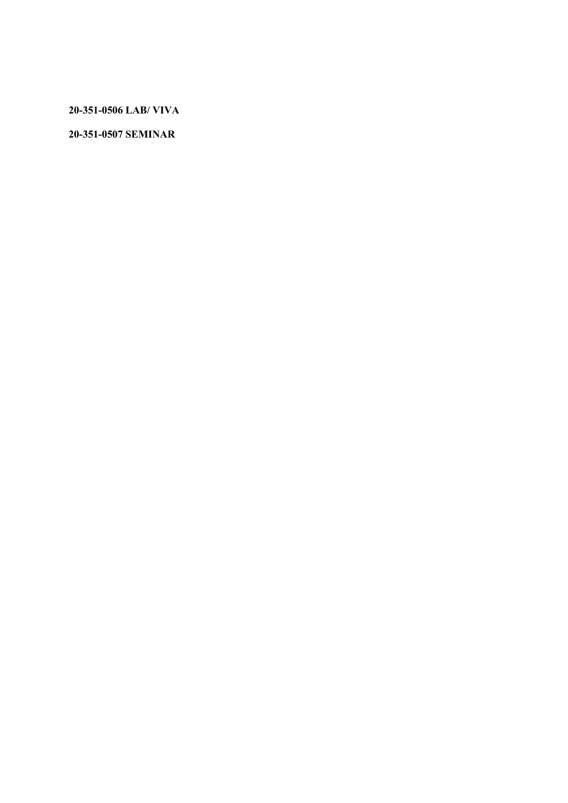**20-351-0506 LAB/ VIVA**

**20-351-0507 SEMINAR**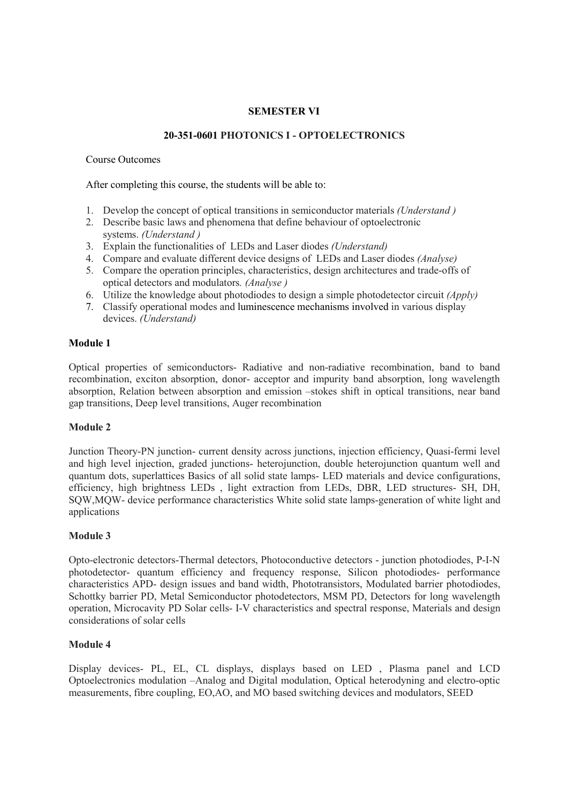# **SEMESTER VI**

## **20-351-0601 PHOTONICS I - OPTOELECTRONICS**

Course Outcomes

After completing this course, the students will be able to:

- 1. Develop the concept of optical transitions in semiconductor materials *(Understand )*
- 2. Describe basic laws and phenomena that define behaviour of optoelectronic systems. *(Understand )*
- 3. Explain the functionalities of LEDs and Laser diodes *(Understand)*
- 4. Compare and evaluate different device designs of LEDs and Laser diodes *(Analyse)*
- 5. Compare the operation principles, characteristics, design architectures and trade-offs of optical detectors and modulators*. (Analyse )*
- 6. Utilize the knowledge about photodiodes to design a simple photodetector circuit *(Apply)*
- 7. Classify operational modes and luminescence mechanisms involved in various display devices. *(Understand)*

## **Module 1**

Optical properties of semiconductors- Radiative and non-radiative recombination, band to band recombination, exciton absorption, donor- acceptor and impurity band absorption, long wavelength absorption, Relation between absorption and emission –stokes shift in optical transitions, near band gap transitions, Deep level transitions, Auger recombination

# **Module 2**

Junction Theory-PN junction- current density across junctions, injection efficiency, Quasi-fermi level and high level injection, graded junctions- heterojunction, double heterojunction quantum well and quantum dots, superlattices Basics of all solid state lamps- LED materials and device configurations, efficiency, high brightness LEDs , light extraction from LEDs, DBR, LED structures- SH, DH, SQW,MQW- device performance characteristics White solid state lamps-generation of white light and applications

## **Module 3**

Opto-electronic detectors-Thermal detectors, Photoconductive detectors - junction photodiodes, P-I-N photodetector- quantum efficiency and frequency response, Silicon photodiodes- performance characteristics APD- design issues and band width, Phototransistors, Modulated barrier photodiodes, Schottky barrier PD, Metal Semiconductor photodetectors, MSM PD, Detectors for long wavelength operation, Microcavity PD Solar cells- I-V characteristics and spectral response, Materials and design considerations of solar cells

## **Module 4**

Display devices- PL, EL, CL displays, displays based on LED , Plasma panel and LCD Optoelectronics modulation –Analog and Digital modulation, Optical heterodyning and electro-optic measurements, fibre coupling, EO,AO, and MO based switching devices and modulators, SEED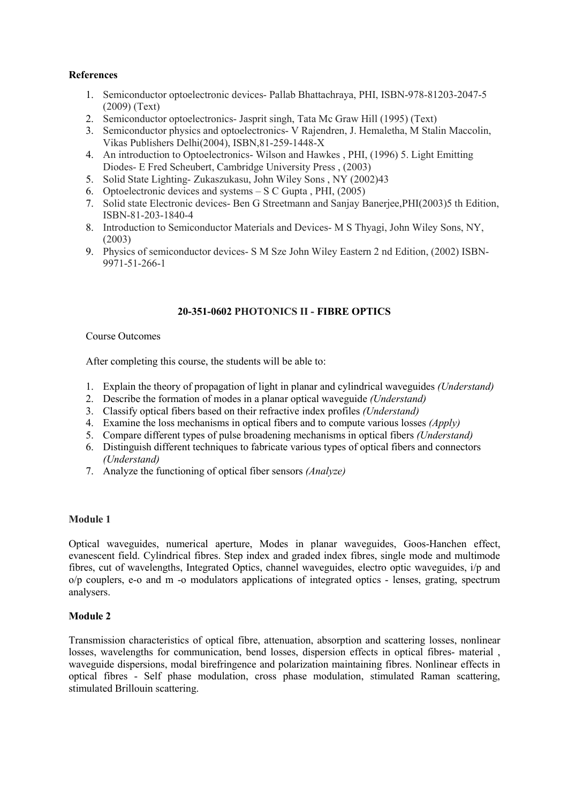# **References**

- 1. Semiconductor optoelectronic devices- Pallab Bhattachraya, PHI, ISBN-978-81203-2047-5 (2009) (Text)
- 2. Semiconductor optoelectronics- Jasprit singh, Tata Mc Graw Hill (1995) (Text)
- 3. Semiconductor physics and optoelectronics- V Rajendren, J. Hemaletha, M Stalin Maccolin, Vikas Publishers Delhi(2004), ISBN,81-259-1448-X
- 4. An introduction to Optoelectronics- Wilson and Hawkes , PHI,(1996) 5. Light Emitting Diodes- E Fred Scheubert, Cambridge University Press, (2003)
- 5. Solid State Lighting- Zukaszukasu, John Wiley Sons , NY (2002)43
- 6. Optoelectronic devices and systems S C Gupta , PHI, (2005)
- 7. Solid state Electronic devices- Ben G Streetmann and Sanjay Banerjee,PHI(2003)5 th Edition, ISBN-81-203-1840-4
- 8. Introduction to Semiconductor Materials and Devices- M S Thyagi, John Wiley Sons, NY, (2003)
- 9. Physics of semiconductor devices- S M Sze John Wiley Eastern 2 nd Edition, (2002) ISBN-9971-51-266-1

## **20-351-0602 PHOTONICS II - FIBRE OPTICS**

## Course Outcomes

After completing this course, the students will be able to:

- 1. Explain the theory of propagation of light in planar and cylindrical waveguides *(Understand)*
- 2. Describe the formation of modes in a planar optical waveguide *(Understand)*
- 3. Classify optical fibers based on their refractive index profiles *(Understand)*
- 4. Examine the loss mechanisms in optical fibers and to compute various losses *(Apply)*
- 5. Compare different types of pulse broadening mechanisms in optical fibers *(Understand)*
- 6. Distinguish different techniques to fabricate various types of optical fibers and connectors *(Understand)*
- 7. Analyze the functioning of optical fiber sensors *(Analyze)*

## **Module 1**

Optical waveguides, numerical aperture, Modes in planar waveguides, Goos-Hanchen effect, evanescent field. Cylindrical fibres. Step index and graded index fibres, single mode and multimode fibres, cut of wavelengths, Integrated Optics, channel waveguides, electro optic waveguides, i/p and o/p couplers, e-o and m -o modulators applications of integrated optics - lenses, grating, spectrum analysers.

## **Module 2**

Transmission characteristics of optical fibre, attenuation, absorption and scattering losses, nonlinear losses, wavelengths for communication, bend losses, dispersion effects in optical fibres- material, waveguide dispersions, modal birefringence and polarization maintaining fibres. Nonlinear effects in optical fibres - Self phase modulation, cross phase modulation, stimulated Raman scattering, stimulated Brillouin scattering.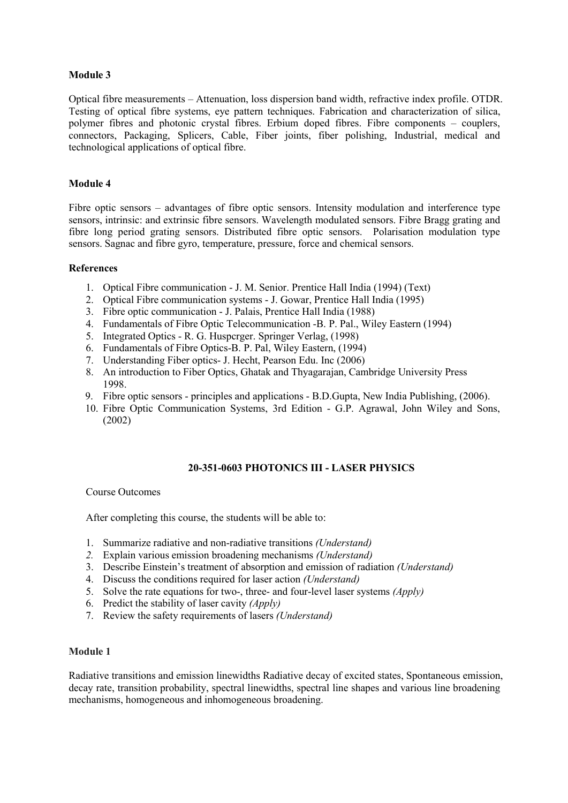Optical fibre measurements – Attenuation, loss dispersion band width, refractive index profile. OTDR. Testing of optical fibre systems, eye pattern techniques. Fabrication and characterization of silica, polymer fibres and photonic crystal fibres. Erbium doped fibres. Fibre components – couplers, connectors, Packaging, Splicers, Cable, Fiber joints, fiber polishing, Industrial, medical and technological applications of optical fibre.

## **Module 4**

Fibre optic sensors – advantages of fibre optic sensors. Intensity modulation and interference type sensors, intrinsic: and extrinsic fibre sensors. Wavelength modulated sensors. Fibre Bragg grating and fibre long period grating sensors. Distributed fibre optic sensors. Polarisation modulation type sensors. Sagnac and fibre gyro, temperature, pressure, force and chemical sensors.

## **References**

- 1. Optical Fibre communication J. M. Senior. Prentice Hall India (1994) (Text)
- 2. Optical Fibre communication systems J. Gowar, Prentice Hall India (1995)
- 3. Fibre optic communication J. Palais, Prentice Hall India (1988)
- 4. Fundamentals of Fibre Optic Telecommunication -B. P. Pal., Wiley Eastern (1994)
- 5. Integrated Optics R. G. Huspcrger. Springer Verlag, (1998)
- 6. Fundamentals of Fibre Optics-B. P. Pal, Wiley Eastern, (1994)
- 7. Understanding Fiber optics- J. Hecht, Pearson Edu. Inc (2006)
- 8. An introduction to Fiber Optics, Ghatak and Thyagarajan, Cambridge University Press 1998.
- 9. Fibre optic sensors principles and applications B.D.Gupta, New India Publishing, (2006).
- 10. Fibre Optic Communication Systems, 3rd Edition G.P. Agrawal, John Wiley and Sons, (2002)

## **20-351-0603 PHOTONICS III - LASER PHYSICS**

## Course Outcomes

After completing this course, the students will be able to:

- 1. Summarize radiative and non-radiative transitions *(Understand)*
- *2.* Explain various emission broadening mechanisms *(Understand)*
- 3. Describe Einstein's treatment of absorption and emission of radiation *(Understand)*
- 4. Discuss the conditions required for laser action *(Understand)*
- 5. Solve the rate equations for two-, three- and four-level laser systems *(Apply)*
- 6. Predict the stability of lasercavity *(Apply)*
- 7. Review the safety requirements of lasers *(Understand)*

## **Module 1**

Radiative transitions and emission linewidths Radiative decay of excited states, Spontaneous emission, decay rate, transition probability, spectral linewidths, spectral line shapes and various line broadening mechanisms, homogeneous and inhomogeneous broadening.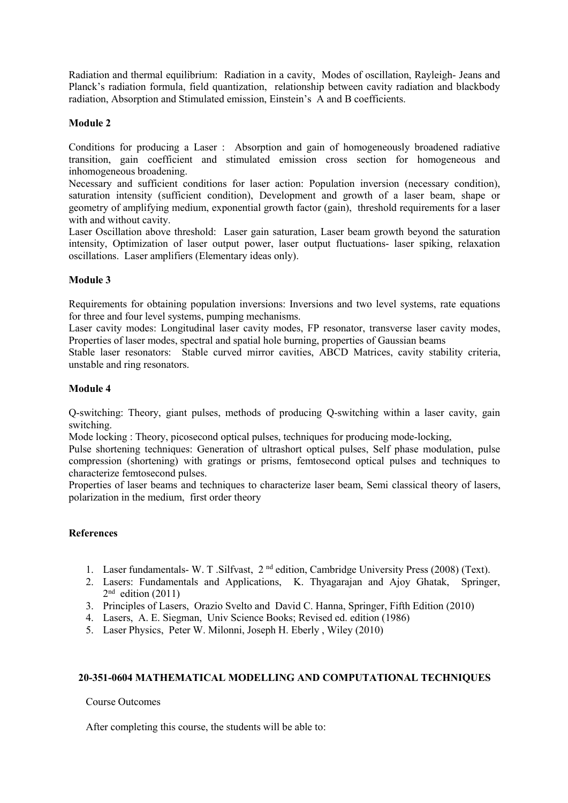Radiation and thermal equilibrium: Radiation in a cavity, Modes of oscillation, Rayleigh- Jeans and Planck's radiation formula, field quantization, relationship between cavity radiation and blackbody radiation, Absorption and Stimulated emission, Einstein's A and B coefficients.

## **Module 2**

Conditions for producing a Laser : Absorption and gain of homogeneously broadened radiative transition, gain coefficient and stimulated emission cross section for homogeneous and inhomogeneous broadening.

Necessary and sufficient conditions for laser action: Population inversion (necessary condition), saturation intensity (sufficient condition), Development and growth of a laser beam, shape or geometry of amplifying medium, exponential growth factor (gain), threshold requirements for a laser with and without cavity.

Laser Oscillation above threshold: Laser gain saturation, Laser beam growth beyond the saturation intensity, Optimization of laser output power, laser output fluctuations- laser spiking, relaxation oscillations. Laser amplifiers (Elementary ideas only).

## **Module 3**

Requirements for obtaining population inversions: Inversions and two level systems, rate equations for three and four level systems, pumping mechanisms.

Laser cavity modes: Longitudinal laser cavity modes, FP resonator, transverse laser cavity modes, Properties of laser modes, spectral and spatial hole burning, properties of Gaussian beams

Stable laser resonators: Stable curved mirror cavities, ABCD Matrices, cavity stability criteria, unstable and ring resonators.

## **Module 4**

Q-switching: Theory, giant pulses, methods of producing Q-switching within a laser cavity, gain switching.

Mode locking : Theory, picosecond optical pulses, techniques for producing mode-locking,

Pulse shortening techniques: Generation of ultrashort optical pulses, Self phase modulation, pulse compression (shortening) with gratings or prisms, femtosecond optical pulses and techniques to characterize femtosecond pulses.

Properties of laser beams and techniques to characterize laser beam, Semi classical theory of lasers, polarization in the medium, first order theory

## **References**

- 1. Laser fundamentals- W. T. Silfvast, 2<sup>nd</sup> edition, Cambridge University Press (2008) (Text).
- 2. Lasers: Fundamentals and Applications, K. Thyagarajan and Ajoy Ghatak, Springer,  $2<sup>nd</sup>$  edition (2011)
- 3. Principles ofLasers, Orazio Svelto and David C. Hanna, Springer, Fifth Edition (2010)
- 4. Lasers, A. E. Siegman, Univ Science Books; Revised ed. edition (1986)
- 5. Laser Physics, Peter W. Milonni, Joseph H. Eberly , Wiley (2010)

# **20-351-0604 MATHEMATICAL MODELLING AND COMPUTATIONAL TECHNIQUES**

Course Outcomes

After completing this course, the students will be able to: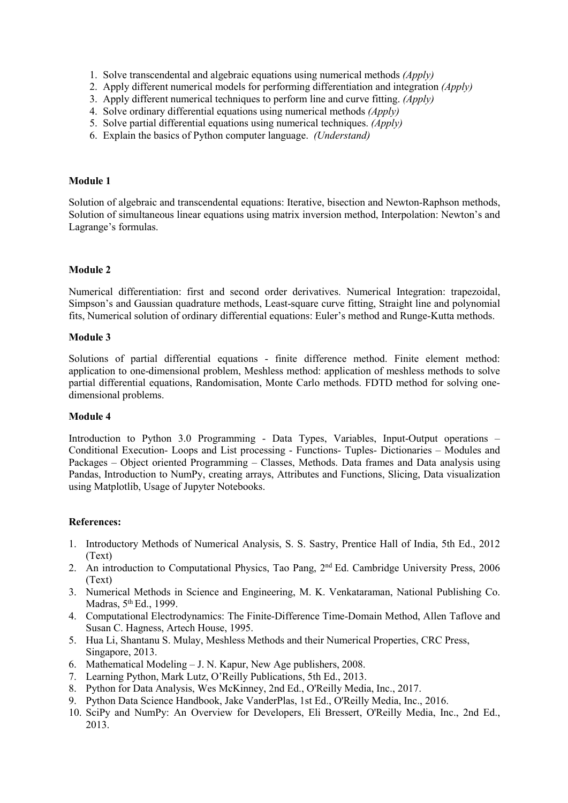- 1. Solve transcendental and algebraic equations using numericalmethods *(Apply)*
- 2. Apply different numerical models for performing differentiation and integration *(Apply)*
- 3. Apply different numerical techniques to perform line and curve fitting. *(Apply)*
- 4. Solve ordinary differential equations using numericalmethods *(Apply)*
- 5. Solve partial differential equations using numerical techniques. *(Apply)*
- 6. Explain the basics ofPython computer language. *(Understand)*

Solution of algebraic and transcendental equations: Iterative, bisection and Newton-Raphson methods, Solution of simultaneous linear equations using matrix inversion method, Interpolation: Newton's and Lagrange's formulas.

### **Module 2**

Numerical differentiation: first and second order derivatives. Numerical Integration: trapezoidal, Simpson's and Gaussian quadrature methods, Least-square curve fitting, Straight line and polynomial fits, Numerical solution of ordinary differential equations: Euler's method and Runge-Kutta methods.

#### **Module 3**

Solutions of partial differential equations - finite difference method. Finite element method: application to one-dimensional problem, Meshless method: application of meshless methods to solve partial differential equations, Randomisation, Monte Carlo methods. FDTD method for solving one dimensional problems.

#### **Module 4**

Introduction to Python 3.0 Programming - Data Types, Variables, Input-Output operations – Conditional Execution- Loops and List processing - Functions- Tuples- Dictionaries – Modules and Packages – Object oriented Programming – Classes, Methods. Data frames and Data analysis using Pandas, Introduction to NumPy, creating arrays, Attributes and Functions, Slicing, Data visualization using Matplotlib, Usage of Jupyter Notebooks.

## **References:**

- 1. Introductory Methods of Numerical Analysis, S. S. Sastry, Prentice Hall of India, 5th Ed., 2012 (Text)
- 2. An introduction to Computational Physics, Tao Pang, 2<sup>nd</sup> Ed. Cambridge University Press, 2006 (Text)
- 3. Numerical Methods in Science and Engineering, M. K. Venkataraman, National Publishing Co. Madras, 5 th Ed., 1999.
- 4. Computational Electrodynamics: The Finite-Difference Time-Domain Method, Allen Taflove and Susan C. Hagness, Artech House, 1995.
- 5. Hua Li, Shantanu S. Mulay, Meshless Methods and their Numerical Properties, CRC Press, Singapore, 2013.
- 6. Mathematical Modeling J. N. Kapur, New Age publishers, 2008.<br>7. Learning Python, Mark Lutz, O'Reilly Publications, 5th Ed., 2013.
- 
- 8. Python for Data Analysis, Wes McKinney, 2nd Ed., O'Reilly Media, Inc., 2017.
- 9. Python Data Science Handbook, Jake VanderPlas, 1st Ed., O'Reilly Media, Inc., 2016.
- 10. SciPy and NumPy: An Overview for Developers, Eli Bressert, O'Reilly Media, Inc., 2nd Ed., 2013.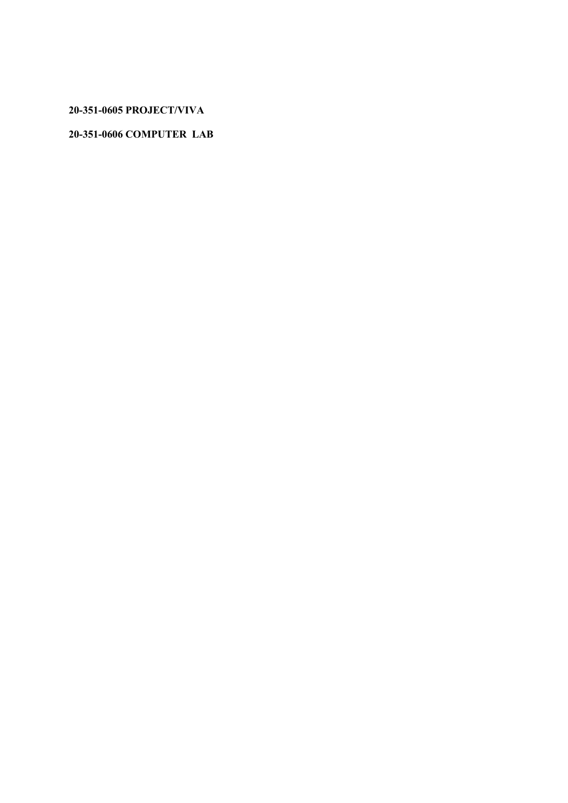**20-351-0605 PROJECT/VIVA**

# **20-351-0606 COMPUTER LAB**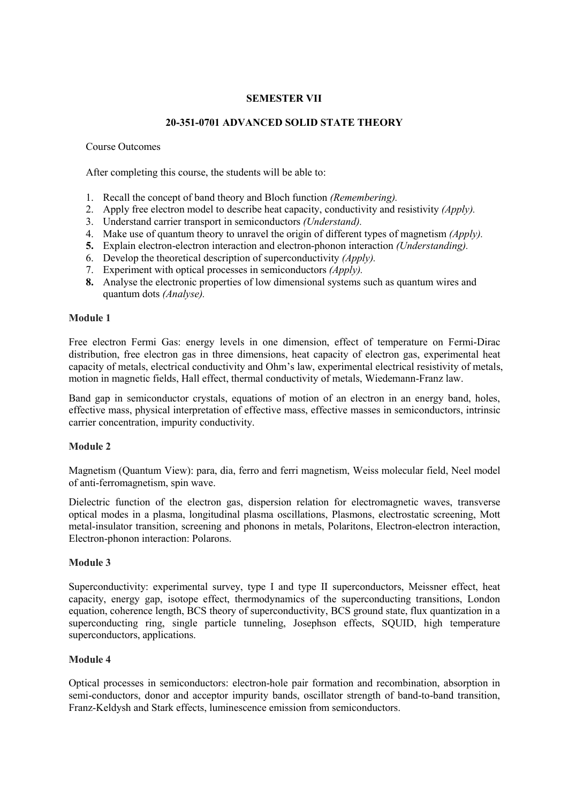## **SEMESTER VII**

## **20-351-0701 ADVANCED SOLID STATE THEORY**

Course Outcomes

After completing this course, the students will be able to:

- 1. Recall the concept of band theory and Bloch function *(Remembering).*
- 2. Apply free electron model to describe heat capacity, conductivity and resistivity *(Apply).*
- 3. Understand carrier transport in semiconductors *(Understand).*
- 4. Make use of quantum theory to unravel the origin of different types of magnetism *(Apply)*.
- **5.** Explain electron-electron interaction and electron-phonon interaction *(Understanding).*
- 6. Develop the theoretical description of superconductivity *(Apply).*
- 7. Experiment with optical processes in semiconductors *(Apply).*
- **8.** Analyse the electronic properties of low dimensional systems such as quantum wires and quantum dots *(Analyse).*

## **Module 1**

Free electron Fermi Gas: energy levels in one dimension, effect of temperature on Fermi-Dirac distribution, free electron gas in three dimensions, heat capacity of electron gas, experimental heat capacity of metals, electrical conductivity and Ohm's law, experimental electrical resistivity of metals, motion in magnetic fields, Hall effect, thermal conductivity of metals, Wiedemann-Franz law.

Band gap in semiconductor crystals, equations of motion of an electron in an energy band, holes, effective mass, physical interpretation of effective mass, effective masses in semiconductors, intrinsic carrier concentration, impurity conductivity.

## **Module 2**

Magnetism (Quantum View): para, dia, ferro and ferri magnetism, Weiss molecular field, Neel model of anti-ferromagnetism, spin wave.

Dielectric function of the electron gas, dispersion relation for electromagnetic waves, transverse optical modes in a plasma, longitudinal plasma oscillations, Plasmons, electrostatic screening, Mott metal-insulator transition, screening and phonons in metals, Polaritons, Electron-electron interaction, Electron-phonon interaction: Polarons.

## **Module 3**

Superconductivity: experimental survey, type I and type II superconductors, Meissner effect, heat capacity, energy gap, isotope effect, thermodynamics of the superconducting transitions, London equation, coherence length, BCS theory of superconductivity, BCS ground state, flux quantization in a superconducting ring, single particle tunneling, Josephson effects, SQUID, high temperature superconductors, applications.

## **Module 4**

Optical processes in semiconductors: electron-hole pair formation and recombination, absorption in semi-conductors, donor and acceptor impurity bands, oscillator strength of band-to-band transition, Franz-Keldysh and Stark effects, luminescence emission from semiconductors.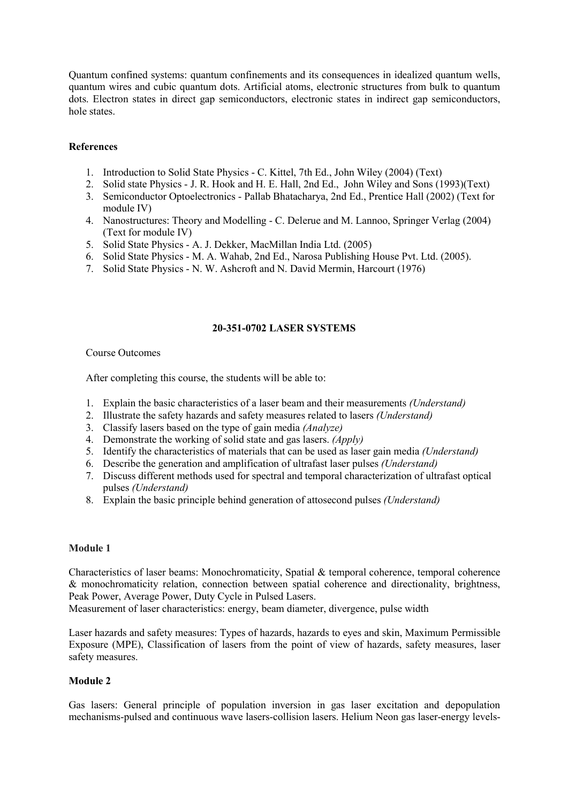Quantum confined systems: quantum confinements and its consequences in idealized quantum wells, quantum wires and cubic quantum dots. Artificial atoms, electronic structures from bulk to quantum dots. Electron states in direct gap semiconductors, electronic states in indirect gap semiconductors, hole states.

## **References**

- 1. Introduction to Solid State Physics C. Kittel, 7th Ed., John Wiley (2004) (Text)
- 2. Solid state Physics J. R. Hook and H. E. Hall, 2nd Ed., John Wiley and Sons (1993)(Text)
- 3. Semiconductor Optoelectronics Pallab Bhatacharya, 2nd Ed., Prentice Hall (2002) (Text for module IV)
- 4. Nanostructures: Theory and Modelling C. Delerue and M. Lannoo, Springer Verlag (2004) (Text for module IV)
- 5. Solid State Physics A. J.Dekker, MacMillan India Ltd. (2005)
- 6. Solid State Physics M. A. Wahab, 2nd Ed., Narosa Publishing House Pvt. Ltd. (2005).
- 7. Solid State Physics N. W. Ashcroft and N. David Mermin, Harcourt (1976)

## **20-351-0702 LASER SYSTEMS**

## Course Outcomes

After completing this course, the students will be able to:

- 1. Explain the basic characteristics ofa laserbeam and their measurements *(Understand)*
- 2. Illustrate the safety hazards and safety measures related to lasers *(Understand)*
- 3. Classify lasers based on the type of gain media *(Analyze)*
- 4. Demonstrate the working of solid state and gas lasers. *(Apply)*
- 5. Identify the characteristics of materials that can be used as lasergain media *(Understand)*
- 6. Describe the generation and amplification of ultrafast laser pulses *(Understand)*
- 7. Discuss different methods used for spectral and temporal characterization of ultrafast optical pulses *(Understand)*
- 8. Explain the basic principle behind generation of attosecond pulses *(Understand)*

## **Module 1**

Characteristics of laser beams: Monochromaticity, Spatial & temporal coherence, temporal coherence & monochromaticity relation, connection between spatial coherence and directionality, brightness, Peak Power, Average Power, Duty Cycle in Pulsed Lasers.

Measurement of laser characteristics: energy, beam diameter, divergence, pulse width

Laser hazards and safety measures: Types of hazards, hazards to eyes and skin, Maximum Permissible Exposure (MPE), Classification of lasers from the point of view of hazards, safety measures, laser safety measures.

## **Module 2**

Gas lasers: General principle of population inversion in gas laser excitation and depopulation mechanisms-pulsed and continuous wave lasers-collision lasers. Helium Neon gas laser-energy levels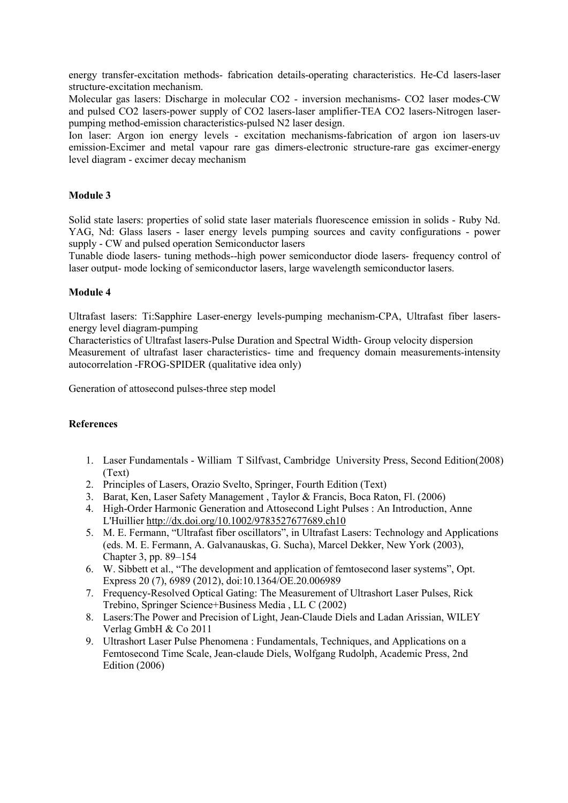energy transfer-excitation methods- fabrication details-operating characteristics. He-Cd lasers-laser structure-excitation mechanism.

Molecular gas lasers: Discharge in molecular CO2 - inversion mechanisms- CO2 laser modes-CW and pulsed CO2 lasers-power supply of CO2 lasers-laser amplifier-TEA CO2 lasers-Nitrogen laser pumping method-emission characteristics-pulsed N2 laser design.

Ion laser: Argon ion energy levels - excitation mechanisms-fabrication of argon ion lasers-uv emission-Excimer and metal vapour rare gas dimers-electronic structure-rare gas excimer-energy level diagram - excimer decay mechanism

## **Module 3**

Solid state lasers: properties of solid state laser materials fluorescence emission in solids - Ruby Nd. YAG, Nd: Glass lasers - laser energy levels pumping sources and cavity configurations - power supply - CW and pulsed operation Semiconductor lasers

Tunable diode lasers- tuning methods--high power semiconductor diode lasers- frequency control of laser output- mode locking of semiconductor lasers, large wavelength semiconductor lasers.

## **Module 4**

Ultrafast lasers: Ti:Sapphire Laser-energy levels-pumping mechanism-CPA, Ultrafast fiber lasers energy level diagram-pumping

Characteristics ofUltrafast lasers-Pulse Duration and Spectral Width- Group velocity dispersion Measurement of ultrafast laser characteristics- time and frequency domain measurements-intensity autocorrelation -FROG-SPIDER (qualitative idea only)

Generation of attosecond pulses-three step model

## **References**

- 1. Laser Fundamentals William T Silfvast, Cambridge University Press, Second Edition(2008) (Text)
- 2. Principles of Lasers, Orazio Svelto, Springer, Fourth Edition (Text)
- 3. Barat, Ken, Laser Safety Management , Taylor & Francis, Boca Raton, Fl. (2006)
- 4. High-Order Harmonic Generation and Attosecond Light Pulses : An Introduction, Anne L'Huillier <http://dx.doi.org/10.1002/9783527677689.ch10>
- 5. M. E. Fermann, "Ultrafast fiber oscillators", in Ultrafast Lasers: Technology and Applications (eds. M. E. Fermann, A. Galvanauskas, G. Sucha), Marcel Dekker, New York (2003), Chapter 3, pp. 89–154
- 6. W. Sibbett et al., "The development and application of femtosecond laser systems", Opt. Express 20 (7), 6989 (2012), doi:10.1364/OE.20.006989
- 7. Frequency-Resolved Optical Gating: The Measurement of Ultrashort Laser Pulses, Rick Trebino, Springer Science+Business Media , LL C (2002)
- 8. Lasers:The Power and Precision of Light, Jean-Claude Diels and Ladan Arissian, WILEY Verlag GmbH & Co 2011
- 9. Ultrashort Laser Pulse Phenomena : Fundamentals, Techniques, and Applications on a Femtosecond Time Scale, Jean-claude Diels, Wolfgang Rudolph, Academic Press, 2nd Edition (2006)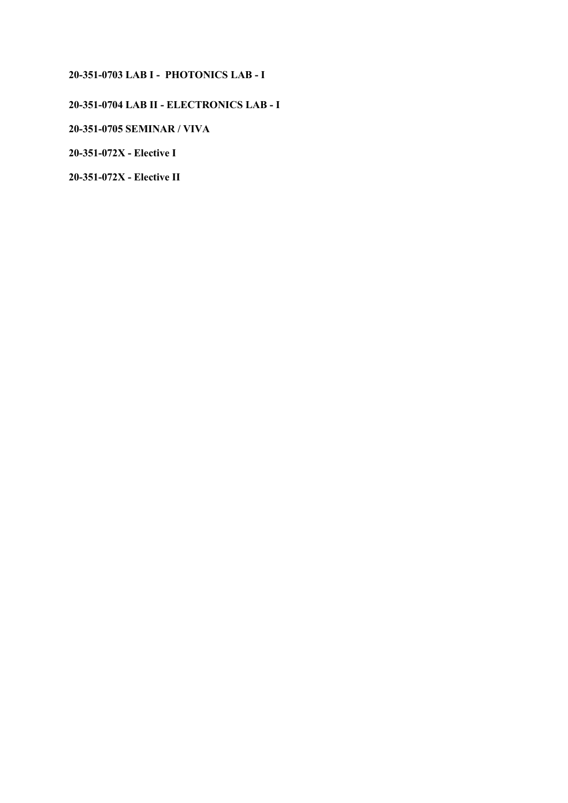## **20-351-0703 LAB I - PHOTONICS LAB - I**

# **20-351-0704 LAB II - ELECTRONICS LAB - I**

# **20-351-0705 SEMINAR / VIVA**

**20-351-072X - Elective I**

**20-351-072X - Elective II**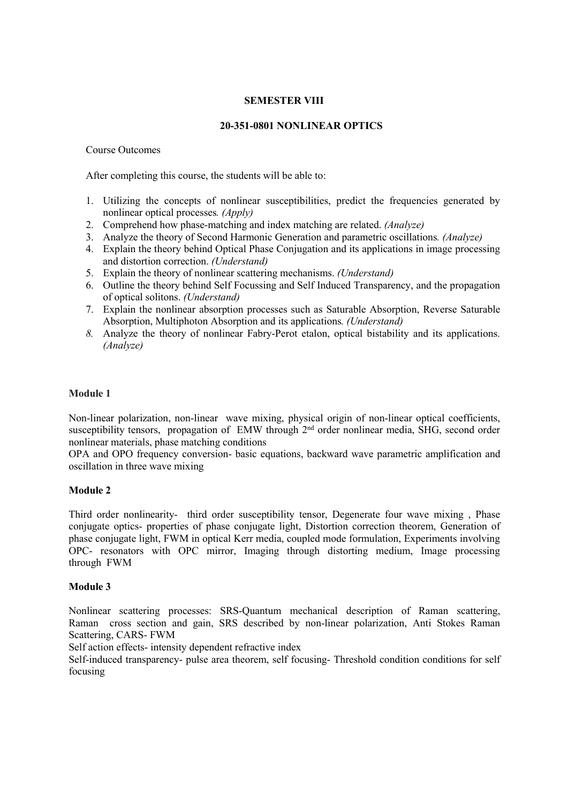## **SEMESTER VIII**

### **20-351-0801 NONLINEAR OPTICS**

#### Course Outcomes

After completing this course, the students will be able to:

- 1. Utilizing the concepts of nonlinear susceptibilities, predict the frequencies generated by nonlinear optical processes*. (Apply)*
- 2. Comprehend how phase-matching and index matching are related.*(Analyze)*
- 3. Analyze the theory of Second Harmonic Generation and parametric oscillations*. (Analyze)*
- 4. Explain the theory behind Optical Phase Conjugation and its applications in image processing and distortion correction. *(Understand)*
- 5. Explain the theory of nonlinear scattering mechanisms. *(Understand)*
- 6. Outline the theory behind Self Focussing and Self Induced Transparency, and the propagation of optical solitons. *(Understand)*
- 7. Explain the nonlinear absorption processes such as Saturable Absorption, Reverse Saturable Absorption, Multiphoton Absorption and its applications*. (Understand)*
- *8.* Analyze the theory of nonlinear Fabry-Perot etalon, optical bistability and its applications. *(Analyze)*

## **Module 1**

Non-linear polarization, non-linear wave mixing, physical origin of non-linear optical coefficients, susceptibility tensors, propagation of EMW through 2<sup>nd</sup> order nonlinear media, SHG, second order nonlinear materials, phase matching conditions

OPA and OPO frequency conversion- basic equations, backward wave parametric amplification and oscillation in three wave mixing

## **Module 2**

Third order nonlinearity- third order susceptibility tensor, Degenerate four wave mixing , Phase conjugate optics- properties of phase conjugate light, Distortion correction theorem, Generation of phase conjugate light, FWM in optical Kerr media, coupled mode formulation, Experiments involving OPC- resonators with OPC mirror, Imaging through distorting medium, Image processing through FWM

## **Module 3**

Nonlinear scattering processes: SRS-Quantum mechanical description of Raman scattering, Raman cross section and gain, SRS described by non-linear polarization, Anti Stokes Raman Scattering, CARS- FWM

Self action effects- intensity dependent refractive index

Self-induced transparency- pulse area theorem, self focusing- Threshold condition conditions for self focusing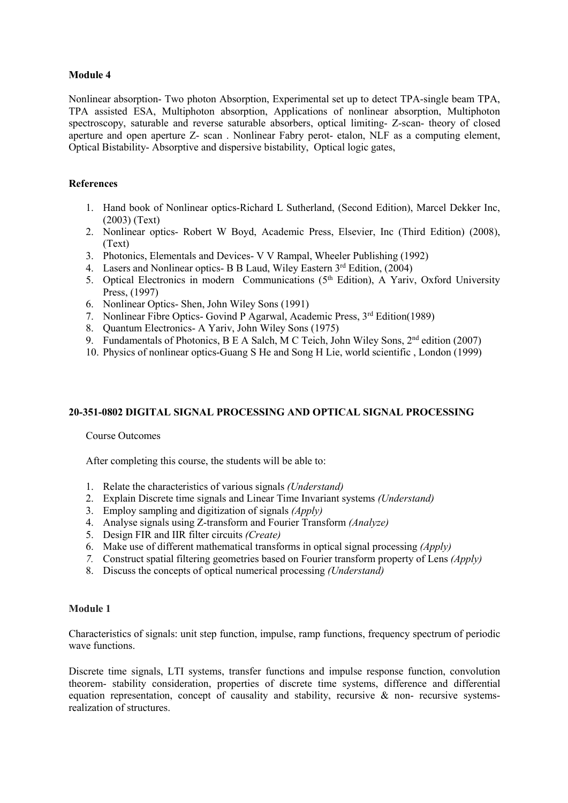Nonlinear absorption- Two photon Absorption, Experimental set up to detect TPA-single beam TPA, TPA assisted ESA, Multiphoton absorption, Applications of nonlinear absorption, Multiphoton spectroscopy, saturable and reverse saturable absorbers, optical limiting- Z-scan- theory of closed aperture and open aperture Z- scan . Nonlinear Fabry perot- etalon, NLF as a computing element, Optical Bistability- Absorptive and dispersive bistability, Optical logic gates,

## **References**

- 1. Hand book of Nonlinear optics-Richard L Sutherland, (Second Edition), Marcel Dekker Inc, (2003) (Text)
- 2. Nonlinear optics- Robert W Boyd, Academic Press, Elsevier, Inc (Third Edition) (2008), (Text)
- 3. Photonics, Elementals and Devices- V V Rampal, Wheeler Publishing (1992)
- 4. Lasers and Nonlinear optics- B B Laud, Wiley Eastern 3<sup>rd</sup> Edition, (2004)
- 5. Optical Electronics in modern Communications (5<sup>th</sup> Edition), A Yariv, Oxford University Press, (1997)
- 6. Nonlinear Optics- Shen, John Wiley Sons (1991)
- 7. Nonlinear Fibre Optics- Govind P Agarwal, Academic Press, 3<sup>rd</sup> Edition(1989)
- 8. Quantum Electronics- A Yariv, John Wiley Sons (1975)
- 9. Fundamentals of Photonics, B E A Salch, M C Teich, John Wiley Sons, 2<sup>nd</sup> edition (2007)
- 10. Physics ofnonlinear optics-Guang S He and Song H Lie, world scientific , London (1999)

## **20-351-0802 DIGITAL SIGNAL PROCESSING AND OPTICAL SIGNAL PROCESSING**

## Course Outcomes

After completing this course, the students will be able to:

- 1. Relate the characteristics ofvarious signals *(Understand)*
- 2. Explain Discrete time signals and Linear Time Invariant systems *(Understand)*
- 3. Employ sampling and digitization of signals *(Apply)*
- 4. Analyse signals using Z-transform and Fourier Transform *(Analyze)*
- 5. Design FIR and IIR filter circuits *(Create)*
- 6. Make use of different mathematical transforms in optical signal processing *(Apply)*
- *7.* Construct spatial filtering geometries based on Fourier transform property of Lens *(Apply)*
- 8. Discuss the concepts of optical numerical processing *(Understand)*

## **Module 1**

Characteristics of signals: unit step function, impulse, ramp functions, frequency spectrum of periodic wave functions.

Discrete time signals, LTI systems, transfer functions and impulse response function, convolution theorem- stability consideration, properties of discrete time systems, difference and differential equation representation, concept of causality and stability, recursive  $\&$  non- recursive systemsrealization of structures.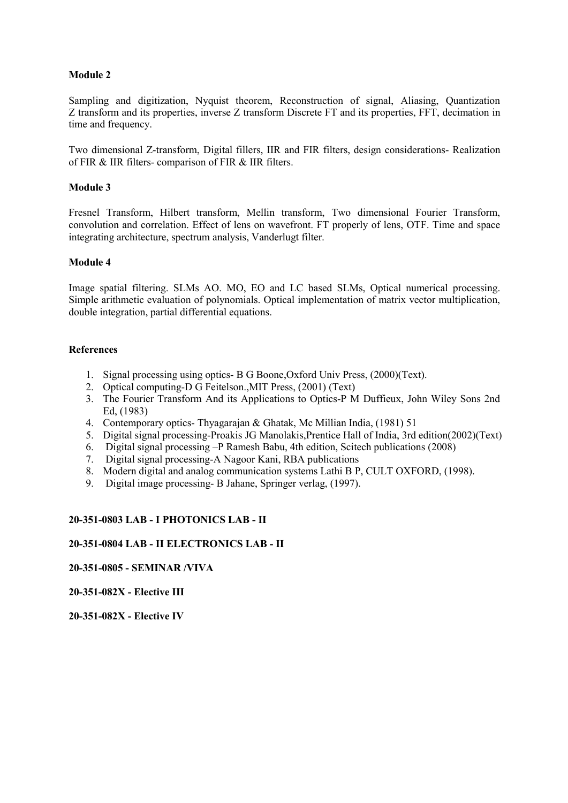Sampling and digitization, Nyquist theorem, Reconstruction of signal, Aliasing, Quantization Z transform and its properties, inverse Z transform Discrete FT and its properties, FFT, decimation in time and frequency.

Two dimensional Z-transform, Digital fillers, IIR and FIR filters, design considerations- Realization of FIR & IIR filters- comparison of FIR & IIR filters.

## **Module 3**

Fresnel Transform, Hilbert transform, Mellin transform, Two dimensional Fourier Transform, convolution and correlation. Effect of lens on wavefront. FT properly of lens, OTF. Time and space integrating architecture, spectrum analysis, Vanderlugt filter.

## **Module 4**

Image spatial filtering. SLMs AO. MO, EO and LC based SLMs, Optical numerical processing. Simple arithmetic evaluation of polynomials. Optical implementation of matrix vector multiplication, double integration, partial differential equations.

## **References**

- 1. Signal processing using optics- B G Boone,Oxford Univ Press, (2000)(Text).
- 2. Optical computing-D G Feitelson.,MIT Press, (2001) (Text)
- 3. The Fourier Transform And its Applications to Optics-P M Duffieux, John Wiley Sons 2nd Ed, (1983)
- 4. Contemporary optics- Thyagarajan & Ghatak, Mc Millian India, (1981) 51
- 5. Digital signal processing-Proakis JG Manolakis,Prentice Hall of India, 3rd edition(2002)(Text)
- 6. Digital signal processing –P Ramesh Babu, 4th edition, Scitech publications (2008)
- 7. Digital signal processing-A Nagoor Kani, RBA publications
- 8. Modern digital and analog communication systems Lathi B P, CULT OXFORD, (1998).
- 9. Digital image processing- B Jahane, Springer verlag, (1997).

## **20-351-0803 LAB - I PHOTONICS LAB - II**

## **20-351-0804 LAB - II ELECTRONICS LAB - II**

## **20-351-0805 - SEMINAR /VIVA**

**20-351-082X - Elective III**

**20-351-082X - Elective IV**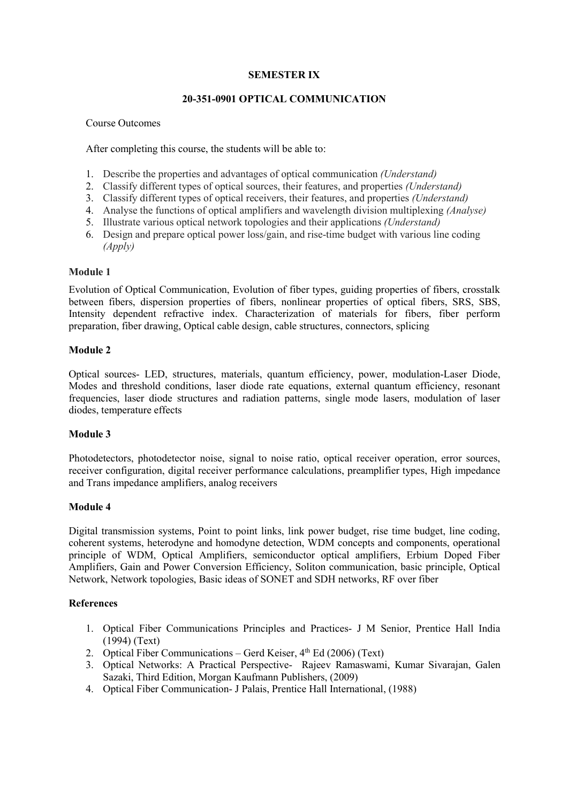## **SEMESTER IX**

## **20-351-0901 OPTICAL COMMUNICATION**

### Course Outcomes

After completing this course, the students will be able to:

- 1. Describe the properties and advantages of optical communication *(Understand)*
- 2. Classify different types of optical sources, their features, and properties *(Understand)*
- 3. Classify different types ofoptical receivers, their features, and properties *(Understand)*
- 4. Analyse the functions ofoptical amplifiers and wavelength division multiplexing *(Analyse)*
- 5. Illustrate various optical network topologies and their applications *(Understand)*
- 6. Design and prepare optical power loss/gain, and rise-time budget with various line coding *(Apply)*

## **Module 1**

Evolution of Optical Communication, Evolution of fiber types, guiding properties of fibers, crosstalk between fibers, dispersion properties of fibers, nonlinear properties of optical fibers, SRS, SBS, Intensity dependent refractive index. Characterization of materials for fibers, fiber perform preparation, fiber drawing, Optical cable design, cable structures, connectors, splicing

## **Module 2**

Optical sources- LED, structures, materials, quantum efficiency, power, modulation-Laser Diode, Modes and threshold conditions, laser diode rate equations, external quantum efficiency, resonant frequencies, laser diode structures and radiation patterns, single mode lasers, modulation of laser diodes, temperature effects

## **Module 3**

Photodetectors, photodetector noise, signal to noise ratio, optical receiver operation, error sources, receiver configuration, digital receiver performance calculations, preamplifier types, High impedance and Trans impedance amplifiers, analog receivers

## **Module 4**

Digital transmission systems, Point to point links, link power budget, rise time budget, line coding, coherent systems, heterodyne and homodyne detection, WDM concepts and components, operational principle of WDM, Optical Amplifiers, semiconductor optical amplifiers, Erbium Doped Fiber Amplifiers, Gain and Power Conversion Efficiency, Soliton communication, basic principle, Optical Network, Network topologies, Basic ideas of SONET and SDH networks, RF over fiber

## **References**

- 1. Optical Fiber Communications Principles and Practices- J M Senior, Prentice Hall India (1994) (Text)
- 2. Optical Fiber Communications Gerd Keiser, 4<sup>th</sup> Ed (2006) (Text)
- 3. Optical Networks: A Practical Perspective- Rajeev Ramaswami, Kumar Sivarajan, Galen Sazaki, Third Edition, Morgan Kaufmann Publishers, (2009)
- 4. Optical Fiber Communication- J Palais, Prentice Hall International, (1988)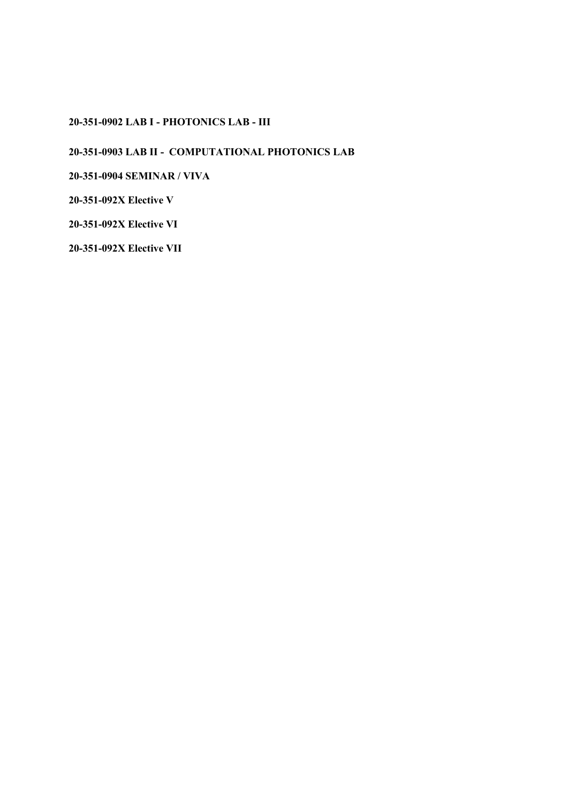# **20-351-0902 LAB I - PHOTONICS LAB - III**

**20-351-0903 LAB II - COMPUTATIONAL PHOTONICS LAB**

**20-351-0904 SEMINAR / VIVA**

**20-351-092X Elective V**

**20-351-092X Elective VI**

**20-351-092X Elective VII**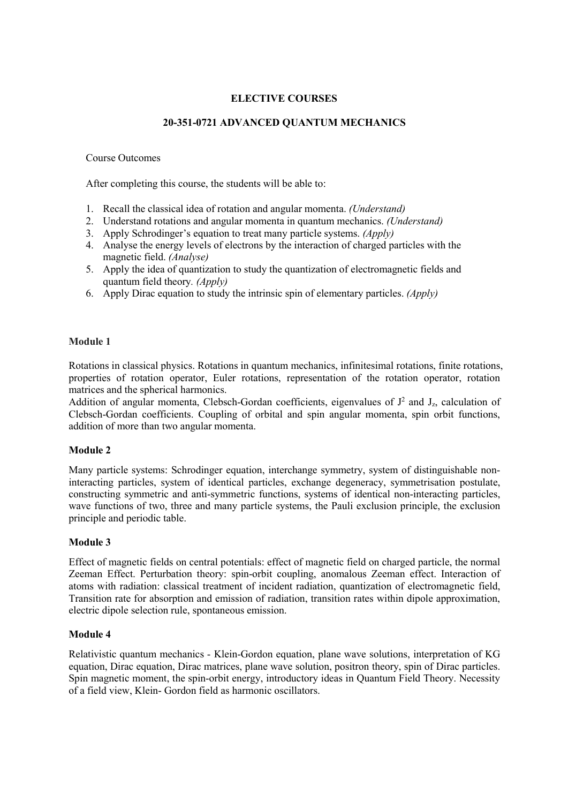# **ELECTIVE COURSES**

## **20-351-0721 ADVANCED QUANTUM MECHANICS**

### Course Outcomes

After completing this course, the students will be able to:

- 1. Recall the classical idea of rotation and angular momenta. *(Understand)*
- 2. Understand rotations and angular momenta in quantum mechanics. *(Understand)*
- 3. Apply Schrodinger's equation to treat many particle systems.*(Apply)*
- 4. Analyse the energy levels of electrons by the interaction of charged particles with the magnetic field. *(Analyse)*
- 5. Apply the idea of quantization to study the quantization of electromagnetic fields and quantum field theory*. (Apply)*
- 6. Apply Dirac equation to study the intrinsic spin of elementary particles. *(Apply)*

## **Module 1**

Rotations in classical physics. Rotations in quantum mechanics, infinitesimal rotations, finite rotations, properties of rotation operator, Euler rotations, representation of the rotation operator, rotation matrices and the spherical harmonics.

Addition of angular momenta, Clebsch-Gordan coefficients, eigenvalues of  $J^2$  and  $J_z$ , calculation of Clebsch-Gordan coefficients. Coupling of orbital and spin angular momenta, spin orbit functions, addition of more than two angular momenta.

## **Module 2**

Many particle systems: Schrodinger equation, interchange symmetry, system of distinguishable noninteracting particles, system of identical particles, exchange degeneracy, symmetrisation postulate, constructing symmetric and anti-symmetric functions, systems of identical non-interacting particles, wave functions of two, three and many particle systems, the Pauli exclusion principle, the exclusion principle and periodic table.

## **Module 3**

Effect of magnetic fields on central potentials: effect of magnetic field on charged particle, the normal Zeeman Effect. Perturbation theory: spin-orbit coupling, anomalous Zeeman effect. Interaction of atoms with radiation: classical treatment of incident radiation, quantization of electromagnetic field, Transition rate for absorption and emission of radiation, transition rateswithin dipole approximation, electric dipole selection rule, spontaneous emission.

## **Module 4**

Relativistic quantum mechanics - Klein-Gordon equation, plane wave solutions, interpretation of KG equation, Dirac equation, Dirac matrices, plane wave solution, positron theory, spin of Dirac particles. Spin magnetic moment, the spin-orbit energy, introductory ideas in Quantum Field Theory. Necessity of a field view, Klein- Gordon field as harmonic oscillators.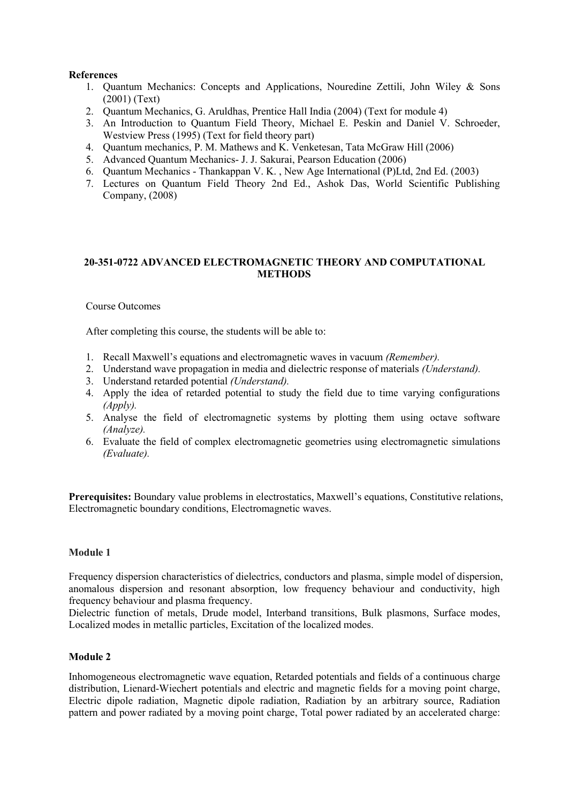## **References**

- 1. Quantum Mechanics: Concepts and Applications, Nouredine Zettili, John Wiley & Sons (2001) (Text)
- 2. Ouantum Mechanics, G. Aruldhas, Prentice Hall India (2004) (Text for module 4)
- 3. An Introduction to Quantum Field Theory, Michael E. Peskin and Daniel V. Schroeder, Westview Press (1995) (Text for field theory part)
- 4. Quantum mechanics, P. M. Mathews and K. Venketesan, Tata McGraw Hill (2006)
- 5. Advanced Quantum Mechanics- J. J. Sakurai, Pearson Education (2006)
- 6. Quantum Mechanics Thankappan V. K. , New Age International (P)Ltd, 2nd Ed. (2003)
- 7. Lectures on Quantum Field Theory 2nd Ed., Ashok Das, World Scientific Publishing Company, (2008)

## **20-351-0722 ADVANCED ELECTROMAGNETIC THEORY AND COMPUTATIONAL METHODS**

Course Outcomes

After completing this course, the students will be able to:

- 1. Recall Maxwell's equations and electromagnetic waves in vacuum *(Remember).*
- 2. Understand wave propagation in media and dielectric response of materials *(Understand).*
- 3. Understand retarded potential *(Understand).*
- 4. Apply the idea of retarded potential to study the field due to time varying configurations *(Apply).*
- 5. Analyse the field of electromagnetic systems by plotting them using octave software *(Analyze).*
- 6. Evaluate the field of complex electromagnetic geometries using electromagnetic simulations *(Evaluate).*

**Prerequisites:** Boundary value problems in electrostatics, Maxwell's equations, Constitutive relations, Electromagnetic boundary conditions, Electromagnetic waves.

## **Module 1**

Frequency dispersion characteristics of dielectrics, conductors and plasma, simple model of dispersion, anomalous dispersion and resonant absorption, low frequency behaviour and conductivity, high frequency behaviour and plasma frequency.

Dielectric function of metals, Drude model, Interband transitions, Bulk plasmons, Surface modes, Localized modes in metallic particles, Excitation of the localized modes.

## **Module 2**

Inhomogeneous electromagnetic wave equation, Retarded potentials and fields of a continuous charge distribution, Lienard-Wiechert potentials and electric and magnetic fields for a moving point charge, Electric dipole radiation, Magnetic dipole radiation, Radiation by an arbitrary source, Radiation pattern and power radiated by a moving point charge, Total power radiated by an accelerated charge: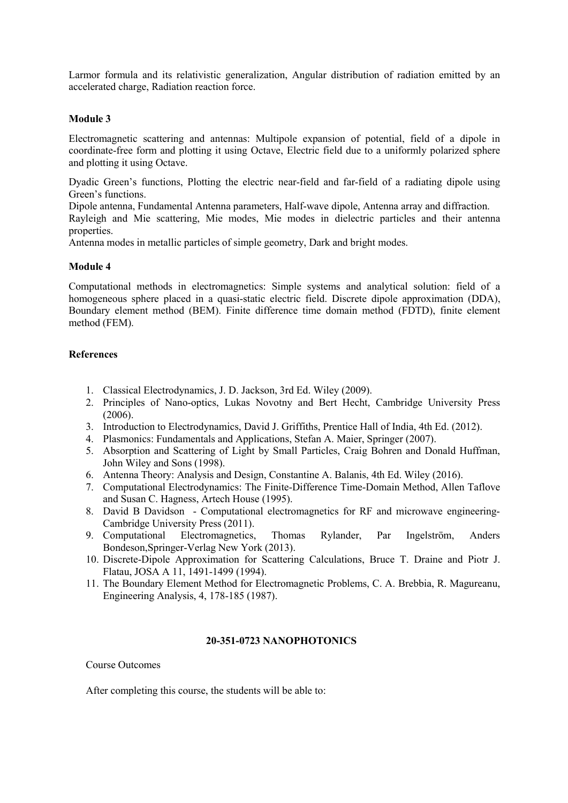Larmor formula and its relativistic generalization, Angular distribution of radiation emitted by an accelerated charge, Radiation reaction force.

## **Module 3**

Electromagnetic scattering and antennas: Multipole expansion of potential, field of a dipole in coordinate-free form and plotting it using Octave, Electric field due to a uniformly polarized sphere and plotting it using Octave.

Dyadic Green's functions, Plotting the electric near-field and far-field of a radiating dipole using Green's functions.

Dipole antenna, Fundamental Antenna parameters, Half-wave dipole, Antenna array and diffraction.

Rayleigh and Mie scattering, Mie modes, Mie modes in dielectric particles and their antenna properties.

Antenna modes in metallic particles of simple geometry, Dark and bright modes.

## **Module 4**

Computational methods in electromagnetics: Simple systems and analytical solution: field of a homogeneous sphere placed in a quasi-static electric field. Discrete dipole approximation (DDA), Boundary element method (BEM). Finite difference time domain method (FDTD), finite element method (FEM).

## **References**

- 1. Classical Electrodynamics, J. D. Jackson, 3rd Ed. Wiley (2009).
- 2. Principles of Nano-optics, Lukas Novotny and Bert Hecht, Cambridge University Press (2006).
- 3. Introduction to Electrodynamics, David J. Griffiths, Prentice Hall of India, 4th Ed. (2012).<br>4. Plasmonics: Fundamentals and Applications, Stefan A. Maier, Springer (2007).
- 
- 5. Absorption and Scattering of Light by Small Particles, Craig Bohren and Donald Huffman, John Wiley and Sons (1998).
- 6. Antenna Theory: Analysis and Design, Constantine A. Balanis, 4th Ed. Wiley (2016).
- 7. Computational Electrodynamics: The Finite-Difference Time-Domain Method, Allen Taflove and Susan C. Hagness, Artech House (1995).
- 8. David B Davidson Computational electromagnetics for RF and microwave engineering- Cambridge University Press (2011).
- 9. Computational Electromagnetics, Thomas Rylander, Par Ingelström, Anders Bondeson,Springer-Verlag New York (2013).
- 10. Discrete-Dipole Approximation for Scattering Calculations, Bruce T. Draine and Piotr J. Flatau, JOSA A 11, 1491-1499 (1994).
- 11. The Boundary Element Method for Electromagnetic Problems, C. A. Brebbia, R. Magureanu, Engineering Analysis, 4, 178-185 (1987).

## **20-351-0723 NANOPHOTONICS**

Course Outcomes

After completing this course, the students will be able to: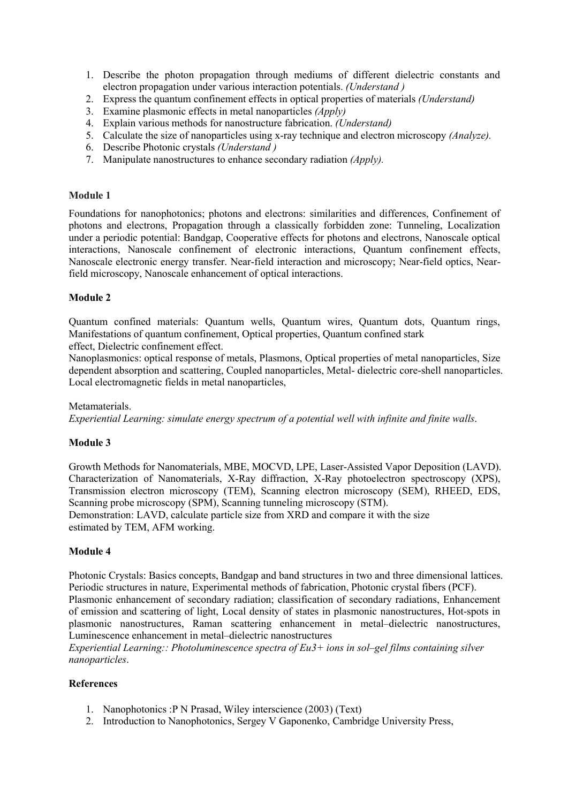- 1. Describe the photon propagation through mediums of different dielectric constants and electron propagation under various interaction potentials. *(Understand )*
- 2. Express the quantum confinement effects in optical properties of materials *(Understand)*
- 3. Examine plasmonic effects in metal nanoparticles *(Apply)*
- 4. Explain various methods for nanostructure fabrication. *(Understand)*
- 5. Calculate the size of nanoparticles using x-ray technique and electron microscopy *(Analyze).*
- 6. Describe Photonic crystals *(Understand )*
- 7. Manipulate nanostructures to enhance secondary radiation *(Apply).*

Foundations for nanophotonics; photons and electrons: similarities and differences, Confinement of photons and electrons, Propagation through a classically forbidden zone: Tunneling, Localization under a periodic potential: Bandgap, Cooperative effects for photons and electrons, Nanoscale optical interactions, Nanoscale confinement of electronic interactions, Quantum confinement effects, Nanoscale electronic energy transfer. Near-field interaction and microscopy; Near-field optics, Nearfield microscopy, Nanoscale enhancement of optical interactions.

## **Module 2**

Quantum confined materials: Quantum wells, Quantum wires, Quantum dots, Quantum rings, Manifestations of quantum confinement, Optical properties, Quantum confined stark effect, Dielectric confinement effect.

Nanoplasmonics: optical response of metals, Plasmons, Optical properties of metal nanoparticles, Size dependent absorption and scattering, Coupled nanoparticles, Metal- dielectric core-shell nanoparticles. Local electromagnetic fields in metal nanoparticles,

Metamaterials. *Experiential Learning: simulate energy spectrum of a potential well with infinite and finite walls*.

## **Module 3**

Growth Methods for Nanomaterials, MBE, MOCVD, LPE, Laser-Assisted Vapor Deposition (LAVD). Characterization of Nanomaterials, X-Ray diffraction, X-Ray photoelectron spectroscopy (XPS), Transmission electron microscopy (TEM), Scanning electron microscopy (SEM), RHEED, EDS, Scanning probe microscopy (SPM), Scanning tunneling microscopy (STM). Demonstration: LAVD, calculate particle size from XRD and compare it with the size estimated by TEM, AFM working.

## **Module 4**

Photonic Crystals: Basics concepts, Bandgap and band structures in two and three dimensional lattices. Periodic structures in nature, Experimental methods of fabrication, Photonic crystal fibers (PCF). Plasmonic enhancement of secondary radiation; classification of secondary radiations, Enhancement of emission and scattering of light, Local density of states in plasmonic nanostructures, Hot-spots in plasmonic nanostructures, Raman scattering enhancement in metal–dielectric nanostructures, Luminescence enhancement in metal–dielectric nanostructures

*Experiential Learning:: Photoluminescence spectra of Eu3+ ions in sol–gel films containing silver nanoparticles*.

## **References**

- 1. Nanophotonics :P N Prasad, Wiley interscience (2003) (Text)
- 2. Introduction to Nanophotonics, Sergey V Gaponenko, Cambridge University Press,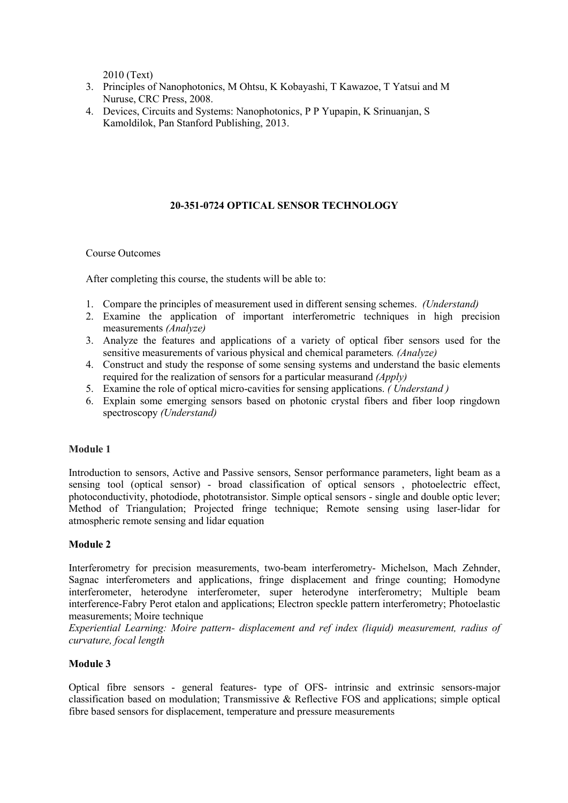2010 (Text)

- 3. Principles of Nanophotonics, M Ohtsu, K Kobayashi, T Kawazoe, T Yatsui and M Nuruse, CRC Press, 2008.
- 4. Devices, Circuits and Systems: Nanophotonics, P P Yupapin, K Srinuanjan, S Kamoldilok, Pan Stanford Publishing,2013.

# **20-351-0724 OPTICAL SENSOR TECHNOLOGY**

Course Outcomes

After completing this course, the students will be able to:

- 1. Compare the principles of measurement used in different sensing schemes. *(Understand)*
- 2. Examine the application of important interferometric techniques in high precision measurements *(Analyze)*
- 3. Analyze the features and applications of a variety of optical fiber sensors used for the sensitive measurements of various physical and chemical parameters. *(Analyze)*
- 4. Construct and study the response of some sensing systems and understand the basic elements required for the realization of sensors for a particular measurand *(Apply)*
- 5. Examine the role of optical micro-cavities for sensing applications. *( Understand )*
- 6. Explain some emerging sensors based on photonic crystal fibers and fiber loop ringdown spectroscopy *(Understand)*

## **Module 1**

Introduction to sensors, Active and Passive sensors, Sensor performance parameters, light beam as a sensing tool (optical sensor) - broad classification of optical sensors , photoelectric effect, photoconductivity, photodiode, phototransistor. Simple optical sensors - single and double optic lever; Method of Triangulation; Projected fringe technique; Remote sensing using laser-lidar for atmospheric remote sensing and lidar equation

## **Module 2**

Interferometry for precision measurements, two-beam interferometry- Michelson, Mach Zehnder, Sagnac interferometers and applications, fringe displacement and fringe counting; Homodyne interferometer, heterodyne interferometer, super heterodyne interferometry; Multiple beam interference-Fabry Perot etalon and applications; Electron speckle pattern interferometry; Photoelastic measurements; Moire technique

*Experiential Learning: Moire pattern- displacement and ref index (liquid) measurement, radius of curvature, focal length*

## **Module 3**

Optical fibre sensors - general features- type of OFS- intrinsic and extrinsic sensors-major classification based on modulation; Transmissive & Reflective FOS and applications; simple optical fibre based sensors for displacement, temperature and pressure measurements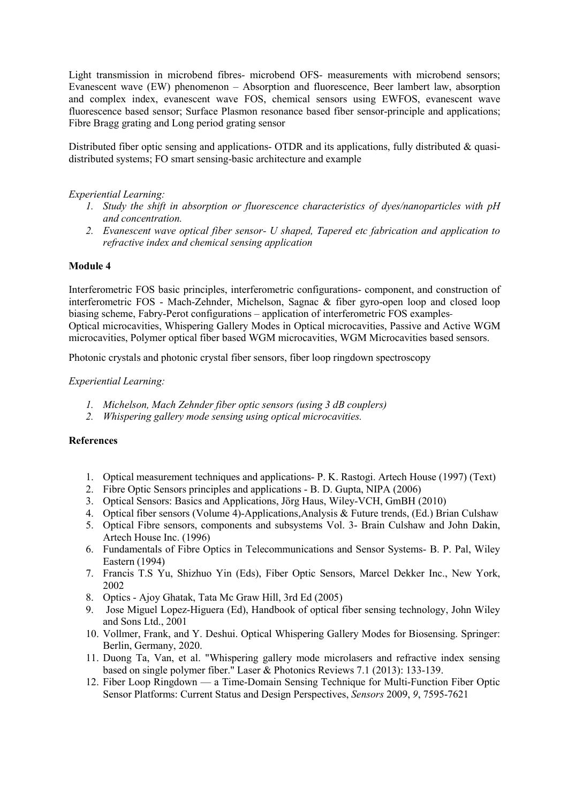Light transmission in microbend fibres- microbend OFS- measurements with microbend sensors; Evanescent wave (EW) phenomenon – Absorption and fluorescence, Beer lambert law, absorption and complex index, evanescent wave FOS, chemical sensors using EWFOS, evanescent wave fluorescence based sensor; Surface Plasmon resonance based fiber sensor-principle and applications; Fibre Bragg grating and Long period grating sensor

Distributed fiber optic sensing and applications- OTDR and its applications, fully distributed & quasidistributed systems; FO smart sensing-basic architecture and example

## *Experiential Learning:*

- *1. Study the shift in absorption or fluorescence characteristics of dyes/nanoparticles with pH and concentration.*
- *2. Evanescent wave opticalfiber sensor- U shaped, Tapered etc fabrication and application to refractive index and chemical sensing application*

## **Module 4**

Interferometric FOS basic principles, interferometric configurations- component, and construction of interferometric FOS - Mach-Zehnder, Michelson, Sagnac & fiber gyro-open loop and closed loop biasing scheme, Fabry-Perot configurations – application of interferometric FOS examples Optical microcavities, Whispering Gallery Modes in Optical microcavities, Passive and Active WGM microcavities, Polymer optical fiber based WGM microcavities, WGM Microcavities based sensors.

Photonic crystals and photonic crystal fiber sensors, fiber loop ringdown spectroscopy

## *Experiential Learning:*

- *1. Michelson, Mach Zehnder fiber optic sensors (using 3 dB couplers)*
- *2. Whispering gallery mode sensing using optical microcavities.*

## **References**

- 1. Optical measurement techniques and applications- P. K. Rastogi. Artech House (1997) (Text)
- 2. Fibre Optic Sensors principles and applications B. D. Gupta, NIPA (2006)
- 3. Optical Sensors: Basics and Applications, Jörg Haus, Wiley-VCH, GmBH (2010)
- 4. Optical fiber sensors (Volume 4)-Applications,Analysis & Future trends, (Ed.) Brian Culshaw
- 5. Optical Fibre sensors, components and subsystems Vol. 3- Brain Culshaw and John Dakin, Artech House Inc. (1996)
- 6. Fundamentals of Fibre Optics in Telecommunications and Sensor Systems- B. P. Pal, Wiley Eastern (1994)
- 7. Francis T.S Yu, Shizhuo Yin (Eds), Fiber Optic Sensors, Marcel Dekker Inc., New York, 2002
- 8. Optics Ajoy Ghatak, Tata Mc Graw Hill, 3rd Ed (2005)
- 9. Jose Miguel Lopez-Higuera (Ed), Handbook of optical fiber sensing technology, John Wiley and Sons Ltd., 2001
- 10. Vollmer, Frank, and Y. Deshui. Optical Whispering Gallery Modes for Biosensing. Springer: Berlin, Germany, 2020.
- 11. Duong Ta, Van, et al. "Whispering gallery mode microlasers and refractive index sensing based on single polymer fiber." Laser & Photonics Reviews 7.1 (2013): 133-139.
- 12. Fiber Loop Ringdown a Time-Domain Sensing Technique for Multi-Function Fiber Optic Sensor Platforms: Current Status and Design Perspectives, *Sensors* 2009, *9*, 7595-7621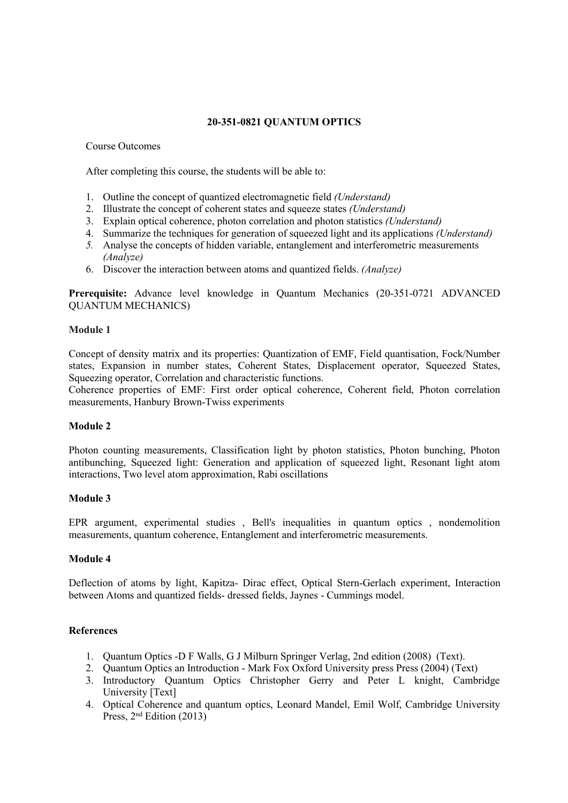# **20-351-0821 QUANTUM OPTICS**

### Course Outcomes

After completing this course, the students will be able to:

- 1. Outline the concept of quantized electromagnetic field *(Understand)*
- 2. Illustrate the concept of coherent states and squeeze states *(Understand)*
- 3. Explain optical coherence, photon correlation and photon statistics *(Understand)*
- 4. Summarize the techniques for generation of squeezed light and its applications *(Understand)*
- 5. Analyse the concepts of hidden variable, entanglement and interferometric measurements *(Analyze)*
- 6. Discover the interaction between atoms and quantized fields. *(Analyze)*

**Prerequisite:** Advance level knowledge in Quantum Mechanics (20-351-0721 ADVANCED QUANTUM MECHANICS)

### **Module 1**

Concept of density matrix and its properties: Quantization of EMF, Field quantisation, Fock/Number states, Expansion in number states, Coherent States, Displacement operator, Squeezed States, Squeezing operator, Correlation and characteristic functions.

Coherence properties of EMF: First order optical coherence, Coherent field, Photon correlation measurements, Hanbury Brown-Twiss experiments

## **Module 2**

Photon counting measurements, Classification light by photon statistics, Photon bunching, Photon antibunching, Squeezed light: Generation and application of squeezed light, Resonant light atom interactions, Two level atom approximation, Rabi oscillations

## **Module 3**

EPR argument, experimental studies , Bell's inequalities in quantum optics , nondemolition measurements, quantum coherence, Entanglement and interferometric measurements.

## **Module 4**

Deflection of atoms by light, Kapitza- Dirac effect, Optical Stern-Gerlach experiment, Interaction between Atoms and quantized fields- dressed fields, Jaynes - Cummings model.

## **References**

- 1. Quantum Optics -D F Walls, G J Milburn Springer Verlag, 2nd edition (2008) (Text).
- 2. Quantum Optics an Introduction Mark Fox Oxford University press Press (2004) (Text)
- 3. Introductory Quantum Optics Christopher Gerry and Peter L knight, Cambridge University [Text]
- 4. Optical Coherence and quantum optics, Leonard Mandel, Emil Wolf, Cambridge University Press, 2 nd Edition (2013)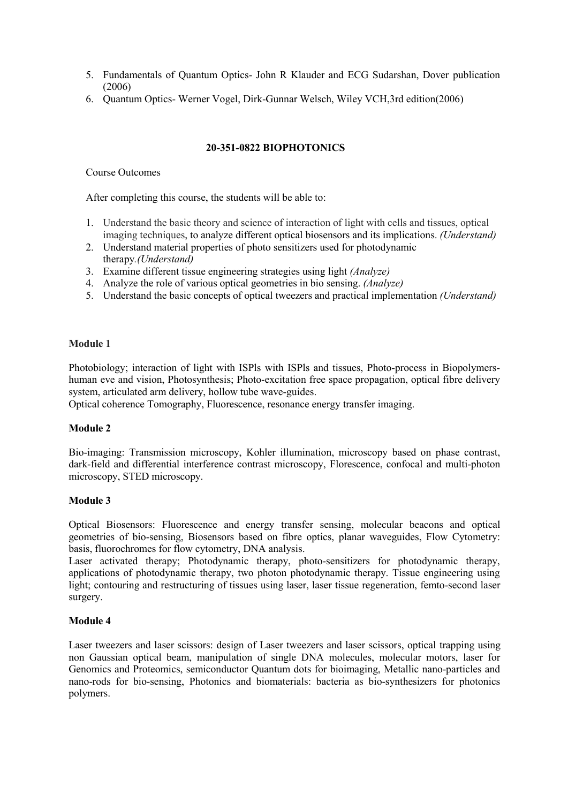- 5. Fundamentals of Quantum Optics- John R Klauder and ECG Sudarshan, Dover publication (2006)
- 6. Quantum Optics- Werner Vogel, Dirk-Gunnar Welsch, Wiley VCH,3rd edition(2006)

# **20-351-0822 BIOPHOTONICS**

#### Course Outcomes

After completing this course, the students will be able to:

- 1. Understand the basic theory and science of interaction of light with cells and tissues, optical imaging techniques, to analyze different optical biosensors and its implications. *(Understand)*
- 2. Understand material properties of photo sensitizers used for photodynamic therapy*.(Understand)*
- 3. Examine different tissue engineering strategies using light *(Analyze)*
- 4. Analyze the role of various optical geometries in bio sensing. *(Analyze)*
- 5. Understand the basic concepts of optical tweezers and practical implementation *(Understand)*

### **Module 1**

Photobiology; interaction of light with ISPls with ISPls and tissues, Photo-process in Biopolymers human eve and vision, Photosynthesis; Photo-excitation free space propagation, optical fibre delivery system, articulated arm delivery, hollow tube wave-guides.

Optical coherence Tomography, Fluorescence, resonance energy transfer imaging.

### **Module 2**

Bio-imaging: Transmission microscopy, Kohler illumination, microscopy based on phase contrast, dark-field and differential interference contrast microscopy, Florescence, confocal and multi-photon microscopy, STED microscopy.

### **Module 3**

Optical Biosensors: Fluorescence and energy transfer sensing, molecular beacons and optical geometries of bio-sensing, Biosensors based on fibre optics, planar waveguides, Flow Cytometry: basis, fluorochromes for flow cytometry, DNA analysis.

Laser activated therapy; Photodynamic therapy, photo-sensitizers for photodynamic therapy, applications of photodynamic therapy, two photon photodynamic therapy. Tissue engineering using light; contouring and restructuring of tissues using laser, laser tissue regeneration, femto-second laser surgery.

### **Module 4**

Laser tweezers and laser scissors: design of Laser tweezers and laser scissors, optical trapping using non Gaussian optical beam, manipulation of single DNA molecules, molecular motors, laser for Genomics and Proteomics, semiconductor Quantum dots for bioimaging, Metallic nano-particles and nano-rods for bio-sensing, Photonics and biomaterials: bacteria as bio-synthesizers for photonics polymers.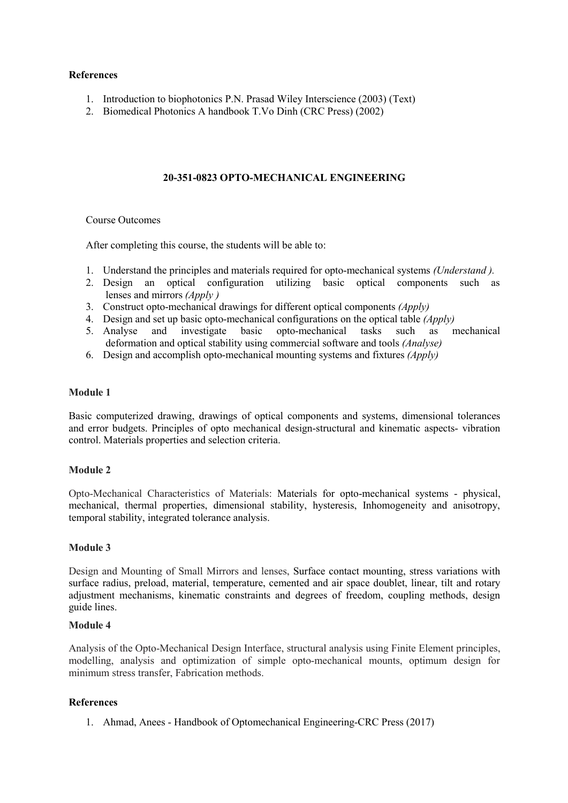### **References**

- 1. Introduction to biophotonics P.N. Prasad Wiley Interscience (2003) (Text)
- 2. Biomedical Photonics A handbook T.Vo Dinh (CRC Press) (2002)

## **20-351-0823 OPTO-MECHANICAL ENGINEERING**

### Course Outcomes

After completing this course, the students will be able to:

- 1. Understand the principles and materials required for opto-mechanical systems *(Understand ).*
- 2. Design an optical configuration utilizing basic optical components such as lenses and mirrors *(Apply )*
- 3. Construct opto-mechanical drawings for different optical components *(Apply)*
- 4. Design and set up basic opto-mechanical configurations on the optical table *(Apply)*
- 5. Analyse and investigate basic opto-mechanical tasks such as mechanical deformation and optical stability using commercial software and tools*(Analyse)*
- 6. Design and accomplish opto-mechanical mounting systems and fixtures *(Apply)*

## **Module 1**

Basic computerized drawing, drawings of optical components and systems, dimensional tolerances and error budgets. Principles of opto mechanical design-structural and kinematic aspects- vibration control. Materials properties and selection criteria.

### **Module 2**

Opto-Mechanical Characteristics of Materials: Materials for opto-mechanical systems - physical, mechanical, thermal properties, dimensional stability, hysteresis, Inhomogeneity and anisotropy, temporal stability, integrated tolerance analysis.

### **Module 3**

Design and Mounting of Small Mirrors and lenses, Surface contact mounting, stress variations with surface radius, preload, material, temperature, cemented and air space doublet, linear, tilt and rotary adjustment mechanisms, kinematic constraints and degrees of freedom, coupling methods, design guide lines.

### **Module 4**

Analysis of the Opto-Mechanical Design Interface, structural analysis using Finite Element principles, modelling, analysis and optimization of simple opto-mechanical mounts, optimum design for minimum stress transfer, Fabrication methods.

### **References**

1. Ahmad, Anees - Handbook of Optomechanical Engineering-CRC Press (2017)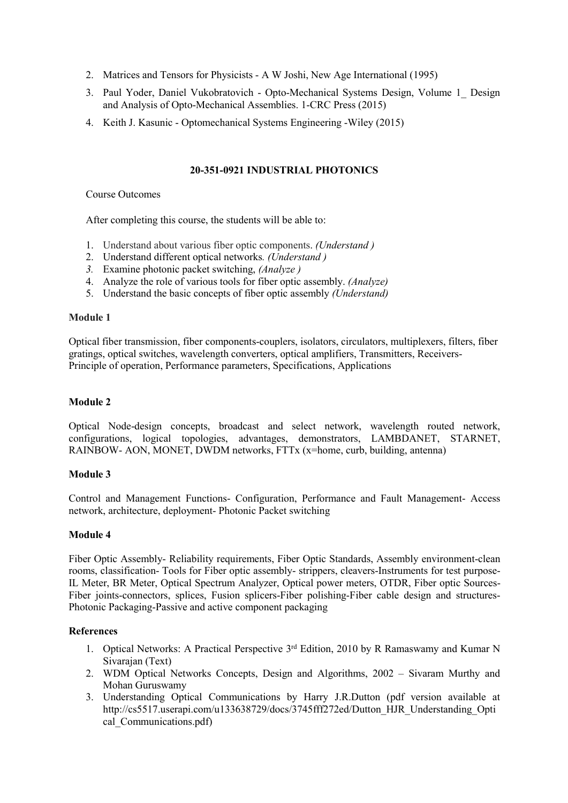- 2. Matrices and Tensors for Physicists A W Joshi, New Age International (1995)
- 3. Paul Yoder, Daniel Vukobratovich Opto-Mechanical Systems Design, Volume 1\_ Design and Analysis of Opto-Mechanical Assemblies. 1-CRC Press (2015)
- 4. Keith J. Kasunic Optomechanical Systems Engineering -Wiley (2015)

### **20-351-0921 INDUSTRIAL PHOTONICS**

#### Course Outcomes

After completing this course, the students will be able to:

- 1. Understand about various fiber optic components. *(Understand )*
- 2. Understand different optical networks*. (Understand )*
- *3.* Examine photonic packet switching, *(Analyze )*
- 4. Analyze the role of various tools for fiber optic assembly. *(Analyze)*
- 5. Understand the basic concepts offiber optic assembly *(Understand)*

### **Module 1**

Optical fiber transmission, fiber components-couplers, isolators, circulators, multiplexers, filters, fiber gratings, optical switches, wavelength converters, optical amplifiers, Transmitters, Receivers- Principle of operation, Performance parameters, Specifications, Applications

# **Module 2**

Optical Node-design concepts, broadcast and select network, wavelength routed network, configurations, logical topologies, advantages, demonstrators, LAMBDANET, STARNET, RAINBOW- AON, MONET, DWDM networks, FTTx (x=home, curb, building, antenna)

### **Module 3**

Control and Management Functions- Configuration, Performance and Fault Management- Access network, architecture, deployment- Photonic Packet switching

# **Module 4**

Fiber Optic Assembly- Reliability requirements, Fiber Optic Standards, Assembly environment-clean rooms, classification- Tools for Fiber optic assembly- strippers, cleavers-Instruments for test purpose-IL Meter, BR Meter, Optical Spectrum Analyzer, Optical power meters, OTDR, Fiber optic Sources- Fiber joints-connectors, splices, Fusion splicers-Fiber polishing-Fiber cable design and structures- Photonic Packaging-Passive and active component packaging

### **References**

- 1. Optical Networks: A Practical Perspective 3<sup>rd</sup> Edition, 2010 by R Ramaswamy and Kumar N Sivarajan (Text)
- 2. WDM Optical Networks Concepts, Design and Algorithms, 2002 Sivaram Murthy and Mohan Guruswamy
- 3. Understanding Optical Communications by Harry J.R.Dutton (pdf version available at http://cs5517.userapi.com/u133638729/docs/3745fff272ed/Dutton\_HJR\_Understanding\_Opti cal Communications.pdf)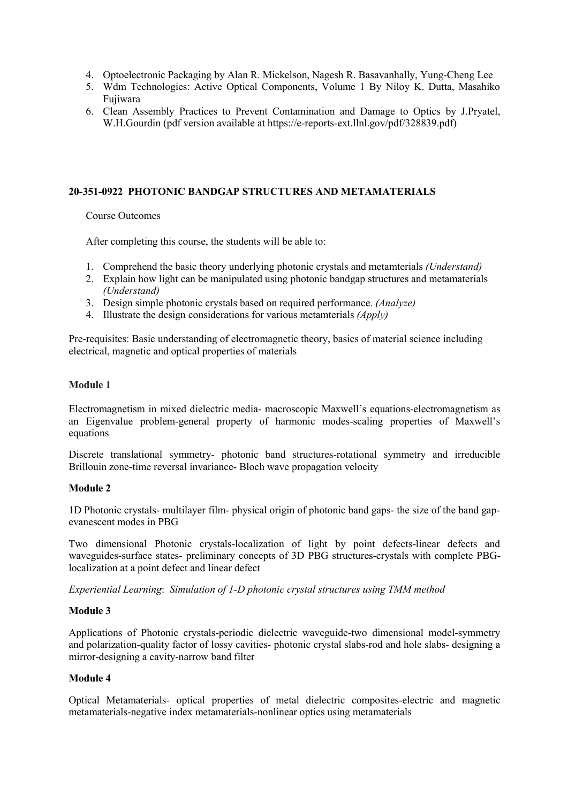- 4. Optoelectronic Packaging by Alan R. Mickelson, Nagesh R. Basavanhally, Yung-Cheng Lee
- 5. Wdm Technologies: Active Optical Components, Volume 1 By Niloy K. Dutta, Masahiko Fujiwara
- 6. Clean Assembly Practices to Prevent Contamination and Damage to Optics by J.Pryatel, W.H.Gourdin (pdf version available at https://e-reports-ext.llnl.gov/pdf/328839.pdf)

## **20-351-0922 PHOTONIC BANDGAP STRUCTURES AND METAMATERIALS**

Course Outcomes

After completing this course, the students will be able to:

- 1. Comprehend the basic theory underlying photonic crystals and metamterials *(Understand)*
- 2. Explain how light can be manipulated using photonic bandgap structures and metamaterials *(Understand)*
- 3. Design simple photonic crystals based on required performance. *(Analyze)*
- 4. Illustrate the design considerations for various metamterials *(Apply)*

Pre-requisites: Basic understanding of electromagnetic theory, basics of material science including electrical, magnetic and optical properties of materials

#### **Module 1**

Electromagnetism in mixed dielectric media- macroscopic Maxwell's equations-electromagnetism as an Eigenvalue problem-general property of harmonic modes-scaling properties of Maxwell's equations

Discrete translational symmetry- photonic band structures-rotational symmetry and irreducible Brillouin zone-time reversal invariance- Bloch wave propagation velocity

### **Module 2**

1D Photonic crystals- multilayer film- physical origin of photonic band gaps- the size of the band gap evanescent modes in PBG

Two dimensional Photonic crystals-localization of light by point defects-linear defects and waveguides-surface states- preliminary concepts of 3D PBG structures-crystals with complete PBGlocalization at a point defect and linear defect

*Experiential Learning*: *Simulation of 1-D photonic crystal structures using TMM method*

### **Module 3**

Applications of Photonic crystals-periodic dielectric waveguide-two dimensional model-symmetry and polarization-quality factor of lossy cavities- photonic crystal slabs-rod and hole slabs- designing a mirror-designing a cavity-narrow band filter

### **Module 4**

Optical Metamaterials- optical properties of metal dielectric composites-electric and magnetic metamaterials-negative index metamaterials-nonlinear optics using metamaterials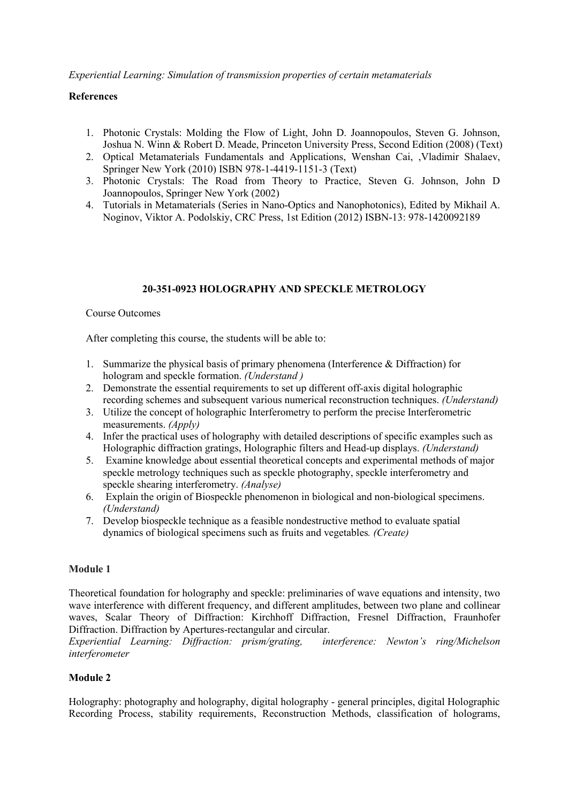*Experiential Learning: Simulation of transmission properties of certain metamaterials*

### **References**

- 1. Photonic Crystals: Molding the Flow of Light, John D. Joannopoulos, Steven G. Johnson, Joshua N. Winn & Robert D. Meade, Princeton University Press, Second Edition (2008) (Text)
- 2. Optical Metamaterials Fundamentals and Applications, Wenshan Cai, ,Vladimir Shalaev, Springer New York (2010) ISBN 978-1-4419-1151-3 (Text)
- 3. Photonic Crystals: The Road from Theory to Practice, Steven G. Johnson, John D Joannopoulos, Springer New York (2002)<br>4. Tutorials in Metamaterials (Series in Nano-Optics and Nanophotonics), Edited by Mikhail A.
- Noginov, Viktor A. Podolskiy, CRC Press, 1st Edition (2012) ISBN-13: 978-1420092189

## **20-351-0923 HOLOGRAPHY AND SPECKLE METROLOGY**

#### Course Outcomes

After completing this course, the students will be able to:

- 1. Summarize the physical basis of primary phenomena (Interference  $\&$  Diffraction) for hologram and speckle formation. *(Understand )*
- 2. Demonstrate the essential requirements to set up different off-axis digital holographic recording schemes and subsequent various numerical reconstruction techniques.*(Understand)*
- 3. Utilize the concept of holographic Interferometry to perform the precise Interferometric measurements. *(Apply)*
- 4. Infer the practical uses ofholography with detailed descriptions ofspecific examples such as Holographic diffraction gratings, Holographic filters and Head-up displays. *(Understand)*
- 5. Examine knowledge about essential theoretical concepts and experimental methods ofmajor speckle metrology techniques such as speckle photography, speckle interferometry and speckle shearing interferometry. *(Analyse)*
- 6. Explain the origin of Biospeckle phenomenon in biological and non-biological specimens. *(Understand)*
- 7. Develop biospeckle technique asa feasible nondestructive method to evaluate spatial dynamics ofbiological specimens such as fruits and vegetables*. (Create)*

### **Module 1**

Theoretical foundation for holography and speckle: preliminaries of wave equations and intensity, two wave interference with different frequency, and different amplitudes, between two plane and collinear waves, Scalar Theory of Diffraction: Kirchhoff Diffraction, Fresnel Diffraction, Fraunhofer Diffraction. Diffraction by Apertures-rectangular and circular.

*Experiential Learning: Dif raction: prism/grating, interference: Newton's ring/Michelson interferometer*

### **Module 2**

Holography: photography and holography, digital holography - general principles, digital Holographic Recording Process, stability requirements, Reconstruction Methods, classification of holograms,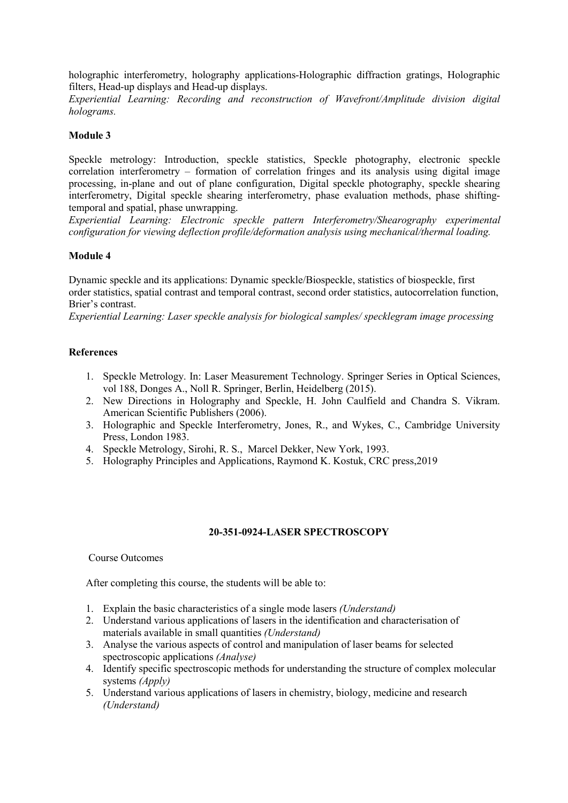holographic interferometry, holography applications-Holographic diffraction gratings, Holographic filters, Head-up displays and Head-up displays.

*Experiential Learning: Recording and reconstruction of Wavefront/Amplitude division digital holograms.*

## **Module 3**

Speckle metrology: Introduction, speckle statistics, Speckle photography, electronic speckle correlation interferometry – formation of correlation fringes and its analysis using digital image processing, in-plane and out of plane configuration, Digital speckle photography, speckle shearing interferometry, Digital speckle shearing interferometry, phase evaluation methods, phase shiftingtemporal and spatial, phase unwrapping.

*Experiential Learning: Electronic speckle pattern Interferometry/Shearography experimental configuration for viewing deflection profile/deformation analysis using mechanical/thermal loading.*

## **Module 4**

Dynamic speckle and its applications: Dynamic speckle/Biospeckle, statistics of biospeckle, first order statistics, spatial contrast and temporal contrast, second order statistics, autocorrelation function, Brier's contrast.

*Experiential Learning: Laser speckle analysis for biological samples/ specklegram image processing*

### **References**

- 1. Speckle Metrology. In: Laser Measurement Technology. Springer Series in Optical Sciences, vol 188, Donges A., Noll R. Springer, Berlin, Heidelberg (2015).
- 2. New Directions in Holography and Speckle, H. John Caulfield and Chandra S. Vikram. American Scientific Publishers (2006).
- 3. Holographic and Speckle Interferometry, Jones, R., and Wykes, C., Cambridge University Press, London 1983.
- 4. Speckle Metrology, Sirohi, R. S., Marcel Dekker, New York, 1993.
- 5. Holography Principles and Applications, Raymond K. Kostuk, CRC press,2019

### **20-351-0924-LASER SPECTROSCOPY**

### Course Outcomes

After completing this course, the students will be able to:

- 1. Explain the basic characteristics of a single mode lasers *(Understand)*
- 2. Understand various applications of lasers in the identification and characterisation of materials available in small quantities *(Understand)*
- 3. Analyse the various aspects of control and manipulation of laser beams for selected spectroscopic applications *(Analyse)*
- 4. Identify specific spectroscopic methods for understanding the structure of complex molecular systems *(Apply)*
- 5. Understand various applications of lasers in chemistry, biology, medicine and research *(Understand)*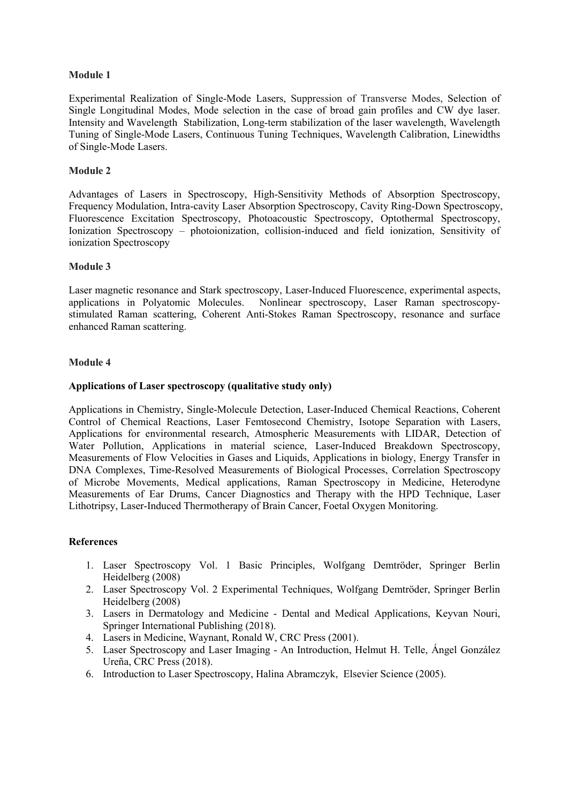### **Module 1**

Experimental Realization of Single-Mode Lasers, Suppression of Transverse Modes, Selection of Single Longitudinal Modes, Mode selection in the case of broad gain profiles and CW dye laser. Intensity and Wavelength Stabilization, Long-term stabilization of the laser wavelength, Wavelength Tuning of Single-Mode Lasers, Continuous Tuning Techniques, Wavelength Calibration, Linewidths of Single-Mode Lasers.

### **Module 2**

Advantages of Lasers in Spectroscopy, High-Sensitivity Methods of Absorption Spectroscopy, Frequency Modulation, Intra-cavity Laser Absorption Spectroscopy, Cavity Ring-Down Spectroscopy, Fluorescence Excitation Spectroscopy, Photoacoustic Spectroscopy, Optothermal Spectroscopy, Ionization Spectroscopy – photoionization, collision-induced and field ionization, Sensitivity of ionization Spectroscopy

## **Module 3**

Laser magnetic resonance and Stark spectroscopy, Laser-Induced Fluorescence, experimental aspects, applications in Polyatomic Molecules. Nonlinear spectroscopy, Laser Raman spectroscopy stimulated Raman scattering, Coherent Anti-Stokes Raman Spectroscopy, resonance and surface enhanced Raman scattering.

## **Module 4**

## **Applications ofLaser spectroscopy (qualitative study only)**

Applications in Chemistry, Single-Molecule Detection, Laser-Induced Chemical Reactions, Coherent Control of Chemical Reactions, Laser Femtosecond Chemistry, Isotope Separation with Lasers, Applications for environmental research, Atmospheric Measurements with LIDAR, Detection of Water Pollution, Applications in material science, Laser-Induced Breakdown Spectroscopy, Measurements of Flow Velocities in Gases and Liquids, Applications in biology, Energy Transfer in DNA Complexes, Time-Resolved Measurements of Biological Processes, Correlation Spectroscopy of Microbe Movements, Medical applications, Raman Spectroscopy in Medicine, Heterodyne Measurements of Ear Drums, Cancer Diagnostics and Therapy with the HPD Technique, Laser Lithotripsy, Laser-Induced Thermotherapy of Brain Cancer, Foetal Oxygen Monitoring.

## **References**

- 1. Laser Spectroscopy Vol. 1 Basic Principles, Wolfgang Demtröder, Springer Berlin Heidelberg (2008)
- 2. Laser Spectroscopy Vol. 2 Experimental Techniques, Wolfgang Demtröder, Springer Berlin Heidelberg (2008)
- 3. Lasers in Dermatology and Medicine Dental and Medical Applications, Keyvan Nouri, Springer International Publishing (2018).
- 4. Lasers in Medicine, Waynant, Ronald W, CRC Press (2001).
- 5. Laser Spectroscopy and Laser Imaging An Introduction, Helmut H. Telle, Ángel González Ureña, CRC Press (2018).
- 6. Introduction to Laser Spectroscopy, Halina Abramczyk, Elsevier Science (2005).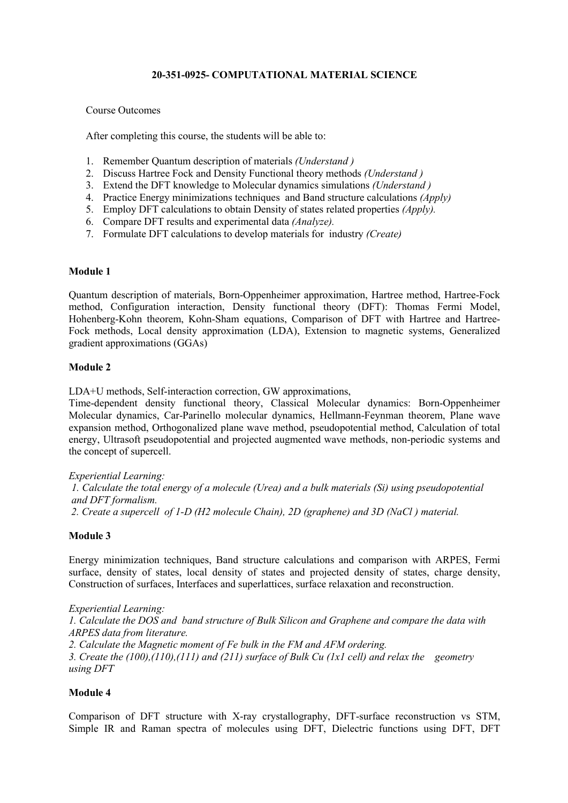## **20-351-0925- COMPUTATIONAL MATERIAL SCIENCE**

### Course Outcomes

After completing this course, the students will be able to:

- 1. Remember Quantum description of materials *(Understand )*
- 2. Discuss Hartree Fock and Density Functional theory methods *(Understand )*
- 3. Extend the DFT knowledge to Molecular dynamics simulations *(Understand )*
- 4. Practice Energy minimizations techniques and Band structure calculations *(Apply)*
- 5. Employ DFT calculations to obtain Density of states related properties *(Apply).*
- 6. Compare DFT results and experimental data *(Analyze).*
- 7. Formulate DFT calculations to develop materials for industry *(Create)*

## **Module 1**

Quantum description of materials, Born-Oppenheimer approximation, Hartree method, Hartree-Fock method, Configuration interaction, Density functional theory (DFT): Thomas Fermi Model, Hohenberg-Kohn theorem, Kohn-Sham equations, Comparison of DFT with Hartree and Hartree- Fock methods, Local density approximation (LDA), Extension to magnetic systems, Generalized gradient approximations (GGAs)

## **Module 2**

LDA+U methods, Self-interaction correction, GW approximations,

Time-dependent density functional theory, Classical Molecular dynamics: Born-Oppenheimer Molecular dynamics, Car-Parinello molecular dynamics, Hellmann-Feynman theorem, Plane wave expansion method, Orthogonalized plane wave method, pseudopotential method, Calculation of total energy, Ultrasoft pseudopotential and projected augmented wave methods, non-periodic systems and the concept of supercell.

*Experiential Learning:*

*1. Calculate the total energy of a molecule (Urea) and a bulk materials (Si) using pseudopotential and DFT formalism. 2. Create a supercell of 1-D (H2 molecule Chain), 2D (graphene) and 3D (NaCl ) material.*

### **Module 3**

Energy minimization techniques, Band structure calculations and comparison with ARPES, Fermi surface, density of states, local density of states and projected density of states, charge density, Construction of surfaces, Interfaces and superlattices, surface relaxation and reconstruction.

*Experiential Learning: 1. Calculate the DOS and band structure of Bulk Silicon and Graphene and compare the data with ARPES data from literature. 2. Calculate the Magnetic moment of Fe bulk in the FM and AFM ordering. 3. Create the (100),(110),(111) and (211) surface of Bulk Cu (1x1 cell) and relax the geometry using DFT*

# **Module 4**

Comparison of DFT structure with X-ray crystallography, DFT-surface reconstruction vs STM, Simple IR and Raman spectra of molecules using DFT, Dielectric functions using DFT, DFT